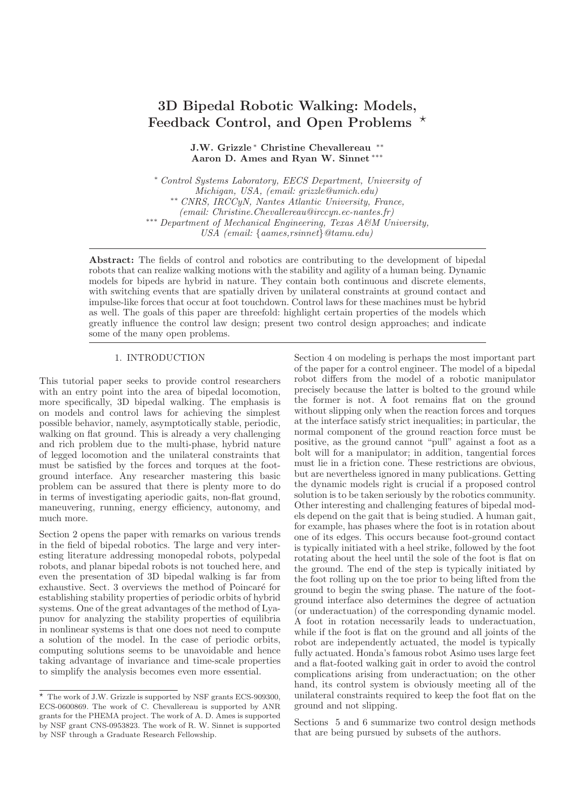# **3D Bipedal Robotic Walking: Models,** Feedback Control, and Open Problems<sup>\*</sup>

**J.W. Grizzle** ∗ **Christine Chevallereau** ∗∗ **Aaron D. Ames and Ryan W. Sinnet** ∗∗∗

∗ Control Systems Laboratory, EECS Department, University of Michigan, USA, (email: grizzle@umich.edu) ∗∗ CNRS, IRCCyN, Nantes Atlantic University, France, (email: Christine.Chevallereau@irccyn.ec-nantes.fr) ∗∗∗ Department of Mechanical Engineering, Texas A&M University, USA (email: {aames,rsinnet}@tamu.edu)

**Abstract:** The fields of control and robotics are contributing to the development of bipedal robots that can realize walking motions with the stability and agility of a human being. Dynamic models for bipeds are hybrid in nature. They contain both continuous and discrete elements, with switching events that are spatially driven by unilateral constraints at ground contact and impulse-like forces that occur at foot touchdown. Control laws for these machines must be hybrid as well. The goals of this paper are threefold: highlight certain properties of the models which greatly influence the control law design; present two control design approaches; and indicate some of the many open problems.

# 1. INTRODUCTION

This tutorial paper seeks to provide control researchers with an entry point into the area of bipedal locomotion. more specifically, 3D bipedal walking. The emphasis is on models and control laws for achieving the simplest possible behavior, namely, asymptotically stable, periodic, walking on flat ground. This is already a very challenging and rich problem due to the multi-phase, hybrid nature of legged locomotion and the unilateral constraints that must be satisfied by the forces and torques at the footground interface. Any researcher mastering this basic problem can be assured that there is plenty more to do in terms of investigating aperiodic gaits, non-flat ground, maneuvering, running, energy efficiency, autonomy, and much more.

Section 2 opens the paper with remarks on various trends in the field of bipedal robotics. The large and very interesting literature addressing monopedal robots, polypedal robots, and planar bipedal robots is not touched here, and even the presentation of 3D bipedal walking is far from exhaustive. Sect. 3 overviews the method of Poincaré for establishing stability properties of periodic orbits of hybrid systems. One of the great advantages of the method of Lyapunov for analyzing the stability properties of equilibria in nonlinear systems is that one does not need to compute a solution of the model. In the case of periodic orbits, computing solutions seems to be unavoidable and hence taking advantage of invariance and time-scale properties to simplify the analysis becomes even more essential.

Section 4 on modeling is perhaps the most important part of the paper for a control engineer. The model of a bipedal robot differs from the model of a robotic manipulator precisely because the latter is bolted to the ground while the former is not. A foot remains flat on the ground without slipping only when the reaction forces and torques at the interface satisfy strict inequalities; in particular, the normal component of the ground reaction force must be positive, as the ground cannot "pull" against a foot as a bolt will for a manipulator; in addition, tangential forces must lie in a friction cone. These restrictions are obvious, but are nevertheless ignored in many publications. Getting the dynamic models right is crucial if a proposed control solution is to be taken seriously by the robotics community. Other interesting and challenging features of bipedal models depend on the gait that is being studied. A human gait, for example, has phases where the foot is in rotation about one of its edges. This occurs because foot-ground contact is typically initiated with a heel strike, followed by the foot rotating about the heel until the sole of the foot is flat on the ground. The end of the step is typically initiated by the foot rolling up on the toe prior to being lifted from the ground to begin the swing phase. The nature of the footground interface also determines the degree of actuation (or underactuation) of the corresponding dynamic model. A foot in rotation necessarily leads to underactuation, while if the foot is flat on the ground and all joints of the robot are independently actuated, the model is typically fully actuated. Honda's famous robot Asimo uses large feet and a flat-footed walking gait in order to avoid the control complications arising from underactuation; on the other hand, its control system is obviously meeting all of the unilateral constraints required to keep the foot flat on the ground and not slipping.

Sections 5 and 6 summarize two control design methods that are being pursued by subsets of the authors.

<sup>-</sup> The work of J.W. Grizzle is supported by NSF grants ECS-909300, ECS-0600869. The work of C. Chevallereau is supported by ANR grants for the PHEMA project. The work of A. D. Ames is supported by NSF grant CNS-0953823. The work of R. W. Sinnet is supported by NSF through a Graduate Research Fellowship.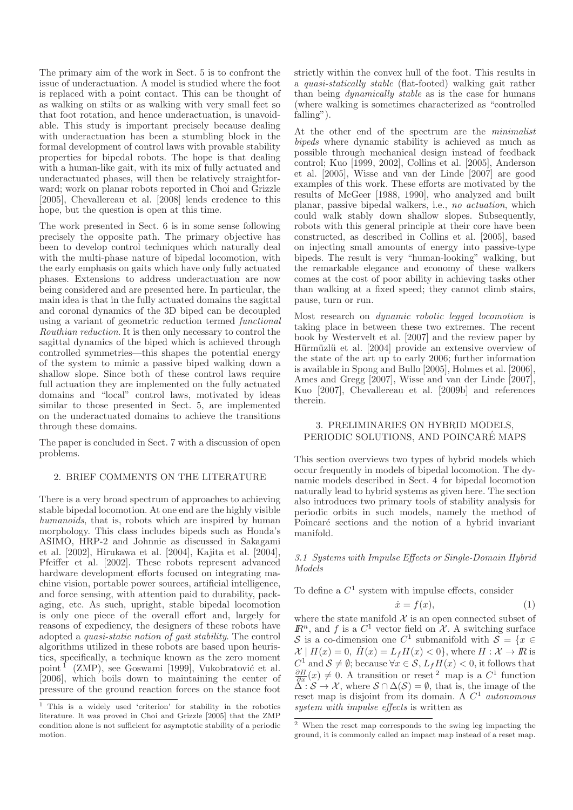The primary aim of the work in Sect. 5 is to confront the issue of underactuation. A model is studied where the foot is replaced with a point contact. This can be thought of as walking on stilts or as walking with very small feet so that foot rotation, and hence underactuation, is unavoidable. This study is important precisely because dealing with underactuation has been a stumbling block in the formal development of control laws with provable stability properties for bipedal robots. The hope is that dealing with a human-like gait, with its mix of fully actuated and underactuated phases, will then be relatively straightforward; work on planar robots reported in Choi and Grizzle [2005], Chevallereau et al. [2008] lends credence to this hope, but the question is open at this time.

The work presented in Sect. 6 is in some sense following precisely the opposite path. The primary objective has been to develop control techniques which naturally deal with the multi-phase nature of bipedal locomotion, with the early emphasis on gaits which have only fully actuated phases. Extensions to address underactuation are now being considered and are presented here. In particular, the main idea is that in the fully actuated domains the sagittal and coronal dynamics of the 3D biped can be decoupled using a variant of geometric reduction termed functional Routhian reduction. It is then only necessary to control the sagittal dynamics of the biped which is achieved through controlled symmetries—this shapes the potential energy of the system to mimic a passive biped walking down a shallow slope. Since both of these control laws require full actuation they are implemented on the fully actuated domains and "local" control laws, motivated by ideas similar to those presented in Sect. 5, are implemented on the underactuated domains to achieve the transitions through these domains.

The paper is concluded in Sect. 7 with a discussion of open problems.

#### 2. BRIEF COMMENTS ON THE LITERATURE

There is a very broad spectrum of approaches to achieving stable bipedal locomotion. At one end are the highly visible humanoids, that is, robots which are inspired by human morphology. This class includes bipeds such as Honda's ASIMO, HRP-2 and Johnnie as discussed in Sakagami et al. [2002], Hirukawa et al. [2004], Kajita et al. [2004], Pfeiffer et al. [2002]. These robots represent advanced hardware development efforts focused on integrating machine vision, portable power sources, artificial intelligence, and force sensing, with attention paid to durability, packaging, etc. As such, upright, stable bipedal locomotion is only one piece of the overall effort and, largely for reasons of expediency, the designers of these robots have adopted a quasi-static notion of gait stability. The control algorithms utilized in these robots are based upon heuristics, specifically, a technique known as the zero moment point  $\hat{1}$  (ZMP), see Goswami [1999], Vukobratović et al. [2006], which boils down to maintaining the center of pressure of the ground reaction forces on the stance foot

strictly within the convex hull of the foot. This results in a quasi-statically stable (flat-footed) walking gait rather than being dynamically stable as is the case for humans (where walking is sometimes characterized as "controlled falling").

At the other end of the spectrum are the minimalist bipeds where dynamic stability is achieved as much as possible through mechanical design instead of feedback control; Kuo [1999, 2002], Collins et al. [2005], Anderson et al. [2005], Wisse and van der Linde [2007] are good examples of this work. These efforts are motivated by the results of McGeer [1988, 1990], who analyzed and built planar, passive bipedal walkers, i.e., no actuation, which could walk stably down shallow slopes. Subsequently, robots with this general principle at their core have been constructed, as described in Collins et al. [2005], based on injecting small amounts of energy into passive-type bipeds. The result is very "human-looking" walking, but the remarkable elegance and economy of these walkers comes at the cost of poor ability in achieving tasks other than walking at a fixed speed; they cannot climb stairs, pause, turn or run.

Most research on dynamic robotic legged locomotion is taking place in between these two extremes. The recent book by Westervelt et al. [2007] and the review paper by Hürmüzlü et al. [2004] provide an extensive overview of the state of the art up to early 2006; further information is available in Spong and Bullo [2005], Holmes et al. [2006], Ames and Gregg [2007], Wisse and van der Linde [2007], Kuo [2007], Chevallereau et al. [2009b] and references therein.

# 3. PRELIMINARIES ON HYBRID MODELS, PERIODIC SOLUTIONS, AND POINCARÉ MAPS

This section overviews two types of hybrid models which occur frequently in models of bipedal locomotion. The dynamic models described in Sect. 4 for bipedal locomotion naturally lead to hybrid systems as given here. The section also introduces two primary tools of stability analysis for periodic orbits in such models, namely the method of Poincaré sections and the notion of a hybrid invariant manifold.

3.1 Systems with Impulse Effects or Single-Domain Hybrid Models

To define a  $C^1$  system with impulse effects, consider

$$
\dot{x} = f(x),\tag{1}
$$

where the state manifold  $\mathcal X$  is an open connected subset of  $\mathbb{R}^n$ , and f is a  $C^1$  vector field on X. A switching surface S is a co-dimension one  $C^1$  submanifold with  $S = \{x \in$  $\mathcal{X} \mid H(x) = 0$ ,  $\dot{H}(x) = L_f H(x) < 0$ , where  $H : \mathcal{X} \to \mathbb{R}$  is  $C^1$  and  $S \neq \emptyset$ ; because  $\forall x \in S$ ,  $L_f H(x) < 0$ , it follows that  $\frac{\partial H}{\partial x}(x) \neq 0$ . A transition or reset <sup>2</sup> map is a  $C^1$  function  $\overline{\partial x}$   $(x) \neq 0$ . A transition of reset map  $\omega$   $\omega$  is contracted.<br>  $\Delta: S \to \mathcal{X}$ , where  $S \cap \Delta(S) = \emptyset$ , that is, the image of the reset map is disjoint from its domain. A  $C<sup>1</sup>$  autonomous system with impulse effects is written as

<sup>1</sup> This is a widely used 'criterion' for stability in the robotics literature. It was proved in Choi and Grizzle [2005] that the ZMP condition alone is not sufficient for asymptotic stability of a periodic motion.

<sup>2</sup> When the reset map corresponds to the swing leg impacting the ground, it is commonly called an impact map instead of a reset map.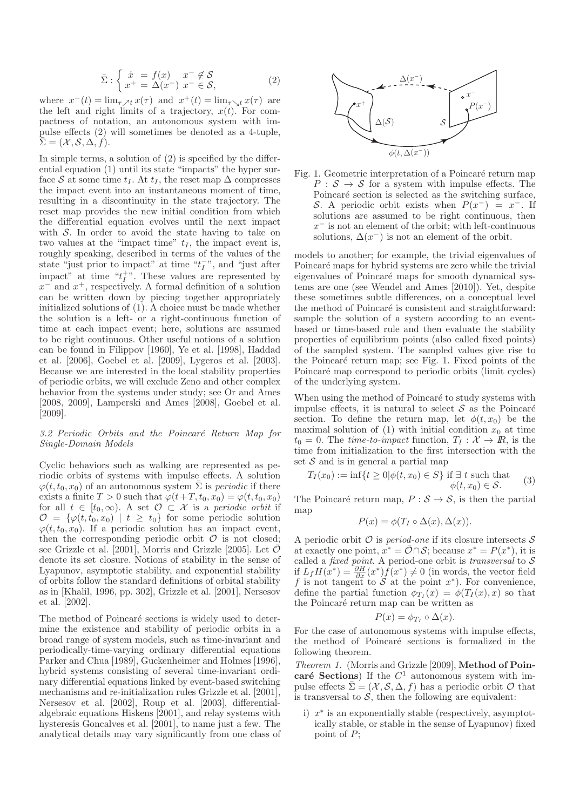$$
\bar{\Sigma} : \begin{cases} \dot{x} = f(x) & x^- \notin \mathcal{S} \\ x^+ = \Delta(x^-) & x^- \in \mathcal{S}, \end{cases}
$$
 (2)

where  $x^{-}(t) = \lim_{\tau \to t} x(\tau)$  and  $x^{+}(t) = \lim_{\tau \to t} x(\tau)$  are the left and right limits of a trajectory,  $x(t)$ . For compactness of notation, an autonomous system with impulse effects (2) will sometimes be denoted as a 4-tuple,  $\bar{\Sigma} = (\mathcal{X}, \mathcal{S}, \Delta, f).$ 

In simple terms, a solution of (2) is specified by the differential equation (1) until its state "impacts" the hyper surface S at some time  $t_I$ . At  $t_I$ , the reset map  $\Delta$  compresses the impact event into an instantaneous moment of time, resulting in a discontinuity in the state trajectory. The reset map provides the new initial condition from which the differential equation evolves until the next impact with  $S$ . In order to avoid the state having to take on two values at the "impact time"  $t_I$ , the impact event is, roughly speaking, described in terms of the values of the state "just prior to impact" at time " $t_I^{-n}$ , and "just after impact" at time " $t_I^+$ ". These values are represented by  $x^-$  and  $x^+$ , respectively. A formal definition of a solution can be written down by piecing together appropriately initialized solutions of (1). A choice must be made whether the solution is a left- or a right-continuous function of time at each impact event; here, solutions are assumed to be right continuous. Other useful notions of a solution can be found in Filippov [1960], Ye et al. [1998], Haddad et al. [2006], Goebel et al. [2009], Lygeros et al. [2003]. Because we are interested in the local stability properties of periodic orbits, we will exclude Zeno and other complex behavior from the systems under study; see Or and Ames [2008, 2009], Lamperski and Ames [2008], Goebel et al. [2009].

#### 3.2 Periodic Orbits and the Poincaré Return Map for Single-Domain Models

Cyclic behaviors such as walking are represented as periodic orbits of systems with impulse effects. A solution  $\varphi(t, t_0, x_0)$  of an autonomous system  $\Sigma$  is *periodic* if there exists a finite  $T > 0$  such that  $\varphi(t+T,t_0,x_0) = \varphi(t,t_0,x_0)$ for all  $t \in [t_0, \infty)$ . A set  $\mathcal{O} \subset \mathcal{X}$  is a periodic orbit if  $\mathcal{O} = \{ \varphi(t, t_0, x_0) \mid t \geq t_0 \}$  for some periodic solution  $\varphi(t, t_0, x_0)$ . If a periodic solution has an impact event, then the corresponding periodic orbit  $\mathcal O$  is not closed; see Grizzle et al. [2001], Morris and Grizzle [2005]. Let  $\overline{\mathcal{O}}$ denote its set closure. Notions of stability in the sense of Lyapunov, asymptotic stability, and exponential stability of orbits follow the standard definitions of orbital stability as in [Khalil, 1996, pp. 302], Grizzle et al. [2001], Nersesov et al. [2002].

The method of Poincaré sections is widely used to determine the existence and stability of periodic orbits in a broad range of system models, such as time-invariant and periodically-time-varying ordinary differential equations Parker and Chua [1989], Guckenheimer and Holmes [1996], hybrid systems consisting of several time-invariant ordinary differential equations linked by event-based switching mechanisms and re-initialization rules Grizzle et al. [2001], Nersesov et al. [2002], Roup et al. [2003], differentialalgebraic equations Hiskens [2001], and relay systems with hysteresis Goncalves et al. [2001], to name just a few. The analytical details may vary significantly from one class of



Fig. 1. Geometric interpretation of a Poincaré return map  $P : S \rightarrow S$  for a system with impulse effects. The Poincaré section is selected as the switching surface, S. A periodic orbit exists when  $P(x^{-}) = x^{-}$ . If solutions are assumed to be right continuous, then  $x^-$  is not an element of the orbit; with left-continuous solutions,  $\Delta(x^-)$  is not an element of the orbit.

models to another; for example, the trivial eigenvalues of Poincaré maps for hybrid systems are zero while the trivial eigenvalues of Poincaré maps for smooth dynamical systems are one (see Wendel and Ames [2010]). Yet, despite these sometimes subtle differences, on a conceptual level the method of Poincaré is consistent and straightforward: sample the solution of a system according to an eventbased or time-based rule and then evaluate the stability properties of equilibrium points (also called fixed points) of the sampled system. The sampled values give rise to the Poincaré return map; see Fig. 1. Fixed points of the Poincaré map correspond to periodic orbits (limit cycles) of the underlying system.

When using the method of Poincaré to study systems with impulse effects, it is natural to select  $\mathcal S$  as the Poincaré section. To define the return map, let  $\phi(t, x_0)$  be the maximal solution of (1) with initial condition  $x_0$  at time  $t_0 = 0$ . The time-to-impact function,  $T_I : \mathcal{X} \to \mathbb{R}$ , is the time from initialization to the first intersection with the set  $S$  and is in general a partial map

$$
T_I(x_0) := \inf\{t \ge 0 | \phi(t, x_0) \in S\} \text{ if } \exists t \text{ such that } \phi(t, x_0) \in S. \tag{3}
$$

The Poincaré return map,  $P : S \rightarrow S$ , is then the partial map

$$
P(x) = \phi(T_I \circ \Delta(x), \Delta(x)).
$$

A periodic orbit  $\mathcal O$  is *period-one* if its closure intersects  $\mathcal S$ at exactly one point,  $x^* = \overline{\mathcal{O}} \cap \mathcal{S}$ ; because  $x^* = P(x^*)$ , it is called a *fixed point*. A period-one orbit is *transversal* to  $S$ if  $L_f H(x^*) = \frac{\partial H}{\partial x}(x^*) f(x^*) \neq 0$  (in words, the vector field f is not tangent to S at the point  $x^*$ ). For convenience, define the partial function  $\phi_{T_I}(x) = \phi(T_I(x), x)$  so that the Poincaré return map can be written as

$$
P(x) = \phi_{T_I} \circ \Delta(x).
$$

For the case of autonomous systems with impulse effects, the method of Poincaré sections is formalized in the following theorem.

Theorem 1. (Morris and Grizzle [2009], **Method of Poincaré Sections**) If the  $C<sup>1</sup>$  autonomous system with impulse effects  $\bar{\Sigma}=(\mathcal{X}, \mathcal{S}, \Delta, f)$  has a periodic orbit  $\mathcal O$  that is transversal to  $S$ , then the following are equivalent:

i) x<sup>∗</sup> is an exponentially stable (respectively, asymptotically stable, or stable in the sense of Lyapunov) fixed point of P;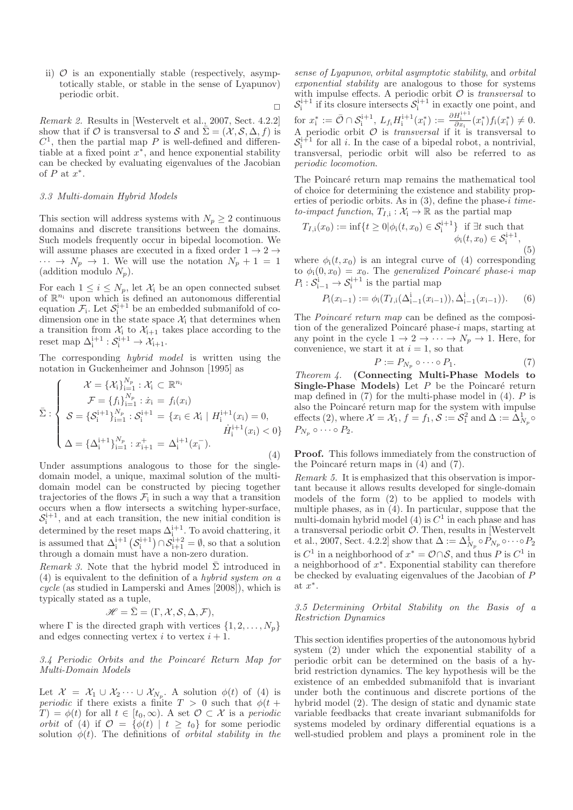ii)  $\mathcal O$  is an exponentially stable (respectively, asymptotically stable, or stable in the sense of Lyapunov) periodic orbit.

 $\Box$ 

Remark 2. Results in [Westervelt et al., 2007, Sect. 4.2.2] show that if O is transversal to S and  $\bar{\Sigma}=(\mathcal{X}, \mathcal{S}, \Delta, f)$  is  $C<sup>1</sup>$ , then the partial map P is well-defined and differentiable at a fixed point  $x^*$ , and hence exponential stability can be checked by evaluating eigenvalues of the Jacobian of  $P$  at  $x^*$ .

#### 3.3 Multi-domain Hybrid Models

This section will address systems with  $N_p \geq 2$  continuous domains and discrete transitions between the domains. Such models frequently occur in bipedal locomotion. We will assume phases are executed in a fixed order  $1 \rightarrow 2 \rightarrow$  $\cdots \rightarrow N_p \rightarrow 1$ . We will use the notation  $N_p + 1 = 1$ (addition modulo  $N_p$ ).

For each  $1 \leq i \leq N_p$ , let  $\mathcal{X}_i$  be an open connected subset of  $\mathbb{R}^{n_i}$  upon which is defined an autonomous differential equation  $\mathcal{F}_i$ . Let  $\mathcal{S}_i^{i+1}$  be an embedded submanifold of codimension one in the state space  $\mathcal{X}_i$  that determines when a transition from  $\mathcal{X}_i$  to  $\mathcal{X}_{i+1}$  takes place according to the reset map  $\Delta_i^{i+1} : S_i^{i+1} \to \mathcal{X}_{i+1}.$ 

The corresponding hybrid model is written using the notation in Guckenheimer and Johnson [1995] as

 $\mathbf{N}$ 

$$
\bar{\Sigma} : \begin{cases}\n\mathcal{X} = \{ \mathcal{X}_i \}_{i=1}^{N_p} : \mathcal{X}_i \subset \mathbb{R}^{n_i} \\
\mathcal{F} = \{ f_i \}_{i=1}^{N_p} : \dot{x}_i = f_i(x_i) \\
\mathcal{S} = \{ \mathcal{S}_i^{i+1} \}_{i=1}^{N_p} : \mathcal{S}_i^{i+1} = \{ x_i \in \mathcal{X}_i \mid H_i^{i+1}(x_i) = 0, \\
\dot{H}_i^{i+1}(x_i) < 0 \} \\
\Delta = \{ \Delta_i^{i+1} \}_{i=1}^{N_p} : x_{i+1}^+ = \Delta_i^{i+1}(x_i^-).\n\end{cases} \tag{4}
$$

Under assumptions analogous to those for the singledomain model, a unique, maximal solution of the multidomain model can be constructed by piecing together trajectories of the flows  $\mathcal{F}_i$  in such a way that a transition occurs when a flow intersects a switching hyper-surface,  $S_i^{i+1}$ , and at each transition, the new initial condition is determined by the reset maps  $\Delta_i^{i+1}$ . To avoid chattering, it is assumed that  $\Delta_i^{i+1}$   $(S_i^{i+1}) \cap S_{i+1}^{i+2} = \emptyset$ , so that a solution through a domain must have a non-zero duration.

Remark 3. Note that the hybrid model  $\Sigma$  introduced in (4) is equivalent to the definition of a hybrid system on a cycle (as studied in Lamperski and Ames [2008]), which is typically stated as a tuple,

$$
\mathscr{H} = \bar{\Sigma} = (\Gamma, \mathcal{X}, \mathcal{S}, \Delta, \mathcal{F}),
$$

where  $\Gamma$  is the directed graph with vertices  $\{1, 2, \ldots, N_p\}$ and edges connecting vertex i to vertex  $i + 1$ .

3.4 Periodic Orbits and the Poincaré Return Map for Multi-Domain Models

Let  $\mathcal{X} = \mathcal{X}_1 \cup \mathcal{X}_2 \cdots \cup \mathcal{X}_{N_p}$ . A solution  $\phi(t)$  of (4) is *periodic* if there exists a finite  $T > 0$  such that  $\phi(t +$  $T) = \phi(t)$  for all  $t \in [t_0, \infty)$ . A set  $\mathcal{O} \subset \mathcal{X}$  is a periodic orbit of (4) if  $\mathcal{O} = \{ \phi(t) \mid t \geq t_0 \}$  for some periodic solution  $\phi(t)$ . The definitions of *orbital stability in the* 

sense of Lyapunov, orbital asymptotic stability, and orbital exponential stability are analogous to those for systems with impulse effects. A periodic orbit  $\mathcal O$  is transversal to  $S_i^{i+1}$  if its closure intersects  $S_i^{i+1}$  in exactly one point, and for  $x_i^* := \overline{\mathcal{O}} \cap \mathcal{S}_i^{i+1}, L_{f_i} H_i^{i+1}(x_i^*) := \frac{\partial H_i^{i+1}}{\partial x_i}(x_i^*) f_i(x_i^*) \neq 0.$ A periodic orbit  $\mathcal O$  is transversal if it is transversal to  $S_i^{i+1}$  for all i. In the case of a bipedal robot, a nontrivial, transversal, periodic orbit will also be referred to as periodic locomotion.

The Poincaré return map remains the mathematical tool of choice for determining the existence and stability properties of periodic orbits. As in  $(3)$ , define the phase-i timeto-impact function,  $T_{I,i} : \mathcal{X}_i \to \mathbb{R}$  as the partial map

$$
T_{I,i}(x_0) := \inf\{t \ge 0 | \phi_i(t, x_0) \in \mathcal{S}_i^{i+1}\} \text{ if } \exists t \text{ such that } \phi_i(t, x_0) \in \mathcal{S}_i^{i+1},
$$
\n(5)

where  $\phi_i(t, x_0)$  is an integral curve of (4) corresponding to  $\phi_i(0, x_0) = x_0$ . The generalized Poincaré phase-i map  $P_i: \mathcal{S}_{i-1}^i \to \mathcal{S}_i^{i+1}$  is the partial map

$$
P_i(x_{i-1}) := \phi_i(T_{I,i}(\Delta_{i-1}^i(x_{i-1})), \Delta_{i-1}^i(x_{i-1})).
$$
 (6)

The *Poincaré return map* can be defined as the composition of the generalized Poincaré phase- $i$  maps, starting at any point in the cycle  $1 \to 2 \to \cdots \to N_p \to 1$ . Here, for convenience, we start it at  $i = 1$ , so that

$$
P := P_{N_p} \circ \cdots \circ P_1. \tag{7}
$$

Theorem 4. **(Connecting Multi-Phase Models to Single-Phase Models**) Let P be the Poincaré return map defined in  $(7)$  for the multi-phase model in  $(4)$ . P is also the Poincaré return map for the system with impulse effects (2), where  $\mathcal{X} = \mathcal{X}_1, f = f_1, \mathcal{S} := \mathcal{S}_1^2$  and  $\Delta := \overline{\Delta}_{N_p}^1 \circ$  $P_{N_p} \circ \cdots \circ P_2.$ 

**Proof.** This follows immediately from the construction of the Poincaré return maps in  $(4)$  and  $(7)$ .

Remark 5. It is emphasized that this observation is important because it allows results developed for single-domain models of the form (2) to be applied to models with multiple phases, as in  $(4)$ . In particular, suppose that the multi-domain hybrid model (4) is  $C^1$  in each phase and has a transversal periodic orbit  $\mathcal{O}$ . Then, results in [Westervelt] et al., 2007, Sect. 4.2.2] show that  $\Delta := \Delta_{N_p}^1 \circ P_{N_p} \circ \cdots \circ P_2$ is  $C^1$  in a neighborhood of  $x^* = \mathcal{O} \cap \mathcal{S}$ , and thus P is  $C^1$  in a neighborhood of  $x^*$ . Exponential stability can therefore be checked by evaluating eigenvalues of the Jacobian of P at  $x^*$ .

3.5 Determining Orbital Stability on the Basis of a Restriction Dynamics

This section identifies properties of the autonomous hybrid system (2) under which the exponential stability of a periodic orbit can be determined on the basis of a hybrid restriction dynamics. The key hypothesis will be the existence of an embedded submanifold that is invariant under both the continuous and discrete portions of the hybrid model (2). The design of static and dynamic state variable feedbacks that create invariant submanifolds for systems modeled by ordinary differential equations is a well-studied problem and plays a prominent role in the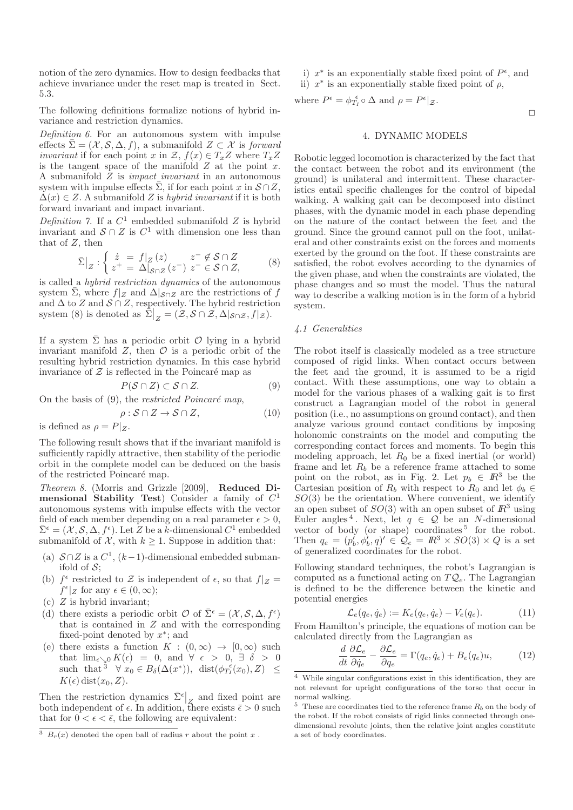notion of the zero dynamics. How to design feedbacks that achieve invariance under the reset map is treated in Sect. 5.3.

The following definitions formalize notions of hybrid invariance and restriction dynamics.

Definition 6. For an autonomous system with impulse effects  $\bar{\Sigma}=(\mathcal{X}, \mathcal{S}, \Delta, f)$ , a submanifold  $Z \subset \mathcal{X}$  is forward *invariant* if for each point x in Z,  $f(x) \in T_xZ$  where  $T_xZ$ is the tangent space of the manifold  $Z$  at the point  $x$ . A submanifold  $\overline{Z}$  is *impact invariant* in an autonomous system with impulse effects  $\bar{\Sigma}$ , if for each point x in  $\mathcal{S} \cap Z$ ,  $\Delta(x) \in Z$ . A submanifold Z is hybrid invariant if it is both forward invariant and impact invariant.

Definition 7. If a  $C^1$  embedded submanifold Z is hybrid invariant and  $S \cap Z$  is  $C^1$  with dimension one less than that of Z, then

$$
\bar{\Sigma}|_Z : \begin{cases} \dot{z} = f|_Z(z) & z^- \notin \mathcal{S} \cap Z \\ z^+ = \Delta|_{\mathcal{S} \cap Z}(z^-) & z^- \in \mathcal{S} \cap Z, \end{cases} \tag{8}
$$

is called a hybrid restriction dynamics of the autonomous system  $\bar{\Sigma}$ , where  $f|_Z$  and  $\Delta|_{\mathcal{S}\cap Z}$  are the restrictions of f and  $\Delta$  to Z and  $S \cap Z$ , respectively. The hybrid restriction system (8) is denoted as  $\sum_{|Z|} = (\mathcal{Z}, S \cap \mathcal{Z}, \Delta|_{S \cap \mathcal{Z}}, f|_{\mathcal{Z}})$ .

If a system  $\bar{\Sigma}$  has a periodic orbit  $\mathcal O$  lying in a hybrid invariant manifold  $Z$ , then  $\mathcal O$  is a periodic orbit of the resulting hybrid restriction dynamics. In this case hybrid invariance of  $Z$  is reflected in the Poincaré map as

$$
P(S \cap Z) \subset S \cap Z. \tag{9}
$$

On the basis of  $(9)$ , the *restricted Poincaré map*,

$$
\rho: \mathcal{S} \cap Z \to \mathcal{S} \cap Z, \tag{10}
$$

is defined as  $\rho = P|_{Z}$ .

The following result shows that if the invariant manifold is sufficiently rapidly attractive, then stability of the periodic orbit in the complete model can be deduced on the basis of the restricted Poincaré map.

Theorem 8. (Morris and Grizzle [2009], **Reduced Dimensional Stability Test**) Consider a family of  $C<sup>1</sup>$ autonomous systems with impulse effects with the vector field of each member depending on a real parameter  $\epsilon > 0$ ,  $\bar{\Sigma}^{\epsilon} = (\mathcal{X}, \mathcal{S}, \Delta, f^{\epsilon}).$  Let Z be a k-dimensional  $C^{1}$  embedded submanifold of  $\mathcal{X}$ , with  $k \geq 1$ . Suppose in addition that:

- (a)  $S \cap Z$  is a  $C^1$ ,  $(k-1)$ -dimensional embedded submanifold of  $S$ ;
- (b)  $f^{\epsilon}$  restricted to Z is independent of  $\epsilon$ , so that  $f|_Z =$  $f^{\epsilon}|z$  for any  $\epsilon \in (0,\infty);$
- $(c)$  Z is hybrid invariant;
- (d) there exists a periodic orbit  $\mathcal{O}$  of  $\bar{\Sigma}^{\epsilon} = (\mathcal{X}, \mathcal{S}, \Delta, f^{\epsilon})$ that is contained in  $Z$  and with the corresponding fixed-point denoted by  $x^*$ ; and
- (e) there exists a function  $K : (0, \infty) \to [0, \infty)$  such that  $\lim_{\epsilon \searrow 0} K(\epsilon) = 0$ , and  $\forall \epsilon > 0, \exists \delta > 0$ such that  $\hat{\beta} \quad \forall \; x_0 \in B_\delta(\Delta(x^*)), \text{ dist}(\phi_{T_I}(x_0), Z) \leq$  $K(\epsilon)$  dist $(x_0, Z)$ .

Then the restriction dynamics  $\bar{\Sigma}^{\epsilon}|_Z$  and fixed point are both independent of  $\epsilon$ . In addition, there exists  $\bar{\epsilon} > 0$  such that for  $0 < \epsilon < \bar{\epsilon}$ , the following are equivalent:

i)  $x^*$  is an exponentially stable fixed point of  $P^{\epsilon}$ , and ii)  $x^*$  is an exponentially stable fixed point of  $\rho$ ,

where 
$$
P^{\epsilon} = \phi_{T_I}^{\epsilon} \circ \Delta
$$
 and  $\rho = P^{\epsilon} | z$ .

# 4. DYNAMIC MODELS

 $\Box$ 

Robotic legged locomotion is characterized by the fact that the contact between the robot and its environment (the ground) is unilateral and intermittent. These characteristics entail specific challenges for the control of bipedal walking. A walking gait can be decomposed into distinct phases, with the dynamic model in each phase depending on the nature of the contact between the feet and the ground. Since the ground cannot pull on the foot, unilateral and other constraints exist on the forces and moments exerted by the ground on the foot. If these constraints are satisfied, the robot evolves according to the dynamics of the given phase, and when the constraints are violated, the phase changes and so must the model. Thus the natural way to describe a walking motion is in the form of a hybrid system.

#### 4.1 Generalities

The robot itself is classically modeled as a tree structure composed of rigid links. When contact occurs between the feet and the ground, it is assumed to be a rigid contact. With these assumptions, one way to obtain a model for the various phases of a walking gait is to first construct a Lagrangian model of the robot in general position (i.e., no assumptions on ground contact), and then analyze various ground contact conditions by imposing holonomic constraints on the model and computing the corresponding contact forces and moments. To begin this modeling approach, let  $R_0$  be a fixed inertial (or world) frame and let  $R_b$  be a reference frame attached to some point on the robot, as in Fig. 2. Let  $p_b \in \mathbb{R}^3$  be the Cartesian position of  $R_b$  with respect to  $R_0$  and let  $\phi_b \in$  $SO(3)$  be the orientation. Where convenient, we identify an open subset of  $SO(3)$  with an open subset of  $\mathbb{R}^3$  using Euler angles<sup>4</sup>. Next, let  $q \in \mathcal{Q}$  be an N-dimensional vector of body (or shape) coordinates  $5$  for the robot. Then  $q_e = (p'_b, \phi'_b, q)' \in \mathcal{Q}_e = \mathbb{R}^3 \times SO(3) \times Q$  is a set of generalized coordinates for the robot.

Following standard techniques, the robot's Lagrangian is computed as a functional acting on  $TQ_e$ . The Lagrangian is defined to be the difference between the kinetic and potential energies

$$
\mathcal{L}_e(q_e, \dot{q}_e) := K_e(q_e, \dot{q}_e) - V_e(q_e). \tag{11}
$$

From Hamilton's principle, the equations of motion can be calculated directly from the Lagrangian as

$$
\frac{d}{dt}\frac{\partial \mathcal{L}_e}{\partial \dot{q}_e} - \frac{\partial \mathcal{L}_e}{\partial q_e} = \Gamma(q_e, \dot{q}_e) + B_e(q_e)u,\tag{12}
$$

<sup>&</sup>lt;sup>3</sup>  $B_r(x)$  denoted the open ball of radius r about the point x.

<sup>4</sup> While singular configurations exist in this identification, they are not relevant for upright configurations of the torso that occur in normal walking.

<sup>&</sup>lt;sup>5</sup> These are coordinates tied to the reference frame  $R_b$  on the body of the robot. If the robot consists of rigid links connected through onedimensional revolute joints, then the relative joint angles constitute a set of body coordinates.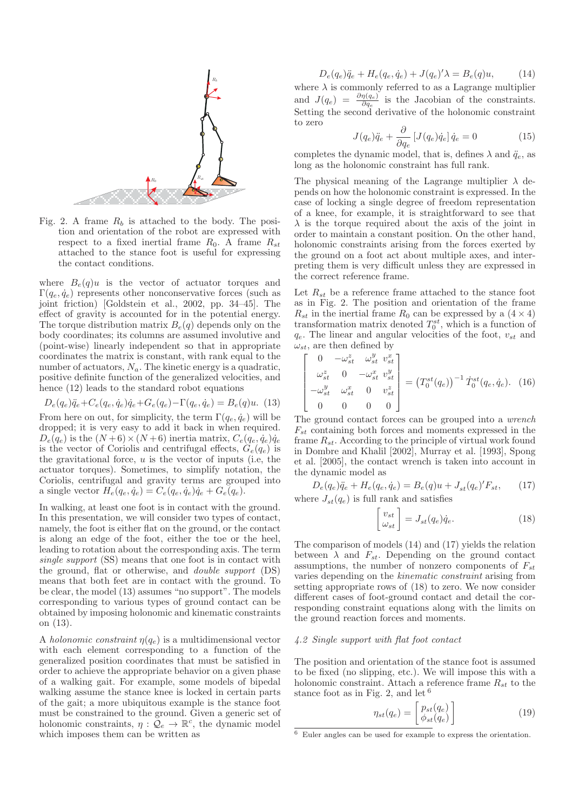

Fig. 2. A frame  $R_b$  is attached to the body. The position and orientation of the robot are expressed with respect to a fixed inertial frame  $R_0$ . A frame  $R_{st}$ attached to the stance foot is useful for expressing the contact conditions.

where  $B_e(q)u$  is the vector of actuator torques and  $\Gamma(q_e, \dot{q}_e)$  represents other nonconservative forces (such as joint friction) [Goldstein et al., 2002, pp. 34–45]. The effect of gravity is accounted for in the potential energy. The torque distribution matrix  $B_e(q)$  depends only on the body coordinates; its columns are assumed involutive and (point-wise) linearly independent so that in appropriate coordinates the matrix is constant, with rank equal to the number of actuators,  $N_a$ . The kinetic energy is a quadratic, positive definite function of the generalized velocities, and hence (12) leads to the standard robot equations

$$
D_e(q_e)\ddot{q}_e + C_e(q_e, \dot{q}_e)\dot{q}_e + G_e(q_e) - \Gamma(q_e, \dot{q}_e) = B_e(q)u.
$$
 (13)

From here on out, for simplicity, the term  $\Gamma(q_e, \dot{q}_e)$  will be dropped; it is very easy to add it back in when required.  $D_e(q_e)$  is the  $(N+6) \times (N+6)$  inertia matrix,  $C_e(q_e, \dot{q}_e) \dot{q}_e$ is the vector of Coriolis and centrifugal effects,  $G_e(q_e)$  is the gravitational force,  $u$  is the vector of inputs (i.e, the actuator torques). Sometimes, to simplify notation, the Coriolis, centrifugal and gravity terms are grouped into a single vector  $H_e(q_e, \dot{q}_e) = C_e(q_e, \dot{q}_e) \dot{q}_e + G_e(q_e)$ .

In walking, at least one foot is in contact with the ground. In this presentation, we will consider two types of contact, namely, the foot is either flat on the ground, or the contact is along an edge of the foot, either the toe or the heel, leading to rotation about the corresponding axis. The term single support (SS) means that one foot is in contact with the ground, flat or otherwise, and double support (DS) means that both feet are in contact with the ground. To be clear, the model (13) assumes "no support". The models corresponding to various types of ground contact can be obtained by imposing holonomic and kinematic constraints on (13).

A holonomic constraint  $\eta(q_e)$  is a multidimensional vector with each element corresponding to a function of the generalized position coordinates that must be satisfied in order to achieve the appropriate behavior on a given phase of a walking gait. For example, some models of bipedal walking assume the stance knee is locked in certain parts of the gait; a more ubiquitous example is the stance foot must be constrained to the ground. Given a generic set of holonomic constraints,  $\eta : \mathcal{Q}_e \to \mathbb{R}^c$ , the dynamic model which imposes them can be written as

$$
D_e(q_e)\ddot{q}_e + H_e(q_e, \dot{q}_e) + J(q_e)'\lambda = B_e(q)u,\tag{14}
$$

where  $\lambda$  is commonly referred to as a Lagrange multiplier and  $J(q_e) = \frac{\partial \eta(q_e)}{\partial q_e}$  is the Jacobian of the constraints. Setting the second derivative of the holonomic constraint to zero

$$
J(q_e)\ddot{q}_e + \frac{\partial}{\partial q_e} \left[ J(q_e)\dot{q}_e \right] \dot{q}_e = 0 \tag{15}
$$

completes the dynamic model, that is, defines  $\lambda$  and  $\ddot{q}_e$ , as long as the holonomic constraint has full rank.

The physical meaning of the Lagrange multiplier  $\lambda$  depends on how the holonomic constraint is expressed. In the case of locking a single degree of freedom representation of a knee, for example, it is straightforward to see that  $\lambda$  is the torque required about the axis of the joint in order to maintain a constant position. On the other hand, holonomic constraints arising from the forces exerted by the ground on a foot act about multiple axes, and interpreting them is very difficult unless they are expressed in the correct reference frame.

Let  $R_{st}$  be a reference frame attached to the stance foot as in Fig. 2. The position and orientation of the frame  $R_{st}$  in the inertial frame  $R_0$  can be expressed by a  $(4 \times 4)$ transformation matrix denoted  $T_0^{st}$ , which is a function of  $q_e$ . The linear and angular velocities of the foot,  $v_{st}$  and  $\omega_{st}$ , are then defined by

$$
\begin{bmatrix}\n0 & -\omega_{st}^{z} & \omega_{st}^{y} & v_{st}^{x} \\
\omega_{st}^{z} & 0 & -\omega_{st}^{x} & v_{st}^{y} \\
-\omega_{st}^{y} & \omega_{st}^{x} & 0 & v_{st}^{z} \\
0 & 0 & 0 & 0\n\end{bmatrix} = (T_{0}^{st}(q_{e}))^{-1} \dot{T}_{0}^{st}(q_{e}, \dot{q}_{e}). \quad (16)
$$

The ground contact forces can be grouped into a wrench  $F_{st}$  containing both forces and moments expressed in the frame  $R_{st}$ . According to the principle of virtual work found in Dombre and Khalil [2002], Murray et al. [1993], Spong et al. [2005], the contact wrench is taken into account in the dynamic model as

$$
D_e(q_e)\ddot{q}_e + H_e(q_e, \dot{q}_e) = B_e(q)u + J_{st}(q_e)'F_{st},\qquad(17)
$$

where  $J_{st}(q_e)$  is full rank and satisfies

$$
\begin{bmatrix} v_{st} \\ \omega_{st} \end{bmatrix} = J_{st}(q_e)\dot{q}_e.
$$
 (18)

The comparison of models (14) and (17) yields the relation between  $\lambda$  and  $F_{st}$ . Depending on the ground contact assumptions, the number of nonzero components of  $F_{st}$ varies depending on the kinematic constraint arising from setting appropriate rows of (18) to zero. We now consider different cases of foot-ground contact and detail the corresponding constraint equations along with the limits on the ground reaction forces and moments.

### 4.2 Single support with flat foot contact

The position and orientation of the stance foot is assumed to be fixed (no slipping, etc.). We will impose this with a holonomic constraint. Attach a reference frame  $R_{st}$  to the stance foot as in Fig. 2, and let  $^6$ 

$$
\eta_{st}(q_e) = \begin{bmatrix} p_{st}(q_e) \\ \phi_{st}(q_e) \end{bmatrix} \tag{19}
$$

 $^6\,$  Euler angles can be used for example to express the orientation.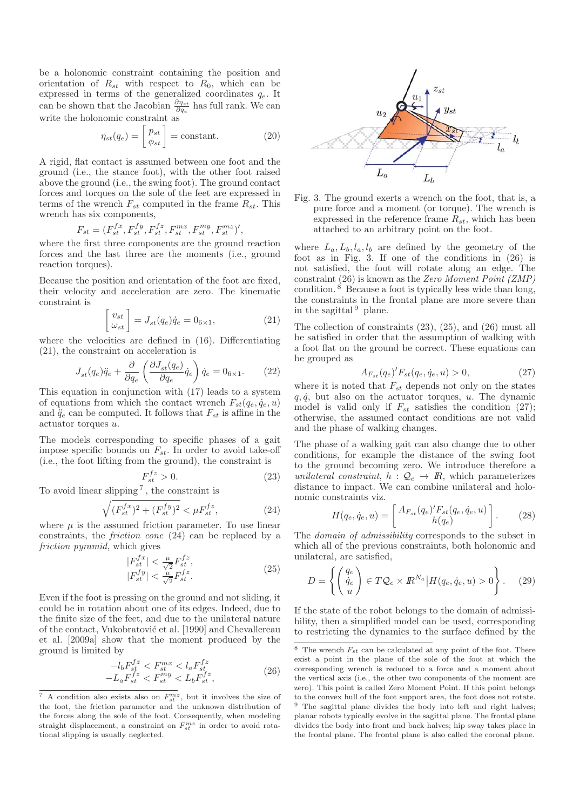be a holonomic constraint containing the position and orientation of  $R_{st}$  with respect to  $R_0$ , which can be expressed in terms of the generalized coordinates  $q_e$ . It can be shown that the Jacobian  $\frac{\partial \eta_{st}}{\partial q_e}$  has full rank. We can write the holonomic constraint as

$$
\eta_{st}(q_e) = \begin{bmatrix} p_{st} \\ \phi_{st} \end{bmatrix} = \text{constant.}
$$
 (20)

A rigid, flat contact is assumed between one foot and the ground (i.e., the stance foot), with the other foot raised above the ground (i.e., the swing foot). The ground contact forces and torques on the sole of the feet are expressed in terms of the wrench  $F_{st}$  computed in the frame  $R_{st}$ . This wrench has six components,

$$
F_{st} = (F_{st}^{fx}, F_{st}^{fy}, F_{st}^{fz}, F_{st}^{mx}, F_{st}^{my}, F_{st}^{mz})',
$$

where the first three components are the ground reaction forces and the last three are the moments (i.e., ground reaction torques).

Because the position and orientation of the foot are fixed, their velocity and acceleration are zero. The kinematic constraint is

$$
\begin{bmatrix} v_{st} \\ \omega_{st} \end{bmatrix} = J_{st}(q_e)\dot{q}_e = 0_{6\times 1},\tag{21}
$$

where the velocities are defined in (16). Differentiating (21), the constraint on acceleration is

$$
J_{st}(q_e)\ddot{q}_e + \frac{\partial}{\partial q_e} \left( \frac{\partial J_{st}(q_e)}{\partial q_e} \dot{q}_e \right) \dot{q}_e = 0_{6 \times 1}.
$$
 (22)

This equation in conjunction with (17) leads to a system of equations from which the contact wrench  $F_{st}(q_e, \dot{q}_e, u)$ and  $\ddot{q}_e$  can be computed. It follows that  $F_{st}$  is affine in the actuator torques u.

The models corresponding to specific phases of a gait impose specific bounds on  $F_{st}$ . In order to avoid take-off (i.e., the foot lifting from the ground), the constraint is

$$
F_{st}^{fz} > 0.\t\t(23)
$$

To avoid linear slipping  $\frac{7}{1}$ , the constraint is

$$
\sqrt{(F_{st}^{fx})^2 + (F_{st}^{fy})^2} < \mu F_{st}^{fx},\tag{24}
$$

where  $\mu$  is the assumed friction parameter. To use linear constraints, the friction cone (24) can be replaced by a friction pyramid, which gives

$$
|F_{st}^{fx}| < \frac{\mu}{\sqrt{2}} F_{st}^{fz},
$$
  

$$
|F_{st}^{fy}| < \frac{\mu}{\sqrt{2}} F_{st}^{fz}.
$$
 (25)

Even if the foot is pressing on the ground and not sliding, it could be in rotation about one of its edges. Indeed, due to the finite size of the feet, and due to the unilateral nature of the contact, Vukobratović et al. [1990] and Chevallereau et al. [2009a] show that the moment produced by the ground is limited by

$$
-l_b F_{st}^{fz} < F_{st}^{mx} < l_a F_{st}^{fz} -L_a F_{st}^{fz} < F_{st}^{my} < L_b F_{st}^{fz}, \tag{26}
$$



Fig. 3. The ground exerts a wrench on the foot, that is, a pure force and a moment (or torque). The wrench is expressed in the reference frame  $R_{st}$ , which has been attached to an arbitrary point on the foot.

where  $L_a, L_b, l_a, l_b$  are defined by the geometry of the foot as in Fig. 3. If one of the conditions in (26) is not satisfied, the foot will rotate along an edge. The constraint  $(26)$  is known as the Zero Moment Point (ZMP) condition.  $\delta$  Because a foot is typically less wide than long, the constraints in the frontal plane are more severe than in the sagittal  $9$  plane.

The collection of constraints (23), (25), and (26) must all be satisfied in order that the assumption of walking with a foot flat on the ground be correct. These equations can be grouped as

$$
A_{F_{st}}(q_e)'F_{st}(q_e, \dot{q}_e, u) > 0, \qquad (27)
$$

where it is noted that  $F_{st}$  depends not only on the states  $q, \dot{q}$ , but also on the actuator torques, u. The dynamic model is valid only if  $F_{st}$  satisfies the condition (27); otherwise, the assumed contact conditions are not valid and the phase of walking changes.

The phase of a walking gait can also change due to other conditions, for example the distance of the swing foot to the ground becoming zero. We introduce therefore a unilateral constraint,  $h : \mathcal{Q}_e \to \mathbb{R}$ , which parameterizes distance to impact. We can combine unilateral and holonomic constraints viz.

$$
H(q_e, \dot{q}_e, u) = \begin{bmatrix} A_{F_{st}}(q_e)' F_{st}(q_e, \dot{q}_e, u) \\ h(q_e) \end{bmatrix} . \tag{28}
$$

The domain of admissibility corresponds to the subset in which all of the previous constraints, both holonomic and unilateral, are satisfied,

$$
D = \left\{ \begin{pmatrix} q_e \\ \dot{q}_e \\ u \end{pmatrix} \in T\mathcal{Q}_e \times \mathbb{R}^{N_a} \middle| H(q_e, \dot{q}_e, u) > 0 \right\}.
$$
 (29)

If the state of the robot belongs to the domain of admissibility, then a simplified model can be used, corresponding to restricting the dynamics to the surface defined by the

<sup>&</sup>lt;sup>7</sup> A condition also exists also on  $F_{st}^{mz}$ , but it involves the size of the foot, the friction parameter and the unknown distribution of the forces along the sole of the foot. Consequently, when modeling straight displacement, a constraint on  $F_{st}^{mz}$  in order to avoid rotational slipping is usually neglected.

<sup>&</sup>lt;sup>8</sup> The wrench  $F_{st}$  can be calculated at any point of the foot. There exist a point in the plane of the sole of the foot at which the corresponding wrench is reduced to a force and a moment about the vertical axis (i.e., the other two components of the moment are zero). This point is called Zero Moment Point. If this point belongs to the convex hull of the foot support area, the foot does not rotate. <sup>9</sup> The sagittal plane divides the body into left and right halves; planar robots typically evolve in the sagittal plane. The frontal plane divides the body into front and back halves; hip sway takes place in the frontal plane. The frontal plane is also called the coronal plane.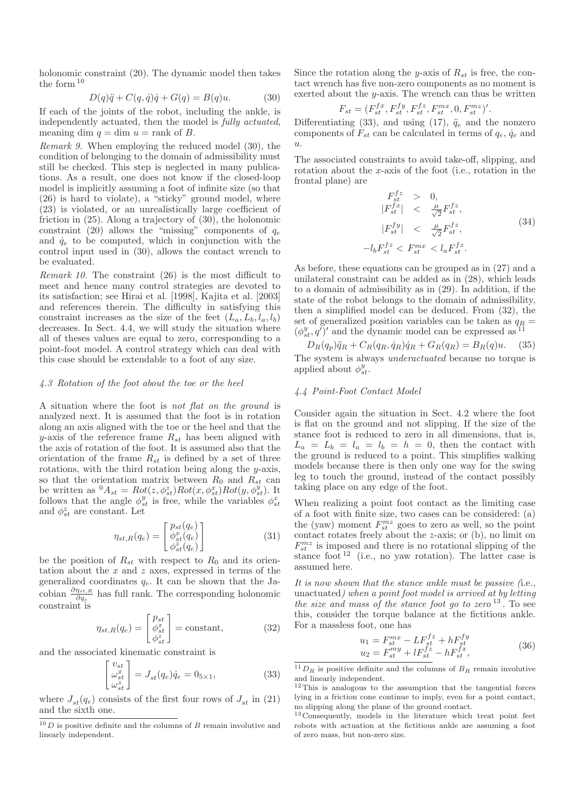holonomic constraint (20). The dynamic model then takes the form <sup>10</sup>

$$
D(q)\ddot{q} + C(q,\dot{q})\dot{q} + G(q) = B(q)u.
$$
 (30)

If each of the joints of the robot, including the ankle, is independently actuated, then the model is fully actuated, meaning dim  $q = \dim u = \text{rank of } B$ .

Remark 9. When employing the reduced model (30), the condition of belonging to the domain of admissibility must still be checked. This step is neglected in many publications. As a result, one does not know if the closed-loop model is implicitly assuming a foot of infinite size (so that (26) is hard to violate), a "sticky" ground model, where  $(23)$  is violated, or an unrealistically large coefficient of friction in (25). Along a trajectory of (30), the holonomic constraint (20) allows the "missing" components of  $q_e$ and  $\dot{q}_e$  to be computed, which in conjunction with the control input used in (30), allows the contact wrench to be evaluated.

Remark 10. The constraint (26) is the most difficult to meet and hence many control strategies are devoted to its satisfaction; see Hirai et al. [1998], Kajita et al. [2003] and references therein. The difficulty in satisfying this constraint increases as the size of the feet  $(L_a, L_b, l_a, l_b)$ decreases. In Sect. 4.4, we will study the situation where all of theses values are equal to zero, corresponding to a point-foot model. A control strategy which can deal with this case should be extendable to a foot of any size.

# 4.3 Rotation of the foot about the toe or the heel

A situation where the foot is not flat on the ground is analyzed next. It is assumed that the foot is in rotation along an axis aligned with the toe or the heel and that the y-axis of the reference frame  $R_{st}$  has been aligned with the axis of rotation of the foot. It is assumed also that the orientation of the frame  $R_{st}$  is defined by a set of three rotations, with the third rotation being along the y-axis, so that the orientation matrix between  $R_0$  and  $R_{st}$  can be written as  ${}^0A_{st} = Rot(z, \phi_{st}^z)Rot(x, \phi_{st}^x)Rot(y, \phi_{st}^y)$ . It follows that the angle  $\phi_{st}^y$  is free, while the variables  $\phi_{st}^x$ and  $\phi_{st}^z$  are constant. Let

$$
\eta_{st,R}(q_e) = \begin{bmatrix} p_{st}(q_e) \\ \phi_{st}^x(q_e) \\ \phi_{st}^z(q_e) \end{bmatrix}
$$
 (31)

be the position of  $R_{st}$  with respect to  $R_0$  and its orientation about the  $x$  and  $z$  axes, expressed in terms of the generalized coordinates  $q_e$ . It can be shown that the Jacobian  $\frac{\partial \eta_{st,R}}{\partial q_e}$  has full rank. The corresponding holonomic constraint is

$$
\eta_{st,R}(q_e) = \begin{bmatrix} p_{st} \\ \phi_{st}^x \\ \phi_{st}^z \end{bmatrix} = \text{constant},\tag{32}
$$

and the associated kinematic constraint is

$$
\begin{bmatrix} v_{st} \\ \omega_{st}^x \\ \omega_{st}^z \end{bmatrix} = J_{st}(q_e)\dot{q}_e = 0_{5\times 1},\tag{33}
$$

where  $J_{st}(q_e)$  consists of the first four rows of  $J_{st}$  in (21) and the sixth one.

Since the rotation along the y-axis of  $R_{st}$  is free, the contact wrench has five non-zero components as no moment is exerted about the  $y$ -axis. The wrench can thus be written

$$
F_{st} = (F_{st}^{fx}, F_{st}^{fy}, F_{st}^{fz}, F_{st}^{mx}, 0, F_{st}^{mz})'.
$$

Differentiating (33), and using (17),  $\ddot{q}_e$  and the nonzero components of  $F_{st}$  can be calculated in terms of  $q_e$ ,  $\dot{q}_e$  and  $u$ .

The associated constraints to avoid take-off, slipping, and rotation about the  $x$ -axis of the foot (i.e., rotation in the frontal plane) are

$$
F_{st}^{fz} > 0,
$$
  
\n
$$
|F_{st}^{fx}| < \frac{\mu}{\sqrt{2}} F_{st}^{fz},
$$
  
\n
$$
|F_{st}^{fy}| < \frac{\mu}{\sqrt{2}} F_{st}^{fz},
$$
  
\n
$$
-l_b F_{st}^{fz} < F_{st}^{mx} < l_a F_{st}^{fz}.
$$
  
\n(34)

As before, these equations can be grouped as in (27) and a unilateral constraint can be added as in (28), which leads to a domain of admissibility as in (29). In addition, if the state of the robot belongs to the domain of admissibility, then a simplified model can be deduced. From (32), the set of generalized position variables can be taken as  $q_R =$  $(\phi_{st}^y, q^y)$  and the dynamic model can be expressed as <sup>11</sup>

 $D_R(q_p)\ddot{q}_R + C_R(q_R, \dot{q}_R)\dot{q}_R + G_R(q_R) = B_R(q)u.$  (35) The system is always underactuated because no torque is applied about  $\phi_{st}^y$ .

#### 4.4 Point-Foot Contact Model

Consider again the situation in Sect. 4.2 where the foot is flat on the ground and not slipping. If the size of the stance foot is reduced to zero in all dimensions, that is,  $L_a = L_b = l_a = l_b = h = 0$ , then the contact with the ground is reduced to a point. This simplifies walking models because there is then only one way for the swing leg to touch the ground, instead of the contact possibly taking place on any edge of the foot.

When realizing a point foot contact as the limiting case of a foot with finite size, two cases can be considered: (a) the (yaw) moment  $F_{st}^{mz}$  goes to zero as well, so the point contact rotates freely about the z-axis; or (b), no limit on  $F_{st}^{mz}$  is imposed and there is no rotational slipping of the stance foot<sup>12</sup> (i.e., no yaw rotation). The latter case is assumed here.

It is now shown that the stance ankle must be passive (i.e., unactuated) when a point foot model is arrived at by letting the size and mass of the stance foot go to zero  $^{13}$ . To see this, consider the torque balance at the fictitious ankle. For a massless foot, one has

$$
u_1 = F_{st}^{mx} - LF_{st}^{fz} + hF_{st}^{fy}
$$
  
\n
$$
u_2 = F_{st}^{my} + lF_{st}^{fz} - hF_{st}^{fx},
$$
\n(36)

 $10 D$  is positive definite and the columns of B remain involutive and linearly independent.

 $\overline{^{11}D_R}$  is positive definite and the columns of  $B_R$  remain involutive and linearly independent.

 $12$ This is analogous to the assumption that the tangential forces lying in a friction cone continue to imply, even for a point contact, no slipping along the plane of the ground contact.

<sup>&</sup>lt;sup>13</sup> Consequently, models in the literature which treat point feet robots with actuation at the fictitious ankle are assuming a foot of zero mass, but non-zero size.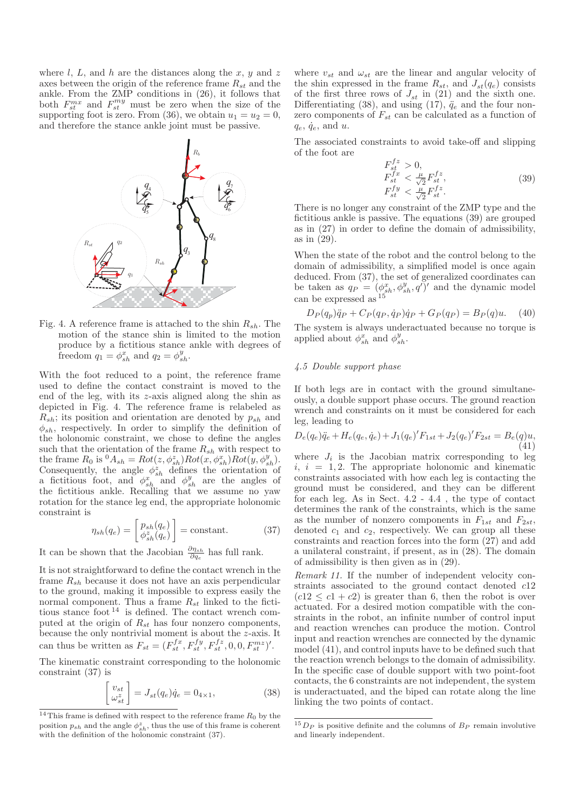where l, L, and h are the distances along the x, y and z axes between the origin of the reference frame  $R_{st}$  and the ankle. From the ZMP conditions in (26), it follows that both  $F_{st}^{mx}$  and  $F_{st}^{my}$  must be zero when the size of the supporting foot is zero. From (36), we obtain  $u_1 = u_2 = 0$ , and therefore the stance ankle joint must be passive.



Fig. 4. A reference frame is attached to the shin  $R_{sh}$ . The motion of the stance shin is limited to the motion produce by a fictitious stance ankle with degrees of freedom  $q_1 = \phi_{sh}^x$  and  $q_2 = \phi_{sh}^y$ .

With the foot reduced to a point, the reference frame used to define the contact constraint is moved to the end of the leg, with its z-axis aligned along the shin as depicted in Fig. 4. The reference frame is relabeled as  $R_{sh}$ ; its position and orientation are denoted by  $p_{sh}$  and  $\phi_{sh}$ , respectively. In order to simplify the definition of the holonomic constraint, we chose to define the angles such that the orientation of the frame  $R_{sh}$  with respect to the frame  $R_0$  is  ${}^0A_{sh} = Rot(z, \phi_{sh}^z)Rot(\ddot{x}, \phi_{sh}^x)Rot(\dot{y}, \phi_{sh}^y).$ Consequently, the angle  $\phi_{sh}^z$  defines the orientation of a fictitious foot, and  $\phi_{sh}^{x}$  and  $\phi_{sh}^{y}$  are the angles of the fictitious ankle. Recalling that we assume no yaw rotation for the stance leg end, the appropriate holonomic constraint is

$$
\eta_{sh}(q_e) = \begin{bmatrix} p_{sh}(q_e) \\ \phi_{sh}^z(q_e) \end{bmatrix} = \text{constant.}
$$
 (37)

It can be shown that the Jacobian  $\frac{\partial \eta_{sh}}{\partial q_e}$  has full rank.

It is not straightforward to define the contact wrench in the frame  $R_{sh}$  because it does not have an axis perpendicular to the ground, making it impossible to express easily the normal component. Thus a frame  $R_{st}$  linked to the fictitious stance foot<sup>14</sup> is defined. The contact wrench computed at the origin of  $R_{st}$  has four nonzero components, because the only nontrivial moment is about the z-axis. It can thus be written as  $F_{st} = (F_{st}^{fx}, F_{st}^{fy}, F_{st}^{fz}, 0, 0, F_{st}^{mz})'$ .

The kinematic constraint corresponding to the holonomic constraint (37) is

$$
\begin{bmatrix} v_{st} \\ \omega_{st}^z \end{bmatrix} = J_{st}(q_e)\dot{q}_e = 0_{4\times 1},\tag{38}
$$

where  $v_{st}$  and  $\omega_{st}$  are the linear and angular velocity of the shin expressed in the frame  $R_{st}$ , and  $J_{st}(q_e)$  consists of the first three rows of  $J_{st}$  in (21) and the sixth one. Differentiating (38), and using (17),  $\ddot{q}_e$  and the four nonzero components of  $F_{st}$  can be calculated as a function of  $q_e, \dot{q}_e$ , and u.

The associated constraints to avoid take-off and slipping of the foot are

$$
F_{st}^{fz} > 0,
$$
  
\n
$$
F_{st}^{fx} < \frac{\mu}{\sqrt{2}} F_{st}^{fz},
$$
  
\n
$$
F_{st}^{fy} < \frac{\mu}{\sqrt{2}} F_{st}^{fz}.
$$
\n(39)

There is no longer any constraint of the ZMP type and the fictitious ankle is passive. The equations (39) are grouped as in (27) in order to define the domain of admissibility, as in (29).

When the state of the robot and the control belong to the domain of admissibility, a simplified model is once again deduced. From (37), the set of generalized coordinates can be taken as  $q_P = (\phi_{sh}^x, \phi_{sh}^y, q')'$  and the dynamic model can be expressed as  $15^{3}$ 

$$
D_P(q_p)\ddot{q}_P + C_P(q_P, \dot{q}_P)\dot{q}_P + G_P(q_P) = B_P(q)u. \quad (40)
$$

The system is always underactuated because no torque is applied about  $\phi_{sh}^x$  and  $\phi_{sh}^y$ .

#### 4.5 Double support phase

If both legs are in contact with the ground simultaneously, a double support phase occurs. The ground reaction wrench and constraints on it must be considered for each leg, leading to

$$
D_e(q_e)\ddot{q}_e + H_e(q_e, \dot{q}_e) + J_1(q_e)'F_{1st} + J_2(q_e)'F_{2st} = B_e(q)u,
$$
\n(41)

where  $J_i$  is the Jacobian matrix corresponding to leg  $i, i = 1, 2$ . The appropriate holonomic and kinematic constraints associated with how each leg is contacting the ground must be considered, and they can be different for each leg. As in Sect. 4.2 - 4.4 , the type of contact determines the rank of the constraints, which is the same as the number of nonzero components in  $F_{1st}$  and  $F_{2st}$ , denoted  $c_1$  and  $c_2$ , respectively. We can group all these constraints and reaction forces into the form (27) and add a unilateral constraint, if present, as in (28). The domain of admissibility is then given as in (29).

Remark 11. If the number of independent velocity constraints associated to the ground contact denoted c12  $(c12 < c1 + c2)$  is greater than 6, then the robot is over actuated. For a desired motion compatible with the constraints in the robot, an infinite number of control input and reaction wrenches can produce the motion. Control input and reaction wrenches are connected by the dynamic model (41), and control inputs have to be defined such that the reaction wrench belongs to the domain of admissibility. In the specific case of double support with two point-foot contacts, the 6 constraints are not independent, the system is underactuated, and the biped can rotate along the line linking the two points of contact.

<sup>&</sup>lt;sup>14</sup>This frame is defined with respect to the reference frame  $R_0$  by the position  $p_{sh}$  and the angle  $\phi_{sh}^z$ , thus the use of this frame is coherent with the definition of the holonomic constraint (37).

 $15 D<sub>P</sub>$  is positive definite and the columns of  $B<sub>P</sub>$  remain involutive and linearly independent.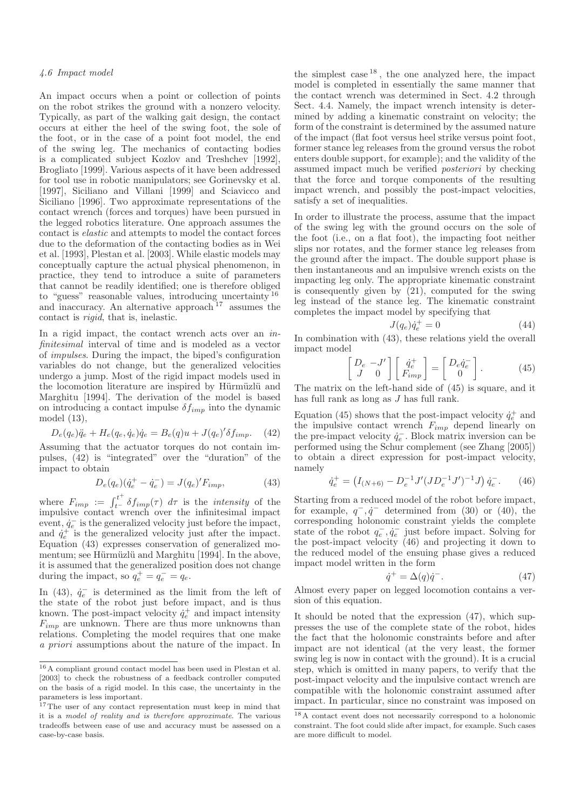#### 4.6 Impact model

An impact occurs when a point or collection of points on the robot strikes the ground with a nonzero velocity. Typically, as part of the walking gait design, the contact occurs at either the heel of the swing foot, the sole of the foot, or in the case of a point foot model, the end of the swing leg. The mechanics of contacting bodies is a complicated subject Kozlov and Treshchev [1992], Brogliato [1999]. Various aspects of it have been addressed for tool use in robotic manipulators; see Gorinevsky et al. [1997], Siciliano and Villani [1999] and Sciavicco and Siciliano [1996]. Two approximate representations of the contact wrench (forces and torques) have been pursued in the legged robotics literature. One approach assumes the contact is elastic and attempts to model the contact forces due to the deformation of the contacting bodies as in Wei et al. [1993], Plestan et al. [2003]. While elastic models may conceptually capture the actual physical phenomenon, in practice, they tend to introduce a suite of parameters that cannot be readily identified; one is therefore obliged to "guess" reasonable values, introducing uncertainty <sup>16</sup> and inaccuracy. An alternative approach  $17$  assumes the contact is rigid, that is, inelastic.

In a rigid impact, the contact wrench acts over an infinitesimal interval of time and is modeled as a vector of impulses. During the impact, the biped's configuration variables do not change, but the generalized velocities undergo a jump. Most of the rigid impact models used in the locomotion literature are inspired by Hürmüzlü and Marghitu [1994]. The derivation of the model is based on introducing a contact impulse  $\delta f_{imp}$  into the dynamic model (13),

$$
D_e(q_e)\ddot{q}_e + H_e(q_e, \dot{q}_e)\dot{q}_e = B_e(q)u + J(q_e)' \delta f_{imp}.
$$
 (42)

Assuming that the actuator torques do not contain impulses, (42) is "integrated" over the "duration" of the impact to obtain

$$
D_e(q_e)(\dot{q}_e^+ - \dot{q}_e^-) = J(q_e)' F_{imp}, \qquad (43)
$$

where  $F_{imp} := \int_{t-}^{t+} \delta f_{imp}(\tau) d\tau$  is the *intensity* of the impulsive contact wrench over the infinitesimal impact event,  $\dot{q}_e^-$  is the generalized velocity just before the impact, and  $\dot{q}_e^+$  is the generalized velocity just after the impact. Equation (43) expresses conservation of generalized momentum; see Hürmüzlü and Marghitu [1994]. In the above, it is assumed that the generalized position does not change during the impact, so  $q_e^+ = q_e^- = q_e$ .

In (43),  $\dot{q}_e^-$  is determined as the limit from the left of the state of the robot just before impact, and is thus known. The post-impact velocity  $\dot{q}_e^+$  and impact intensity  $F_{imp}$  are unknown. There are thus more unknowns than relations. Completing the model requires that one make a priori assumptions about the nature of the impact. In

the simplest case <sup>18</sup> , the one analyzed here, the impact model is completed in essentially the same manner that the contact wrench was determined in Sect. 4.2 through Sect. 4.4. Namely, the impact wrench intensity is determined by adding a kinematic constraint on velocity; the form of the constraint is determined by the assumed nature of the impact (flat foot versus heel strike versus point foot, former stance leg releases from the ground versus the robot enters double support, for example); and the validity of the assumed impact much be verified posteriori by checking that the force and torque components of the resulting impact wrench, and possibly the post-impact velocities, satisfy a set of inequalities.

In order to illustrate the process, assume that the impact of the swing leg with the ground occurs on the sole of the foot (i.e., on a flat foot), the impacting foot neither slips nor rotates, and the former stance leg releases from the ground after the impact. The double support phase is then instantaneous and an impulsive wrench exists on the impacting leg only. The appropriate kinematic constraint is consequently given by (21), computed for the swing leg instead of the stance leg. The kinematic constraint completes the impact model by specifying that

$$
J(q_e)\dot{q}_e^+ = 0\tag{44}
$$

In combination with (43), these relations yield the overall impact model

$$
\begin{bmatrix} D_e & -J' \\ J & 0 \end{bmatrix} \begin{bmatrix} \dot{q}_e^+ \\ F_{imp} \end{bmatrix} = \begin{bmatrix} D_e \dot{q}_e^- \\ 0 \end{bmatrix} . \tag{45}
$$

The matrix on the left-hand side of (45) is square, and it has full rank as long as J has full rank.

Equation (45) shows that the post-impact velocity  $\dot{q}_e^+$  and the impulsive contact wrench  $F_{imp}$  depend linearly on the pre-impact velocity  $\dot{q}_e^-$ . Block matrix inversion can be performed using the Schur complement (see Zhang [2005]) to obtain a direct expression for post-impact velocity, namely

$$
\dot{q}_e^+ = \left(I_{(N+6)} - D_e^{-1}J'(JD_e^{-1}J')^{-1}J\right)\dot{q}_e^-.
$$
 (46)

Starting from a reduced model of the robot before impact, for example,  $q^-$ ,  $\dot{q}^-$  determined from (30) or (40), the corresponding holonomic constraint yields the complete state of the robot  $q_e^-$ ,  $\dot{q}_e^-$  just before impact. Solving for the post-impact velocity (46) and projecting it down to the reduced model of the ensuing phase gives a reduced impact model written in the form

$$
\dot{q}^+ = \Delta(q)\dot{q}^-.
$$
\n(47)

Almost every paper on legged locomotion contains a version of this equation.

It should be noted that the expression (47), which suppresses the use of the complete state of the robot, hides the fact that the holonomic constraints before and after impact are not identical (at the very least, the former swing leg is now in contact with the ground). It is a crucial step, which is omitted in many papers, to verify that the post-impact velocity and the impulsive contact wrench are compatible with the holonomic constraint assumed after impact. In particular, since no constraint was imposed on

 $\overline{^{16}\mathrm{A}}$  compliant ground contact model has been used in Plestan et al. [2003] to check the robustness of a feedback controller computed on the basis of a rigid model. In this case, the uncertainty in the parameters is less important.

<sup>&</sup>lt;sup>17</sup>The user of any contact representation must keep in mind that it is a model of reality and is therefore approximate. The various tradeoffs between ease of use and accuracy must be assessed on a case-by-case basis.

<sup>18</sup>A contact event does not necessarily correspond to a holonomic constraint. The foot could slide after impact, for example. Such cases are more difficult to model.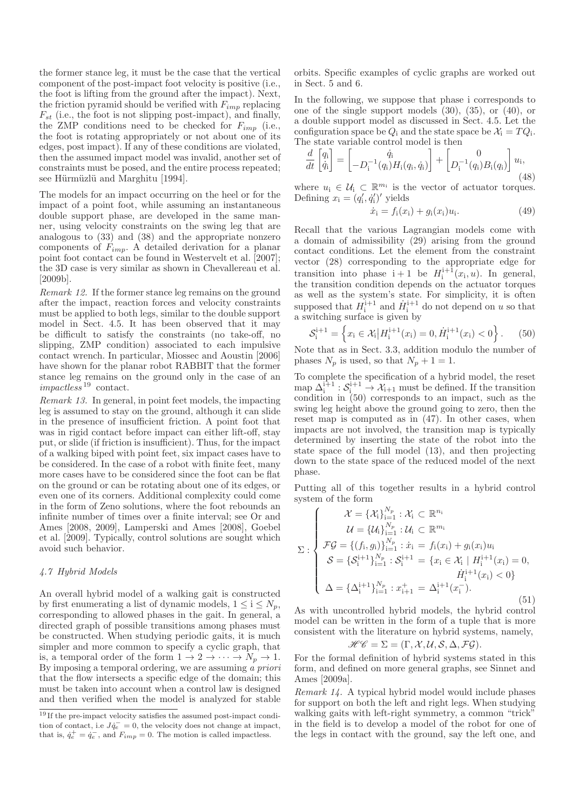the former stance leg, it must be the case that the vertical component of the post-impact foot velocity is positive (i.e., the foot is lifting from the ground after the impact). Next, the friction pyramid should be verified with  $F_{imp}$  replacing  $F_{st}$  (i.e., the foot is not slipping post-impact), and finally, the ZMP conditions need to be checked for  $F_{imp}$  (i.e., the foot is rotating appropriately or not about one of its edges, post impact). If any of these conditions are violated, then the assumed impact model was invalid, another set of constraints must be posed, and the entire process repeated; see Hürmüzlü and Marghitu [1994].

The models for an impact occurring on the heel or for the impact of a point foot, while assuming an instantaneous double support phase, are developed in the same manner, using velocity constraints on the swing leg that are analogous to (33) and (38) and the appropriate nonzero components of  $F_{imp}$ . A detailed derivation for a planar point foot contact can be found in Westervelt et al. [2007]; the 3D case is very similar as shown in Chevallereau et al. [2009b].

Remark 12. If the former stance leg remains on the ground after the impact, reaction forces and velocity constraints must be applied to both legs, similar to the double support model in Sect. 4.5. It has been observed that it may be difficult to satisfy the constraints (no take-off, no slipping, ZMP condition) associated to each impulsive contact wrench. In particular, Miossec and Aoustin [2006] have shown for the planar robot RABBIT that the former stance leg remains on the ground only in the case of an impactless <sup>19</sup> contact.

Remark 13. In general, in point feet models, the impacting leg is assumed to stay on the ground, although it can slide in the presence of insufficient friction. A point foot that was in rigid contact before impact can either lift-off, stay put, or slide (if friction is insufficient). Thus, for the impact of a walking biped with point feet, six impact cases have to be considered. In the case of a robot with finite feet, many more cases have to be considered since the foot can be flat on the ground or can be rotating about one of its edges, or even one of its corners. Additional complexity could come in the form of Zeno solutions, where the foot rebounds an infinite number of times over a finite interval; see Or and Ames [2008, 2009], Lamperski and Ames [2008], Goebel et al.  $[2009]$ . Typically, control solutions are sought which avoid such behavior.

# 4.7 Hybrid Models

An overall hybrid model of a walking gait is constructed by first enumerating a list of dynamic models,  $1 \le i \le N_p$ , corresponding to allowed phases in the gait. In general, a directed graph of possible transitions among phases must be constructed. When studying periodic gaits, it is much simpler and more common to specify a cyclic graph, that is, a temporal order of the form  $1 \rightarrow 2 \rightarrow \cdots \rightarrow N_p \rightarrow 1$ . By imposing a temporal ordering, we are assuming  $\overline{a}$  priori that the flow intersects a specific edge of the domain; this must be taken into account when a control law is designed and then verified when the model is analyzed for stable

orbits. Specific examples of cyclic graphs are worked out in Sect. 5 and 6.

In the following, we suppose that phase i corresponds to one of the single support models (30), (35), or (40), or a double support model as discussed in Sect. 4.5. Let the configuration space be  $Q_i$  and the state space be  $\mathcal{X}_i = T Q_i$ . The state variable control model is then

$$
\frac{d}{dt}\begin{bmatrix} q_i \\ \dot{q}_i \end{bmatrix} = \begin{bmatrix} \dot{q}_i \\ -D_i^{-1}(q_i)H_i(q_i, \dot{q}_i) \end{bmatrix} + \begin{bmatrix} 0 \\ D_i^{-1}(q_i)B_i(q_i) \end{bmatrix} u_i,
$$
\n(48)

where  $u_i \in \mathcal{U}_i \subset \mathbb{R}^{m_i}$  is the vector of actuator torques. Defining  $x_i = (q'_i, \dot{q}'_i)'$  yields

$$
\dot{x}_{i} = f_{i}(x_{i}) + g_{i}(x_{i})u_{i}.
$$
\n(49)

Recall that the various Lagrangian models come with a domain of admissibility (29) arising from the ground contact conditions. Let the element from the constraint vector (28) corresponding to the appropriate edge for transition into phase  $i+1$  be  $H_i^{i+1}(x_i, u)$ . In general, the transition condition depends on the actuator torques as well as the system's state. For simplicity, it is often supposed that  $H_i^{i+1}$  and  $H_i^{i+1}$  do not depend on u so that a switching surface is given by

$$
S_i^{i+1} = \left\{ x_i \in \mathcal{X}_i | H_i^{i+1}(x_i) = 0, \dot{H}_i^{i+1}(x_i) < 0 \right\}. \tag{50}
$$

Note that as in Sect. 3.3, addition modulo the number of phases  $N_p$  is used, so that  $N_p + 1 = 1$ .

To complete the specification of a hybrid model, the reset  $\text{map } \Delta_i^{i+1} : \mathcal{S}_{i}^{i+1} \to \mathcal{X}_{i+1}$  must be defined. If the transition condition in (50) corresponds to an impact, such as the swing leg height above the ground going to zero, then the reset map is computed as in (47). In other cases, when impacts are not involved, the transition map is typically determined by inserting the state of the robot into the state space of the full model (13), and then projecting down to the state space of the reduced model of the next phase.

Putting all of this together results in a hybrid control system of the form

$$
\Sigma : \begin{cases}\n\mathcal{X} = \{ \mathcal{X}_i \}_{i=1}^{N_p} : \mathcal{X}_i \subset \mathbb{R}^{n_i} \\
\mathcal{U} = \{ \mathcal{U}_i \}_{i=1}^{N_p} : \mathcal{U}_i \subset \mathbb{R}^{m_i} \\
\mathcal{F}\mathcal{G} = \{ (f_i, g_i) \}_{i=1}^{N_p} : \dot{x}_i = f_i(x_i) + g_i(x_i)u_i \\
\mathcal{S} = \{ \mathcal{S}_i^{i+1} \}_{i=1}^{N_p} : \mathcal{S}_i^{i+1} = \{ x_i \in \mathcal{X}_i \mid H_i^{i+1}(x_i) = 0, \\
\dot{H}_i^{i+1}(x_i) < 0 \} \\
\Delta = \{ \Delta_i^{i+1} \}_{i=1}^{N_p} : x_{i+1}^+ = \Delta_i^{i+1}(x_i^-).\n\end{cases} \tag{51}
$$

As with uncontrolled hybrid models, the hybrid control model can be written in the form of a tuple that is more consistent with the literature on hybrid systems, namely,

$$
\mathscr{HC}=\Sigma=(\Gamma,\mathcal{X},\mathcal{U},\mathcal{S},\Delta,\mathcal{FG}).
$$

For the formal definition of hybrid systems stated in this form, and defined on more general graphs, see Sinnet and Ames [2009a].

Remark 14. A typical hybrid model would include phases for support on both the left and right legs. When studying walking gaits with left-right symmetry, a common "trick" in the field is to develop a model of the robot for one of the legs in contact with the ground, say the left one, and

<sup>&</sup>lt;sup>19</sup> If the pre-impact velocity satisfies the assumed post-impact condition of contact, i.e  $J\dot{q}_{e}^{-}=0$ , the velocity does not change at impact, that is,  $\dot{q}_e^+ = \dot{q}_e^-$ , and  $F_{imp} = 0$ . The motion is called impactless.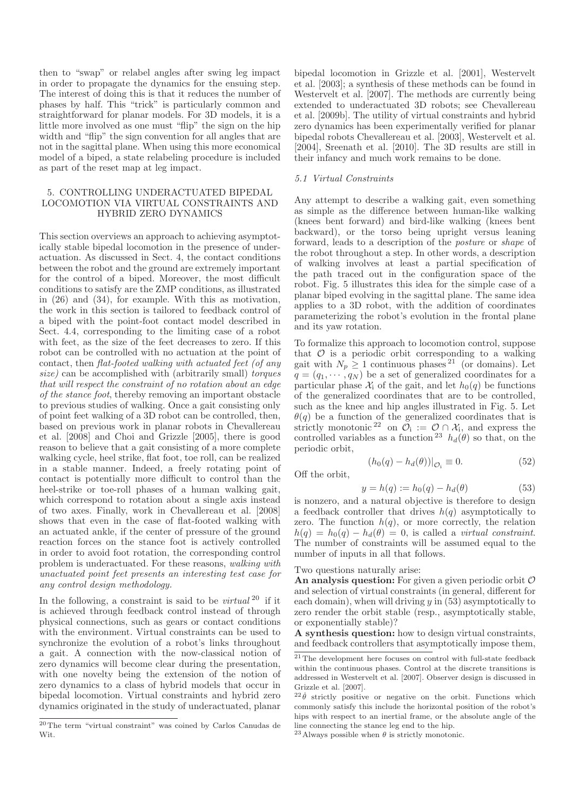then to "swap" or relabel angles after swing leg impact in order to propagate the dynamics for the ensuing step. The interest of doing this is that it reduces the number of phases by half. This "trick" is particularly common and straightforward for planar models. For 3D models, it is a little more involved as one must "flip" the sign on the hip width and "flip" the sign convention for all angles that are not in the sagittal plane. When using this more economical model of a biped, a state relabeling procedure is included as part of the reset map at leg impact.

#### 5. CONTROLLING UNDERACTUATED BIPEDAL LOCOMOTION VIA VIRTUAL CONSTRAINTS AND HYBRID ZERO DYNAMICS

This section overviews an approach to achieving asymptotically stable bipedal locomotion in the presence of underactuation. As discussed in Sect. 4, the contact conditions between the robot and the ground are extremely important for the control of a biped. Moreover, the most difficult conditions to satisfy are the ZMP conditions, as illustrated in (26) and (34), for example. With this as motivation, the work in this section is tailored to feedback control of a biped with the point-foot contact model described in Sect. 4.4, corresponding to the limiting case of a robot with feet, as the size of the feet decreases to zero. If this robot can be controlled with no actuation at the point of contact, then flat-footed walking with actuated feet (of any size) can be accomplished with (arbitrarily small) torques that will respect the constraint of no rotation about an edge of the stance foot, thereby removing an important obstacle to previous studies of walking. Once a gait consisting only of point feet walking of a 3D robot can be controlled, then, based on previous work in planar robots in Chevallereau et al. [2008] and Choi and Grizzle [2005], there is good reason to believe that a gait consisting of a more complete walking cycle, heel strike, flat foot, toe roll, can be realized in a stable manner. Indeed, a freely rotating point of contact is potentially more difficult to control than the heel-strike or toe-roll phases of a human walking gait, which correspond to rotation about a single axis instead of two axes. Finally, work in Chevallereau et al. [2008] shows that even in the case of flat-footed walking with an actuated ankle, if the center of pressure of the ground reaction forces on the stance foot is actively controlled in order to avoid foot rotation, the corresponding control problem is underactuated. For these reasons, walking with unactuated point feet presents an interesting test case for any control design methodology.

In the following, a constraint is said to be *virtual*  $20$  if it is achieved through feedback control instead of through physical connections, such as gears or contact conditions with the environment. Virtual constraints can be used to synchronize the evolution of a robot's links throughout a gait. A connection with the now-classical notion of zero dynamics will become clear during the presentation, with one novelty being the extension of the notion of zero dynamics to a class of hybrid models that occur in bipedal locomotion. Virtual constraints and hybrid zero dynamics originated in the study of underactuated, planar

bipedal locomotion in Grizzle et al. [2001], Westervelt et al. [2003]; a synthesis of these methods can be found in Westervelt et al. [2007]. The methods are currently being extended to underactuated 3D robots; see Chevallereau et al. [2009b]. The utility of virtual constraints and hybrid zero dynamics has been experimentally verified for planar bipedal robots Chevallereau et al. [2003], Westervelt et al. [2004], Sreenath et al. [2010]. The 3D results are still in their infancy and much work remains to be done.

#### 5.1 Virtual Constraints

Any attempt to describe a walking gait, even something as simple as the difference between human-like walking (knees bent forward) and bird-like walking (knees bent backward), or the torso being upright versus leaning forward, leads to a description of the posture or shape of the robot throughout a step. In other words, a description of walking involves at least a partial specification of the path traced out in the configuration space of the robot. Fig. 5 illustrates this idea for the simple case of a planar biped evolving in the sagittal plane. The same idea applies to a 3D robot, with the addition of coordinates parameterizing the robot's evolution in the frontal plane and its yaw rotation.

To formalize this approach to locomotion control, suppose that  $\mathcal O$  is a periodic orbit corresponding to a walking gait with  $N_p \geq 1$  continuous phases <sup>21</sup> (or domains). Let  $q = (q_1, \dots, q_N)$  be a set of generalized coordinates for a particular phase  $\mathcal{X}_i$  of the gait, and let  $h_0(q)$  be functions of the generalized coordinates that are to be controlled, such as the knee and hip angles illustrated in Fig. 5. Let  $\theta(q)$  be a function of the generalized coordinates that is strictly monotonic<sup>22</sup> on  $\mathcal{O}_i := \mathcal{O} \cap \mathcal{X}_i$ , and express the controlled variables as a function <sup>23</sup>  $h_d(\theta)$  so that, on the periodic orbit,

$$
(h_0(q) - h_d(\theta))|_{\mathcal{O}_1} \equiv 0.
$$
 (52)

Off the orbit,

$$
y = h(q) := h_0(q) - h_d(\theta)
$$
 (53)

is nonzero, and a natural objective is therefore to design a feedback controller that drives  $h(q)$  asymptotically to zero. The function  $h(q)$ , or more correctly, the relation  $h(q) = h_0(q) - h_d(\theta) = 0$ , is called a *virtual constraint*. The number of constraints will be assumed equal to the number of inputs in all that follows.

#### Two questions naturally arise:

An analysis question: For given a given periodic orbit  $\mathcal O$ and selection of virtual constraints (in general, different for each domain), when will driving  $y$  in (53) asymptotically to zero render the orbit stable (resp., asymptotically stable, or exponentially stable)?

**A synthesis question:** how to design virtual constraints, and feedback controllers that asymptotically impose them,

<sup>20</sup>The term "virtual constraint" was coined by Carlos Canudas de Wit.

 $\overline{{}^{21}\text{The development here focuses on control with full-state feedback}}$ within the continuous phases. Control at the discrete transitions is addressed in Westervelt et al. [2007]. Observer design is discussed in Grizzle et al. [2007].

 $^{22}\dot{\theta}$  strictly positive or negative on the orbit. Functions which commonly satisfy this include the horizontal position of the robot's hips with respect to an inertial frame, or the absolute angle of the line connecting the stance leg end to the hip.

 $^{23}\rm \,Always$  possible when  $\theta$  is strictly monotonic.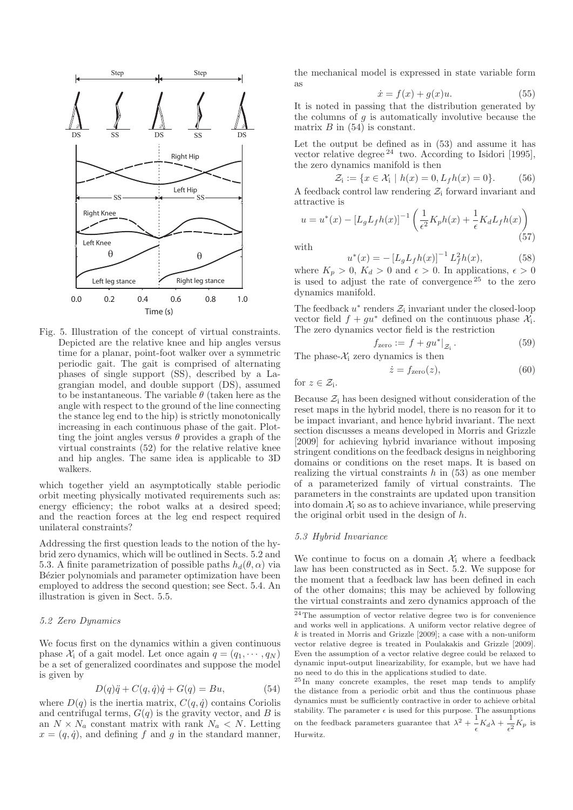

Fig. 5. Illustration of the concept of virtual constraints. Depicted are the relative knee and hip angles versus time for a planar, point-foot walker over a symmetric periodic gait. The gait is comprised of alternating phases of single support (SS), described by a Lagrangian model, and double support (DS), assumed to be instantaneous. The variable  $\theta$  (taken here as the angle with respect to the ground of the line connecting the stance leg end to the hip) is strictly monotonically increasing in each continuous phase of the gait. Plotting the joint angles versus  $\theta$  provides a graph of the virtual constraints (52) for the relative relative knee and hip angles. The same idea is applicable to 3D walkers.

which together yield an asymptotically stable periodic orbit meeting physically motivated requirements such as: energy efficiency; the robot walks at a desired speed; and the reaction forces at the leg end respect required unilateral constraints?

Addressing the first question leads to the notion of the hybrid zero dynamics, which will be outlined in Sects. 5.2 and 5.3. A finite parametrization of possible paths  $h_d(\theta, \alpha)$  via Bézier polynomials and parameter optimization have been employed to address the second question; see Sect. 5.4. An illustration is given in Sect. 5.5.

#### 5.2 Zero Dynamics

We focus first on the dynamics within a given continuous phase  $\mathcal{X}_i$  of a gait model. Let once again  $q = (q_1, \dots, q_N)$ be a set of generalized coordinates and suppose the model is given by

$$
D(q)\ddot{q} + C(q, \dot{q})\dot{q} + G(q) = Bu,\tag{54}
$$

where  $D(q)$  is the inertia matrix,  $C(q, \dot{q})$  contains Coriolis and centrifugal terms,  $G(q)$  is the gravity vector, and B is an  $N \times N_a$  constant matrix with rank  $N_a \lt N$ . Letting  $x = (q, \dot{q})$ , and defining f and g in the standard manner,

the mechanical model is expressed in state variable form as

$$
\dot{x} = f(x) + g(x)u. \tag{55}
$$

It is noted in passing that the distribution generated by the columns of  $g$  is automatically involutive because the matrix  $B$  in (54) is constant.

Let the output be defined as in (53) and assume it has vector relative degree  $^{24}$  two. According to Isidori [1995], the zero dynamics manifold is then

$$
\mathcal{Z}_{i} := \{ x \in \mathcal{X}_{i} \mid h(x) = 0, L_{f}h(x) = 0 \}.
$$
 (56)

A feedback control law rendering  $\mathcal{Z}_i$  forward invariant and attractive is

$$
u = u^*(x) - \left[L_g L_f h(x)\right]^{-1} \left(\frac{1}{\epsilon^2} K_p h(x) + \frac{1}{\epsilon} K_d L_f h(x)\right)
$$
\n(57)

with

$$
u^*(x) = -[L_g L_f h(x)]^{-1} L_f^2 h(x),\tag{58}
$$

where  $K_p > 0$ ,  $K_d > 0$  and  $\epsilon > 0$ . In applications,  $\epsilon > 0$ is used to adjust the rate of convergence  $25$  to the zero dynamics manifold.

The feedback  $u^*$  renders  $\mathcal{Z}_i$  invariant under the closed-loop vector field  $f + gu^*$  defined on the continuous phase  $\mathcal{X}_i$ . The zero dynamics vector field is the restriction

$$
f_{\text{zero}} := f + gu^*|_{\mathcal{Z}_i}.
$$
 (59)

The phase- $\mathcal{X}_i$  zero dynamics is then

$$
\dot{z} = f_{\text{zero}}(z),\tag{60}
$$

for  $z \in \mathcal{Z}_i$ .

Because  $\mathcal{Z}_i$  has been designed without consideration of the reset maps in the hybrid model, there is no reason for it to be impact invariant, and hence hybrid invariant. The next section discusses a means developed in Morris and Grizzle [2009] for achieving hybrid invariance without imposing stringent conditions on the feedback designs in neighboring domains or conditions on the reset maps. It is based on realizing the virtual constraints  $h$  in  $(53)$  as one member of a parameterized family of virtual constraints. The parameters in the constraints are updated upon transition into domain  $\mathcal{X}_i$  so as to achieve invariance, while preserving the original orbit used in the design of h.

#### 5.3 Hybrid Invariance

We continue to focus on a domain  $\mathcal{X}_i$  where a feedback law has been constructed as in Sect. 5.2. We suppose for the moment that a feedback law has been defined in each of the other domains; this may be achieved by following the virtual constraints and zero dynamics approach of the

<sup>&</sup>lt;sup>24</sup>The assumption of vector relative degree two is for convenience and works well in applications. A uniform vector relative degree of  $k$  is treated in Morris and Grizzle [2009]; a case with a non-uniform vector relative degree is treated in Poulakakis and Grizzle [2009]. Even the assumption of a vector relative degree could be relaxed to dynamic input-output linearizability, for example, but we have had no need to do this in the applications studied to date.

<sup>25</sup> In many concrete examples, the reset map tends to amplify the distance from a periodic orbit and thus the continuous phase dynamics must be sufficiently contractive in order to achieve orbital stability. The parameter  $\epsilon$  is used for this purpose. The assumptions on the feedback parameters guarantee that  $\lambda^2$  +  $\frac{1}{2}$  $\frac{1}{\epsilon}K_d\lambda + \frac{1}{\epsilon^2}K_p$  is Hurwitz.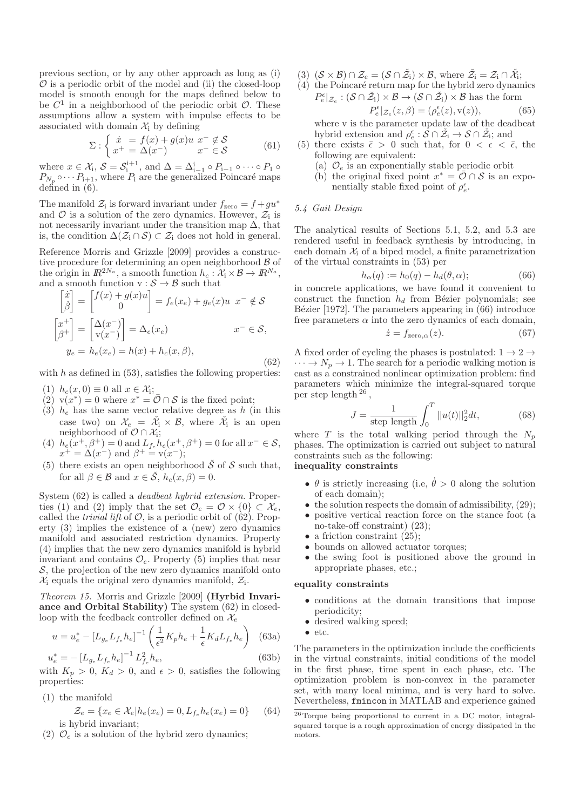previous section, or by any other approach as long as (i)  $\mathcal O$  is a periodic orbit of the model and (ii) the closed-loop model is smooth enough for the maps defined below to be  $C^1$  in a neighborhood of the periodic orbit  $\mathcal{O}$ . These assumptions allow a system with impulse effects to be associated with domain  $\mathcal{X}_i$  by defining

$$
\Sigma: \begin{cases} \dot{x} = f(x) + g(x)u \ x^{-} \notin \mathcal{S} \\ x^{+} = \Delta(x^{-}) \end{cases} \tag{61}
$$

where  $x \in \mathcal{X}_i$ ,  $\mathcal{S} = \mathcal{S}_i^{i+1}$ , and  $\Delta = \Delta_{i-1}^i \circ P_{i-1} \circ \cdots \circ P_1 \circ$  $P_{N_p} \circ \cdots P_{i+1}$ , where  $P_i$  are the generalized Poincaré maps defined in (6).

The manifold  $\mathcal{Z}_i$  is forward invariant under  $f_{\text{zero}} = f + gu^*$ and  $\mathcal O$  is a solution of the zero dynamics. However,  $\mathcal Z_i$  is not necessarily invariant under the transition map  $\Delta$ , that is, the condition  $\Delta(\mathcal{Z}_i \cap \mathcal{S}) \subset \mathcal{Z}_i$  does not hold in general.

Reference Morris and Grizzle [2009] provides a constructive procedure for determining an open neighborhood B of the origin in  $\mathbb{R}^{2N_a}$ , a smooth function  $h_c : \mathcal{X}_i \times \mathcal{B} \to \mathbb{R}^{N_a}$ , and a smooth function  $v: \mathcal{S} \rightarrow \mathcal{B}$  such that

$$
\begin{aligned}\n\begin{bmatrix}\n\dot{x} \\
\dot{\beta}\n\end{bmatrix} &= \begin{bmatrix}\nf(x) + g(x)u \\
0\n\end{bmatrix} = f_e(x_e) + g_e(x)u \ x^- \notin \mathcal{S} \\
\begin{bmatrix}\nx^+ \\
\beta^+\n\end{bmatrix} &= \begin{bmatrix}\n\Delta(x^-) \\
v(x^-)\n\end{bmatrix} = \Delta_e(x_e) & x^- \in \mathcal{S}, \\
y_e &= h_e(x_e) = h(x) + h_c(x, \beta),\n\end{aligned}
$$
\n(62)

with  $h$  as defined in  $(53)$ , satisfies the following properties:

- (1)  $h_c(x, 0) \equiv 0$  all  $x \in \mathcal{X}_i$ ;
- (2)  $v(x^*) = 0$  where  $x^* = \overline{O} \cap S$  is the fixed point;
- (3)  $h_e$  has the same vector relative degree as h (in this case two) on  $\mathcal{X}_e = \check{\mathcal{X}}_i \times \mathcal{B}$ , where  $\check{\mathcal{X}}_i$  is an open neighborhood of  $\mathcal{O} \cap \mathcal{X}_i$ ;
- (4)  $h_e(x^+, \beta^+) = 0$  and  $L_{f_e} h_e(x^+, \beta^+) = 0$  for all  $x^- \in S$ ,<br>  $x^+ = \Delta(x^-)$  and  $\beta^+ = v(x^-)$ ;
- (5) there exists an open neighborhood  $\check{S}$  of S such that, for all  $\beta \in \mathcal{B}$  and  $x \in \check{\mathcal{S}}, h_c(x, \beta) = 0$ .

System (62) is called a deadbeat hybrid extension. Properties (1) and (2) imply that the set  $\mathcal{O}_e = \mathcal{O} \times \{0\} \subset \mathcal{X}_e$ , called the *trivial lift* of  $\mathcal{O}$ , is a periodic orbit of (62). Property (3) implies the existence of a (new) zero dynamics manifold and associated restriction dynamics. Property (4) implies that the new zero dynamics manifold is hybrid invariant and contains  $\mathcal{O}_e$ . Property (5) implies that near S, the projection of the new zero dynamics manifold onto  $X_i$  equals the original zero dynamics manifold,  $Z_i$ .

Theorem 15. Morris and Grizzle [2009] **(Hyrbid Invariance and Orbital Stability)** The system (62) in closedloop with the feedback controller defined on  $\mathcal{X}_{e}$ 

$$
u = u_e^* - [L_{g_e} L_{f_e} h_e]^{-1} \left(\frac{1}{\epsilon^2} K_p h_e + \frac{1}{\epsilon} K_d L_{f_e} h_e\right) \tag{63a}
$$

 $u_e^* = -[L_{g_e} L_{f_e} h_e]^{-1} L_{f_e}^2 h_e,$  (63b) with  $K_p > 0$ ,  $K_d > 0$ , and  $\epsilon > 0$ , satisfies the following properties:

(1) the manifold

$$
\mathcal{Z}_e = \{ x_e \in \mathcal{X}_e | h_e(x_e) = 0, L_{fe} h_e(x_e) = 0 \}
$$
 (64)  
is hybrid invariant;

(2)  $\mathcal{O}_e$  is a solution of the hybrid zero dynamics;

- (3)  $(S \times B) \cap \mathcal{Z}_e = (S \cap \check{\mathcal{Z}}_i) \times B$ , where  $\check{\mathcal{Z}}_i = \mathcal{Z}_i \cap \check{\mathcal{X}}_i$ ;
- $(4)$  the Poincaré return map for the hybrid zero dynamics  $P_e^{\epsilon}|_{\mathcal{Z}_e} : (\mathcal{S} \cap \check{\mathcal{Z}}_i) \times \mathcal{B} \to (\mathcal{S} \cap \check{\mathcal{Z}}_i) \times \mathcal{B}$  has the form

$$
P_e^{\epsilon}|_{\mathcal{Z}_e}(z,\beta) = (\rho_e^{\epsilon}(z), \mathbf{v}(z)),\tag{65}
$$

where v is the parameter update law of the deadbeat hybrid extension and  $\rho_e^{\epsilon} : \mathcal{S} \cap \tilde{\mathcal{Z}}_i \to \mathcal{S} \cap \tilde{\mathcal{Z}}_i$ ; and

- (5) there exists  $\bar{\epsilon} > 0$  such that, for  $0 < \epsilon < \bar{\epsilon}$ , the following are equivalent:
	- (a)  $\mathcal{O}_e$  is an exponentially stable periodic orbit
	- (b) the original fixed point  $x^* = \overline{\mathcal{O}} \cap \mathcal{S}$  is an exponentially stable fixed point of  $\rho_e^{\epsilon}$ .

## 5.4 Gait Design

The analytical results of Sections 5.1, 5.2, and 5.3 are rendered useful in feedback synthesis by introducing, in each domain  $\mathcal{X}_i$  of a biped model, a finite parametrization of the virtual constraints in (53) per

$$
h_{\alpha}(q) := h_0(q) - h_d(\theta, \alpha); \tag{66}
$$

in concrete applications, we have found it convenient to construct the function  $h_d$  from Bézier polynomials; see Bézier  $[1972]$ . The parameters appearing in  $(66)$  introduce free parameters  $\alpha$  into the zero dynamics of each domain,

$$
\dot{z} = f_{\text{zero},\alpha}(z). \tag{67}
$$

A fixed order of cycling the phases is postulated:  $1 \rightarrow 2 \rightarrow$  $\cdots \rightarrow N_p \rightarrow 1$ . The search for a periodic walking motion is cast as a constrained nonlinear optimization problem: find parameters which minimize the integral-squared torque per step length <sup>26</sup> ,

$$
J = \frac{1}{\text{step length}} \int_0^T ||u(t)||_2^2 dt,
$$
 (68)

where T is the total walking period through the  $N_p$ phases. The optimization is carried out subject to natural constraints such as the following: **inequality constraints**

- $\theta$  is strictly increasing (i.e,  $\dot{\theta} > 0$  along the solution of each domain);
- $\bullet$  the solution respects the domain of admissibility,  $(29)$ ;
- positive vertical reaction force on the stance foot (a no-take-off constraint) (23);
- a friction constraint  $(25)$ ;
- bounds on allowed actuator torques;
- the swing foot is positioned above the ground in appropriate phases, etc.;

# **equality constraints**

- conditions at the domain transitions that impose periodicity;
- desired walking speed;
- etc.

The parameters in the optimization include the coefficients in the virtual constraints, initial conditions of the model in the first phase, time spent in each phase, etc. The optimization problem is non-convex in the parameter set, with many local minima, and is very hard to solve. Nevertheless, fmincon in MATLAB and experience gained

 $26$ Torque being proportional to current in a DC motor, integralsquared torque is a rough approximation of energy dissipated in the motors.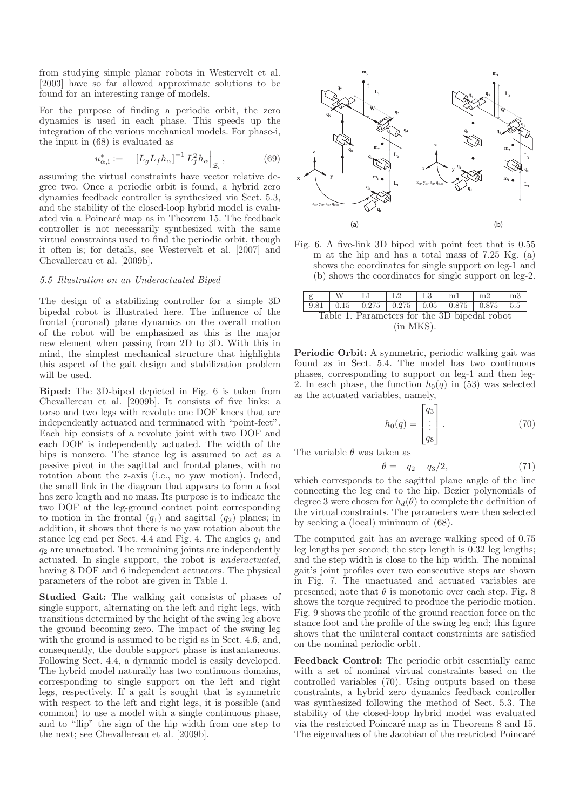from studying simple planar robots in Westervelt et al. [2003] have so far allowed approximate solutions to be found for an interesting range of models.

For the purpose of finding a periodic orbit, the zero dynamics is used in each phase. This speeds up the integration of the various mechanical models. For phase-i, the input in (68) is evaluated as

$$
u_{\alpha,i}^* := -[L_g L_f h_\alpha]^{-1} L_f^2 h_\alpha \Big|_{\mathcal{Z}_i},\tag{69}
$$

assuming the virtual constraints have vector relative degree two. Once a periodic orbit is found, a hybrid zero dynamics feedback controller is synthesized via Sect. 5.3, and the stability of the closed-loop hybrid model is evaluated via a Poincaré map as in Theorem 15. The feedback controller is not necessarily synthesized with the same virtual constraints used to find the periodic orbit, though it often is; for details, see Westervelt et al. [2007] and Chevallereau et al. [2009b].

#### 5.5 Illustration on an Underactuated Biped

The design of a stabilizing controller for a simple 3D bipedal robot is illustrated here. The influence of the frontal (coronal) plane dynamics on the overall motion of the robot will be emphasized as this is the major new element when passing from 2D to 3D. With this in mind, the simplest mechanical structure that highlights this aspect of the gait design and stabilization problem will be used.

**Biped:** The 3D-biped depicted in Fig. 6 is taken from Chevallereau et al. [2009b]. It consists of five links: a torso and two legs with revolute one DOF knees that are independently actuated and terminated with "point-feet". Each hip consists of a revolute joint with two DOF and each DOF is independently actuated. The width of the hips is nonzero. The stance leg is assumed to act as a passive pivot in the sagittal and frontal planes, with no rotation about the z-axis (i.e., no yaw motion). Indeed, the small link in the diagram that appears to form a foot has zero length and no mass. Its purpose is to indicate the two DOF at the leg-ground contact point corresponding to motion in the frontal  $(q_1)$  and sagittal  $(q_2)$  planes; in addition, it shows that there is no yaw rotation about the stance leg end per Sect. 4.4 and Fig. 4. The angles  $q_1$  and  $q_2$  are unactuated. The remaining joints are independently actuated. In single support, the robot is underactuated, having 8 DOF and 6 independent actuators. The physical parameters of the robot are given in Table 1.

**Studied Gait:** The walking gait consists of phases of single support, alternating on the left and right legs, with transitions determined by the height of the swing leg above the ground becoming zero. The impact of the swing leg with the ground is assumed to be rigid as in Sect. 4.6, and, consequently, the double support phase is instantaneous. Following Sect. 4.4, a dynamic model is easily developed. The hybrid model naturally has two continuous domains, corresponding to single support on the left and right legs, respectively. If a gait is sought that is symmetric with respect to the left and right legs, it is possible (and common) to use a model with a single continuous phase, and to "flip" the sign of the hip width from one step to the next; see Chevallereau et al. [2009b].



Fig. 6. A five-link 3D biped with point feet that is 0.55 m at the hip and has a total mass of 7.25 Kg. (a) shows the coordinates for single support on leg-1 and (b) shows the coordinates for single support on leg-2.

| g                                            | W |  | L2 | L.3 | m1 | m <sub>2</sub>                                                  | m <sub>3</sub> |  |  |  |  |
|----------------------------------------------|---|--|----|-----|----|-----------------------------------------------------------------|----------------|--|--|--|--|
| 9.81                                         |   |  |    |     |    | $0.15$   $0.275$   $0.275$   $0.05$   $0.875$   $0.875$   $5.5$ |                |  |  |  |  |
| Table 1. Parameters for the 3D bipedal robot |   |  |    |     |    |                                                                 |                |  |  |  |  |
| $(in$ MKS $).$                               |   |  |    |     |    |                                                                 |                |  |  |  |  |

**Periodic Orbit:** A symmetric, periodic walking gait was found as in Sect. 5.4. The model has two continuous phases, corresponding to support on leg-1 and then leg-2. In each phase, the function  $h_0(q)$  in (53) was selected as the actuated variables, namely,

$$
h_0(q) = \begin{bmatrix} q_3 \\ \vdots \\ q_8 \end{bmatrix} . \tag{70}
$$

The variable  $\theta$  was taken as

$$
\theta = -q_2 - q_3/2, \tag{71}
$$

which corresponds to the sagittal plane angle of the line connecting the leg end to the hip. Bezier polynomials of degree 3 were chosen for  $h_d(\theta)$  to complete the definition of the virtual constraints. The parameters were then selected by seeking a (local) minimum of (68).

The computed gait has an average walking speed of 0.75 leg lengths per second; the step length is 0.32 leg lengths; and the step width is close to the hip width. The nominal gait's joint profiles over two consecutive steps are shown in Fig. 7. The unactuated and actuated variables are presented; note that  $\theta$  is monotonic over each step. Fig. 8 shows the torque required to produce the periodic motion. Fig. 9 shows the profile of the ground reaction force on the stance foot and the profile of the swing leg end; this figure shows that the unilateral contact constraints are satisfied on the nominal periodic orbit.

**Feedback Control:** The periodic orbit essentially came with a set of nominal virtual constraints based on the controlled variables (70). Using outputs based on these constraints, a hybrid zero dynamics feedback controller was synthesized following the method of Sect. 5.3. The stability of the closed-loop hybrid model was evaluated via the restricted Poincaré map as in Theorems 8 and 15. The eigenvalues of the Jacobian of the restricted Poincaré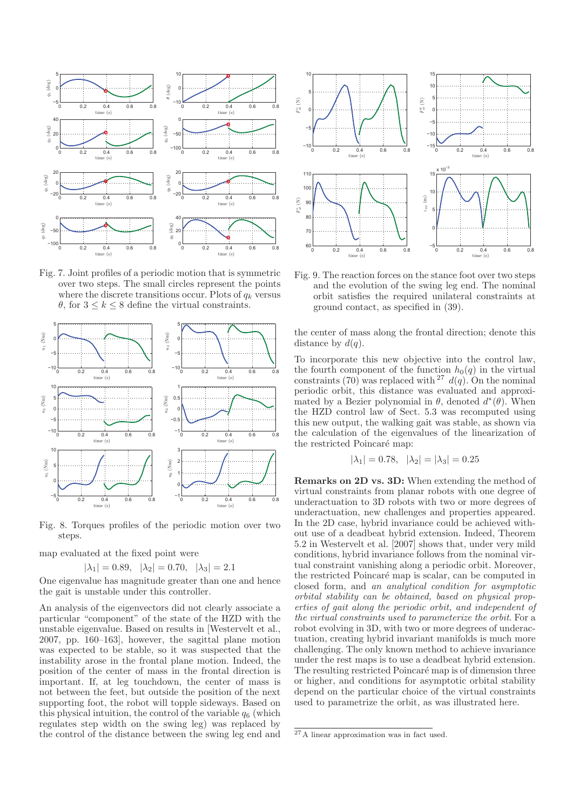

Fig. 7. Joint profiles of a periodic motion that is symmetric over two steps. The small circles represent the points where the discrete transitions occur. Plots of  $q_k$  versus θ, for 3 ≤ k ≤ 8 define the virtual constraints.



Fig. 8. Torques profiles of the periodic motion over two steps.

map evaluated at the fixed point were

 $|\lambda_1| = 0.89, \quad |\lambda_2| = 0.70, \quad |\lambda_3| = 2.1$ 

One eigenvalue has magnitude greater than one and hence the gait is unstable under this controller.

An analysis of the eigenvectors did not clearly associate a particular "component" of the state of the HZD with the unstable eigenvalue. Based on results in [Westervelt et al., 2007, pp. 160–163], however, the sagittal plane motion was expected to be stable, so it was suspected that the instability arose in the frontal plane motion. Indeed, the position of the center of mass in the frontal direction is important. If, at leg touchdown, the center of mass is not between the feet, but outside the position of the next supporting foot, the robot will topple sideways. Based on this physical intuition, the control of the variable  $q_6$  (which regulates step width on the swing leg) was replaced by the control of the distance between the swing leg end and



Fig. 9. The reaction forces on the stance foot over two steps and the evolution of the swing leg end. The nominal orbit satisfies the required unilateral constraints at ground contact, as specified in (39).

the center of mass along the frontal direction; denote this distance by  $d(q)$ .

To incorporate this new objective into the control law, the fourth component of the function  $h_0(q)$  in the virtual constraints (70) was replaced with <sup>27</sup>  $d(q)$ . On the nominal periodic orbit, this distance was evaluated and approximated by a Bezier polynomial in  $\theta$ , denoted  $d^*(\theta)$ . When the HZD control law of Sect. 5.3 was recomputed using this new output, the walking gait was stable, as shown via the calculation of the eigenvalues of the linearization of the restricted Poincaré map:

$$
|\lambda_1| = 0.78, \quad |\lambda_2| = |\lambda_3| = 0.25
$$

**Remarks on 2D vs. 3D:** When extending the method of virtual constraints from planar robots with one degree of underactuation to 3D robots with two or more degrees of underactuation, new challenges and properties appeared. In the 2D case, hybrid invariance could be achieved without use of a deadbeat hybrid extension. Indeed, Theorem 5.2 in Westervelt et al. [2007] shows that, under very mild conditions, hybrid invariance follows from the nominal virtual constraint vanishing along a periodic orbit. Moreover, the restricted Poincaré map is scalar, can be computed in closed form, and an analytical condition for asymptotic orbital stability can be obtained, based on physical properties of gait along the periodic orbit, and independent of the virtual constraints used to parameterize the orbit. For a robot evolving in 3D, with two or more degrees of underactuation, creating hybrid invariant manifolds is much more challenging. The only known method to achieve invariance under the rest maps is to use a deadbeat hybrid extension. The resulting restricted Poincaré map is of dimension three or higher, and conditions for asymptotic orbital stability depend on the particular choice of the virtual constraints used to parametrize the orbit, as was illustrated here.

<sup>27</sup>A linear approximation was in fact used.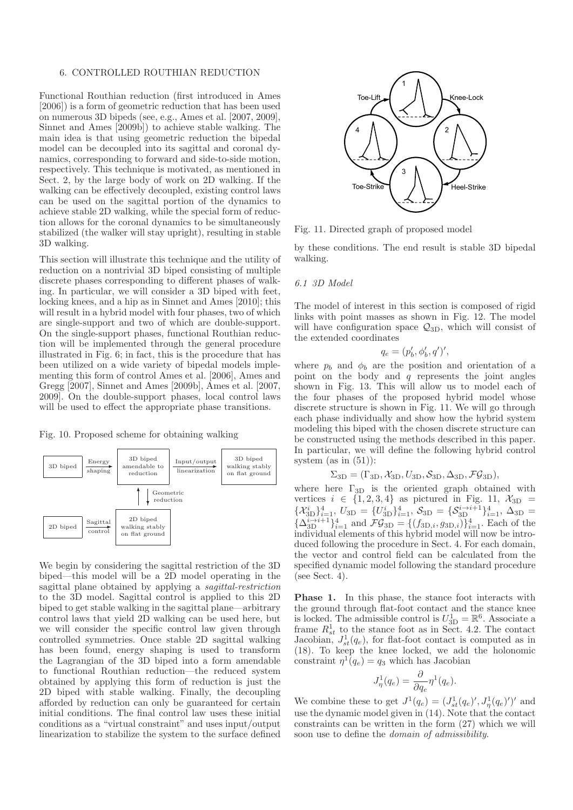#### 6. CONTROLLED ROUTHIAN REDUCTION

Functional Routhian reduction (first introduced in Ames [2006]) is a form of geometric reduction that has been used on numerous 3D bipeds (see, e.g., Ames et al. [2007, 2009], Sinnet and Ames [2009b]) to achieve stable walking. The main idea is that using geometric reduction the bipedal model can be decoupled into its sagittal and coronal dynamics, corresponding to forward and side-to-side motion, respectively. This technique is motivated, as mentioned in Sect. 2, by the large body of work on 2D walking. If the walking can be effectively decoupled, existing control laws can be used on the sagittal portion of the dynamics to achieve stable 2D walking, while the special form of reduction allows for the coronal dynamics to be simultaneously stabilized (the walker will stay upright), resulting in stable 3D walking.

This section will illustrate this technique and the utility of reduction on a nontrivial 3D biped consisting of multiple discrete phases corresponding to different phases of walking. In particular, we will consider a 3D biped with feet, locking knees, and a hip as in Sinnet and Ames [2010]; this will result in a hybrid model with four phases, two of which are single-support and two of which are double-support. On the single-support phases, functional Routhian reduction will be implemented through the general procedure illustrated in Fig. 6; in fact, this is the procedure that has been utilized on a wide variety of bipedal models implementing this form of control Ames et al. [2006], Ames and Gregg [2007], Sinnet and Ames [2009b], Ames et al. [2007, 2009]. On the double-support phases, local control laws will be used to effect the appropriate phase transitions.

Fig. 10. Proposed scheme for obtaining walking



We begin by considering the sagittal restriction of the 3D biped—this model will be a 2D model operating in the sagittal plane obtained by applying a sagittal-restriction to the 3D model. Sagittal control is applied to this 2D biped to get stable walking in the sagittal plane—arbitrary control laws that yield 2D walking can be used here, but we will consider the specific control law given through controlled symmetries. Once stable 2D sagittal walking has been found, energy shaping is used to transform the Lagrangian of the 3D biped into a form amendable to functional Routhian reduction—the reduced system obtained by applying this form of reduction is just the 2D biped with stable walking. Finally, the decoupling afforded by reduction can only be guaranteed for certain initial conditions. The final control law uses these initial conditions as a "virtual constraint" and uses input/output linearization to stabilize the system to the surface defined



Fig. 11. Directed graph of proposed model

by these conditions. The end result is stable 3D bipedal walking.

#### 6.1 3D Model

The model of interest in this section is composed of rigid links with point masses as shown in Fig. 12. The model will have configuration space  $\mathcal{Q}_{3D}$ , which will consist of the extended coordinates

$$
q_e = (p'_b, \phi'_b, q')',
$$

where  $p_b$  and  $\phi_b$  are the position and orientation of a point on the body and  $q$  represents the joint angles shown in Fig. 13. This will allow us to model each of the four phases of the proposed hybrid model whose discrete structure is shown in Fig. 11. We will go through each phase individually and show how the hybrid system modeling this biped with the chosen discrete structure can be constructed using the methods described in this paper. In particular, we will define the following hybrid control system (as in  $(51)$ ):

$$
\Sigma_{3D} = (\Gamma_{3D}, \mathcal{X}_{3D}, U_{3D}, \mathcal{S}_{3D}, \Delta_{3D}, \mathcal{FG}_{3D}),
$$

where here  $\Gamma_{3D}$  is the oriented graph obtained with vertices  $i \in \{1, 2, 3, 4\}$  as pictured in Fig. 11,  $\mathcal{X}_{3D}$  =  $\{\mathcal{X}_{3D}^i\}_{i=1}^4$ ,  $U_{3D} = \{U_{3D}^i\}_{i=1}^4$ ,  $\mathcal{S}_{3D} = \{\mathcal{S}_{3D}^{i\to i+1}\}_{i=1}^4$ ,  $\Delta_{3D} =$  ${\{\Delta_{\text{3D}}^{i\to i+1}\}_{i=1}^4}$  and  $\mathcal{FG}_{\text{3D}} = {\{(f_{\text{3D},i}, g_{\text{3D},i})\}_{i=1}^4}$ . Each of the individual elements of this hybrid model will now be introduced following the procedure in Sect. 4. For each domain, the vector and control field can be calculated from the specified dynamic model following the standard procedure (see Sect. 4).

**Phase 1.** In this phase, the stance foot interacts with the ground through flat-foot contact and the stance knee is locked. The admissible control is  $U_{3D}^1 = \mathbb{R}^6$ . Associate a frame  $R_{st}^1$  to the stance foot as in Sect. 4.2. The contact Jacobian,  $J_{st}^{1}(q_e)$ , for flat-foot contact is computed as in (18). To keep the knee locked, we add the holonomic constraint  $\eta^1(q_e) = q_3$  which has Jacobian

$$
J_{\eta}^{1}(q_e) = \frac{\partial}{\partial q_e} \eta^{1}(q_e).
$$

We combine these to get  $J^1(q_e) = (J_{st}^1(q_e)', J_{\eta}(q_e)')'$  and use the dynamic model given in (14). Note that the contact constraints can be written in the form (27) which we will soon use to define the domain of admissibility.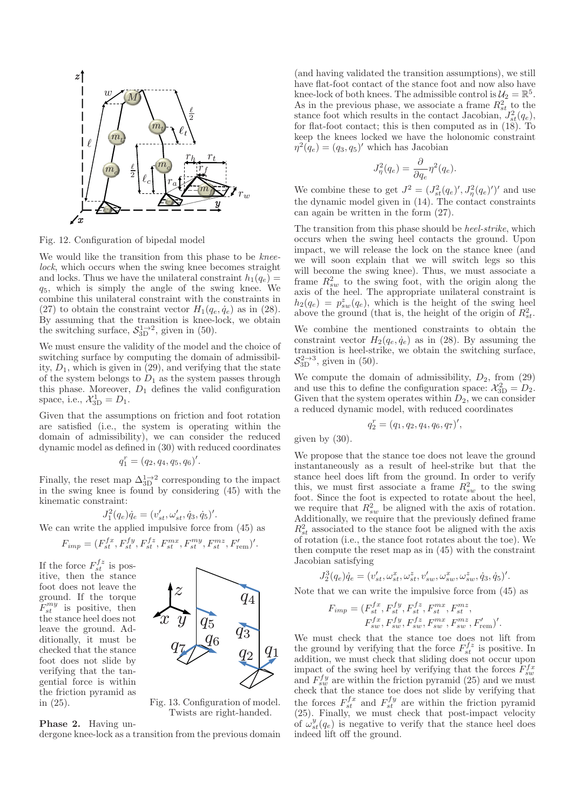

Fig. 12. Configuration of bipedal model

We would like the transition from this phase to be kneelock, which occurs when the swing knee becomes straight and locks. Thus we have the unilateral constraint  $h_1(q_e)$  =  $q_5$ , which is simply the angle of the swing knee. We combine this unilateral constraint with the constraints in (27) to obtain the constraint vector  $H_1(q_e, \dot{q}_e)$  as in (28). By assuming that the transition is knee-lock, we obtain the switching surface,  $S_{3D}^{1\rightarrow 2}$ , given in (50).

We must ensure the validity of the model and the choice of switching surface by computing the domain of admissibility,  $D_1$ , which is given in (29), and verifying that the state of the system belongs to  $D_1$  as the system passes through this phase. Moreover,  $D_1$  defines the valid configuration space, i.e.,  $\mathcal{X}_{3D}^1 = D_1$ .

Given that the assumptions on friction and foot rotation are satisfied (i.e., the system is operating within the domain of admissibility), we can consider the reduced dynamic model as defined in (30) with reduced coordinates

$$
q_1^r = (q_2, q_4, q_5, q_6)'
$$

Finally, the reset map  $\Delta_{3D}^{1\rightarrow 2}$  corresponding to the impact in the swing knee is found by considering (45) with the kinematic constraint:

$$
J_1^2(q_e)\dot{q}_e = (v'_{st}, \omega'_{st}, \dot{q}_3, \dot{q}_5)'
$$

We can write the applied impulsive force from (45) as

$$
F_{imp} = (F_{st}^{fx}, F_{st}^{fy}, F_{st}^{fz}, F_{st}^{mx}, F_{st}^{my}, F_{st}^{mx}, F_{\text{rem}}')'.
$$

If the force  $F_{st}^{fz}$  is positive, then the stance foot does not leave the ground. If the torque  $F_{st}^{my}$  is positive, then the stance heel does not leave the ground. Additionally, it must be checked that the stance foot does not slide by verifying that the tangential force is within the friction pyramid as in (25).



Fig. 13. Configuration of model. Twists are right-handed.

**Phase 2.** Having undergone knee-lock as a transition from the previous domain (and having validated the transition assumptions), we still have flat-foot contact of the stance foot and now also have knee-lock of both knees. The admissible control is  $\mathcal{U}_2 = \mathbb{R}^5$ . As in the previous phase, we associate a frame  $R_{st}^2$  to the stance foot which results in the contact Jacobian,  $J_{st}^2(q_e)$ , for flat-foot contact; this is then computed as in (18). To keep the knees locked we have the holonomic constraint  $\eta^2(q_e)=(q_3, q_5)'$  which has Jacobian

$$
J_{\eta}^{2}(q_e) = \frac{\partial}{\partial q_e} \eta^{2}(q_e).
$$

We combine these to get  $J^2 = (J_{st}^2(q_e)', J_{\eta}(q_e)')'$  and use the dynamic model given in (14). The contact constraints can again be written in the form (27).

The transition from this phase should be heel-strike, which occurs when the swing heel contacts the ground. Upon impact, we will release the lock on the stance knee (and we will soon explain that we will switch legs so this will become the swing knee). Thus, we must associate a frame  $R_{sw}^2$  to the swing foot, with the origin along the axis of the heel. The appropriate unilateral constraint is  $h_2(q_e) = p_{sw}^z(q_e)$ , which is the height of the swing heel above the ground (that is, the height of the origin of  $R_{st}^2$ .

We combine the mentioned constraints to obtain the constraint vector  $H_2(q_e, \dot{q}_e)$  as in (28). By assuming the transition is heel-strike, we obtain the switching surface,  $\mathcal{S}_{3D}^{2\rightarrow 3}$ , given in (50).

We compute the domain of admissibility,  $D_2$ , from (29) and use this to define the configuration space:  $\mathcal{X}_{3D}^2 = D_2$ . Given that the system operates within  $D_2$ , we can consider a reduced dynamic model, with reduced coordinates

$$
q_2^r = (q_1, q_2, q_4, q_6, q_7)',
$$

given by (30).

We propose that the stance toe does not leave the ground instantaneously as a result of heel-strike but that the stance heel does lift from the ground. In order to verify this, we must first associate a frame  $R_{sw}^2$  to the swing foot. Since the foot is expected to rotate about the heel, we require that  $R_{sw}^2$  be aligned with the axis of rotation. Additionally, we require that the previously defined frame  $R_{st}^2$  associated to the stance foot be aligned with the axis of rotation (i.e., the stance foot rotates about the toe). We then compute the reset map as in (45) with the constraint Jacobian satisfying

$$
J_2^3(q_e)\dot{q}_e = (v_{st}', \omega_{st}^x, \omega_{st}^z, v_{sw}', \omega_{sw}^x, \omega_{sw}^z, \dot{q}_3, \dot{q}_5)'.
$$

Note that we can write the impulsive force from (45) as

$$
F_{imp} = (F_{st}^{fx}, F_{st}^{fy}, F_{st}^{fz}, F_{st}^{mx}, F_{st}^{mx},
$$

$$
F_{sw}^{fx}, F_{sw}^{fy}, F_{sw}^{fz}, F_{sw}^{mx}, F_{sw}^{mx}, F_{sw}^{y}, F_{\text{rem}}^{/y}.
$$

We must check that the stance toe does not lift from the ground by verifying that the force  $F_{st}^{fz}$  is positive. In addition, we must check that sliding does not occur upon impact of the swing heel by verifying that the forces  $\overline{F}_{sw}^{fx}$ and  $F_{sw}^{fy}$  are within the friction pyramid (25) and we must check that the stance toe does not slide by verifying that the forces  $F_{st}^{fx}$  and  $F_{st}^{fy}$  are within the friction pyramid (25). Finally, we must check that post-impact velocity of  $\omega_{st}^{y}(q_e)$  is negative to verify that the stance heel does indeed lift off the ground.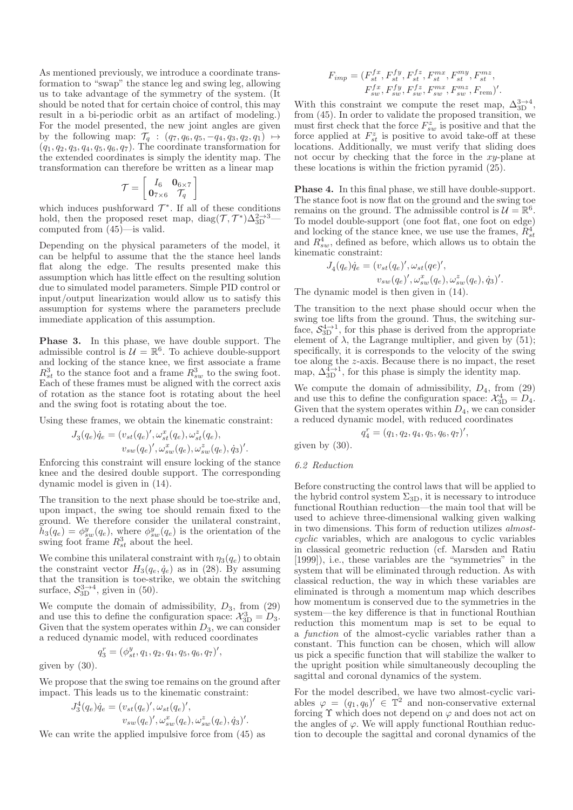As mentioned previously, we introduce a coordinate transformation to "swap" the stance leg and swing leg, allowing us to take advantage of the symmetry of the system. (It should be noted that for certain choice of control, this may result in a bi-periodic orbit as an artifact of modeling.) For the model presented, the new joint angles are given by the following map:  $\mathcal{T}_q$  :  $(q_7, q_6, q_5, -q_4, q_3, q_2, q_1) \mapsto$  $(q_1, q_2, q_3, q_4, q_5, q_6, q_7)$ . The coordinate transformation for the extended coordinates is simply the identity map. The transformation can therefore be written as a linear map

$$
\mathcal{T} = \left[ \begin{array}{cc} I_6 & \mathbf{0}_{6 \times 7} \\ \mathbf{0}_{7 \times 6} & \mathcal{T}_q \end{array} \right]
$$

which induces pushforward  $\mathcal{T}^*$ . If all of these conditions hold, then the proposed reset map, diag $(\mathcal{T}, \mathcal{T}^*)\Delta_{3D}^{2\to 3}$  computed from (45)—is valid.

Depending on the physical parameters of the model, it can be helpful to assume that the the stance heel lands flat along the edge. The results presented make this assumption which has little effect on the resulting solution due to simulated model parameters. Simple PID control or input/output linearization would allow us to satisfy this assumption for systems where the parameters preclude immediate application of this assumption.

**Phase 3.** In this phase, we have double support. The admissible control is  $\mathcal{U} = \mathbb{R}^6$ . To achieve double-support and locking of the stance knee, we first associate a frame  $R_{st}^3$  to the stance foot and a frame  $R_{sw}^3$  to the swing foot. Each of these frames must be aligned with the correct axis of rotation as the stance foot is rotating about the heel and the swing foot is rotating about the toe.

Using these frames, we obtain the kinematic constraint:

$$
\dot{q}_e = (v_{st}(q_e)', \omega_{st}^x(q_e), \omega_{st}^z(q_e), \nv_{sw}(q_e)', \omega_{sw}^x(q_e), \omega_{sw}^z(q_e), \dot{q}_3)'.
$$

Enforcing this constraint will ensure locking of the stance knee and the desired double support. The corresponding dynamic model is given in (14).

The transition to the next phase should be toe-strike and, upon impact, the swing toe should remain fixed to the ground. We therefore consider the unilateral constraint,  $\tilde{h}_3(q_e) = \phi_{sw}^y(q_e)$ , where  $\phi_{sw}^y(q_e)$  is the orientation of the swing foot frame  $R_{st}^3$  about the heel.

We combine this unilateral constraint with  $\eta_3(q_e)$  to obtain the constraint vector  $H_3(q_e, \dot{q}_e)$  as in (28). By assuming that the transition is toe-strike, we obtain the switching surface,  $S_{3D}^{3\rightarrow 4}$ , given in (50).

We compute the domain of admissibility,  $D_3$ , from  $(29)$ and use this to define the configuration space:  $\mathcal{X}_{3D}^3 = D_3$ . Given that the system operates within  $D_3$ , we can consider a reduced dynamic model, with reduced coordinates

$$
q_3^r = (\phi_{st}^y, q_1, q_2, q_4, q_5, q_6, q_7)',
$$

given by (30).

 $J_3(q_e)$ 

We propose that the swing toe remains on the ground after impact. This leads us to the kinematic constraint:

$$
J_3^4(q_e)\dot{q}_e = (v_{st}(q_e)', \omega_{st}(q_e)', \nv_{sw}(q_e)', \omega_{sw}^z(q_e), \omega_{sw}^z(q_e), \dot{q}_3)'.
$$

We can write the applied impulsive force from (45) as

$$
F_{imp} = (F_{st}^{fx}, F_{st}^{fy}, F_{st}^{fz}, F_{st}^{mx}, F_{st}^{my}, F_{st}^{mx},
$$

$$
F_{sw}^{fx}, F_{sw}^{fy}, F_{sw}^{fz}, F_{sw}^{mx}, F_{sw}^{mx}, F_{\text{rem}})
$$

With this constraint we compute the reset map,  $\Delta_{3D}^{3\rightarrow 4}$ , from (45). In order to validate the proposed transition, we must first check that the force  $F_{sw}^z$  is positive and that the force applied at  $F_{st}^z$  is positive to avoid take-off at these locations. Additionally, we must verify that sliding does not occur by checking that the force in the xy-plane at these locations is within the friction pyramid (25).

**Phase 4.** In this final phase, we still have double-support. The stance foot is now flat on the ground and the swing toe remains on the ground. The admissible control is  $\mathcal{U} = \mathbb{R}^6$ . To model double-support (one foot flat, one foot on edge) and locking of the stance knee, we use use the frames,  $\overline{R}_{st}^4$ and  $R_{sw}^4$ , defined as before, which allows us to obtain the kinematic constraint:

$$
J_4(q_e)\dot{q}_e = (v_{st}(q_e)', \omega_{st}(qe)', v_{sw}(q_e)', \omega_{sw}^x(q_e), \omega_{sw}^z(q_e), \dot{q}_3)'
$$

The dynamic model is then given in (14).

The transition to the next phase should occur when the swing toe lifts from the ground. Thus, the switching surface,  $S_{3D}^{4\rightarrow 1}$ , for this phase is derived from the appropriate element of  $\lambda$ , the Lagrange multiplier, and given by (51); specifically, it is corresponds to the velocity of the swing toe along the z-axis. Because there is no impact, the reset map,  $\Delta_{3D}^{4\rightarrow 1}$ , for this phase is simply the identity map.

We compute the domain of admissibility,  $D_4$ , from (29) and use this to define the configuration space:  $\mathcal{X}_{3D}^4 = D_4$ . Given that the system operates within  $D_4$ , we can consider a reduced dynamic model, with reduced coordinates

$$
q_4^r = (q_1, q_2, q_4, q_5, q_6, q_7)',
$$

given by (30).

$$
6.2\ \,Reduction
$$

Before constructing the control laws that will be applied to the hybrid control system  $\Sigma_{3D}$ , it is necessary to introduce functional Routhian reduction—the main tool that will be used to achieve three-dimensional walking given walking in two dimensions. This form of reduction utilizes almostcyclic variables, which are analogous to cyclic variables in classical geometric reduction (cf. Marsden and Ratiu [1999]), i.e., these variables are the "symmetries" in the system that will be eliminated through reduction. As with classical reduction, the way in which these variables are eliminated is through a momentum map which describes how momentum is conserved due to the symmetries in the system—the key difference is that in functional Routhian reduction this momentum map is set to be equal to a function of the almost-cyclic variables rather than a constant. This function can be chosen, which will allow us pick a specific function that will stabilize the walker to the upright position while simultaneously decoupling the sagittal and coronal dynamics of the system.

For the model described, we have two almost-cyclic variables  $\varphi = (q_1, q_6)' \in \mathbb{T}^2$  and non-conservative external forcing  $\Upsilon$  which does not depend on  $\varphi$  and does not act on the angles of  $\varphi$ . We will apply functional Routhian reduction to decouple the sagittal and coronal dynamics of the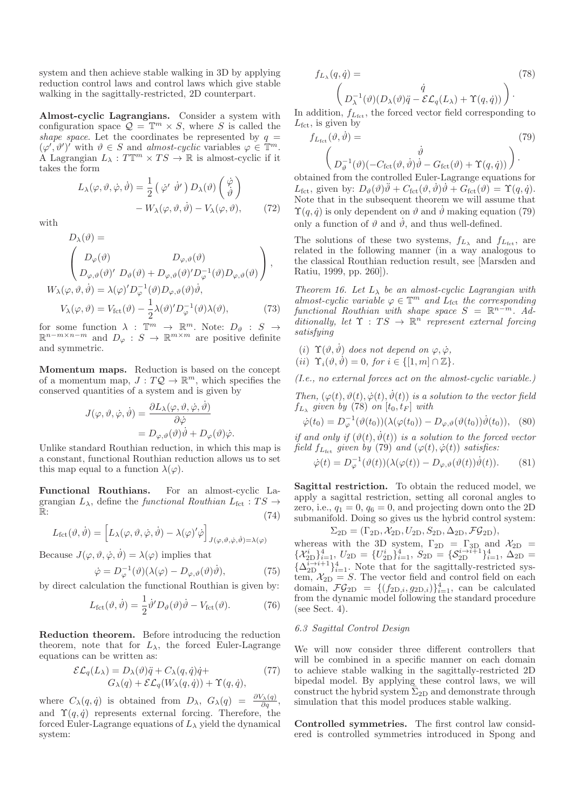system and then achieve stable walking in 3D by applying reduction control laws and control laws which give stable walking in the sagittally-restricted, 2D counterpart.

**Almost-cyclic Lagrangians.** Consider a system with configuration space  $\mathcal{Q} = \mathbb{T}^m \times S$ , where S is called the shape space. Let the coordinates be represented by  $q =$  $(\varphi', \vartheta')'$  with  $\vartheta \in S$  and almost-cyclic variables  $\varphi \in \mathbb{T}^m$ . A Lagrangian  $L_{\lambda}: T \mathbb{T}^m \times TS \to \mathbb{R}$  is almost-cyclic if it takes the form

$$
L_{\lambda}(\varphi, \vartheta, \dot{\varphi}, \dot{\vartheta}) = \frac{1}{2} \left( \dot{\varphi}' \dot{\vartheta}' \right) D_{\lambda}(\vartheta) \begin{pmatrix} \dot{\varphi} \\ \dot{\vartheta} \end{pmatrix} - W_{\lambda}(\varphi, \vartheta, \dot{\vartheta}) - V_{\lambda}(\varphi, \vartheta), \qquad (72)
$$

with

$$
D_{\lambda}(\vartheta) =
$$
  
\n
$$
\begin{pmatrix} D_{\varphi}(\vartheta) & D_{\varphi,\vartheta}(\vartheta) \\ D_{\varphi,\vartheta}(\vartheta)' & D_{\vartheta}(\vartheta)' D_{\varphi}^{-1}(\vartheta) D_{\varphi,\vartheta}(\vartheta) \\ D_{\varphi,\vartheta}(\vartheta)' & D_{\vartheta}(\vartheta)' D_{\varphi}^{-1}(\vartheta) D_{\varphi,\vartheta}(\vartheta) \end{pmatrix},
$$
  
\n
$$
W_{\lambda}(\varphi, \vartheta, \vartheta) = \lambda(\varphi)' D_{\varphi}^{-1}(\vartheta) D_{\varphi,\vartheta}(\vartheta) \vartheta,
$$
  
\n
$$
V_{\lambda}(\varphi, \vartheta) = V_{\text{fct}}(\vartheta) - \frac{1}{2} \lambda(\vartheta)' D_{\varphi}^{-1}(\vartheta) \lambda(\vartheta),
$$
\n(73)

for some function  $\lambda : \mathbb{T}^m \to \mathbb{R}^m$ . Note:  $D_{\vartheta} : S \to$  $\mathbb{R}^{n-m\times n-m}$  and  $D_{\varphi}: S \to \mathbb{R}^{m\times m}$  are positive definite and symmetric.

**Momentum maps.** Reduction is based on the concept of a momentum map,  $J: T\mathcal{Q} \to \mathbb{R}^m$ , which specifies the conserved quantities of a system and is given by

$$
J(\varphi, \vartheta, \dot{\varphi}, \dot{\vartheta}) = \frac{\partial L_{\lambda}(\varphi, \vartheta, \dot{\varphi}, \dot{\vartheta})}{\partial \dot{\varphi}}
$$
  
=  $D_{\varphi, \vartheta}(\vartheta)\dot{\vartheta} + D_{\varphi}(\vartheta)\dot{\varphi}.$ 

Unlike standard Routhian reduction, in which this map is a constant, functional Routhian reduction allows us to set this map equal to a function  $\lambda(\varphi)$ .

**Functional Routhians.** For an almost-cyclic Lagrangian  $L_{\lambda}$ , define the *functional Routhian*  $L_{\text{fct}}$  :  $TS \rightarrow \mathbb{R}$ :  $\mathbb{R}$ : (74)

$$
L_{\rm fct}(\vartheta,\dot{\vartheta}) = \left[ L_{\lambda}(\varphi,\vartheta,\dot{\varphi},\dot{\vartheta}) - \lambda(\varphi)' \dot{\varphi} \right]_{J(\varphi,\vartheta,\dot{\varphi},\dot{\vartheta}) = \lambda(\varphi)}
$$

Because  $J(\varphi,\vartheta,\dot{\varphi},\dot{\vartheta})=\lambda(\varphi)$  implies that

$$
\dot{\varphi} = D_{\varphi}^{-1}(\vartheta)(\lambda(\varphi) - D_{\varphi,\vartheta}(\vartheta)\dot{\vartheta}), \tag{75}
$$

by direct calculation the functional Routhian is given by:

$$
L_{\rm fct}(\vartheta, \dot{\vartheta}) = \frac{1}{2} \dot{\vartheta}' D_{\vartheta}(\vartheta) \dot{\vartheta} - V_{\rm fct}(\vartheta). \tag{76}
$$

**Reduction theorem.** Before introducing the reduction theorem, note that for  $L_{\lambda}$ , the forced Euler-Lagrange equations can be written as:

$$
\mathcal{EL}_{q}(L_{\lambda}) = D_{\lambda}(\vartheta)\ddot{q} + C_{\lambda}(q,\dot{q})\dot{q} +
$$
  
\n
$$
G_{\lambda}(q) + \mathcal{EL}_{q}(W_{\lambda}(q,\dot{q})) + \Upsilon(q,\dot{q}),
$$
\n(77)

where  $C_{\lambda}(q, \dot{q})$  is obtained from  $D_{\lambda}$ ,  $G_{\lambda}(q) = \frac{\partial V_{\lambda}(q)}{\partial q}$ , and  $\Upsilon(q, \dot{q})$  represents external forcing. Therefore, the forced Euler-Lagrange equations of  $L_{\lambda}$  yield the dynamical system:

$$
f_{L_{\lambda}}(q, \dot{q}) = \begin{pmatrix} 78 \\ \left( D_{\lambda}^{-1}(\vartheta)(D_{\lambda}(\vartheta)\ddot{q} - \mathcal{EL}_{q}(L_{\lambda}) + \Upsilon(q, \dot{q})) \right) \end{pmatrix}.
$$

In addition,  $f_{L_{\text{fct}}}$ , the forced vector field corresponding to  $L_{\text{fct}}$ , is given by

$$
f_{L_{\text{fct}}}(\vartheta, \dot{\vartheta}) =
$$
\n
$$
\begin{pmatrix}\n\dot{\vartheta} \\
D_{\vartheta}^{-1}(\vartheta)(-C_{\text{fct}}(\vartheta, \dot{\vartheta})\dot{\vartheta} - G_{\text{fct}}(\vartheta) + \Upsilon(q, \dot{q}))\n\end{pmatrix}.
$$
\nsince from the controlled Euler Lagrange equation for

obtained from the controlled Euler-Lagrange equations for  $L_{\text{fct}}$ , given by:  $D_{\vartheta}(\vartheta)\ddot{\vartheta} + C_{\text{fct}}(\vartheta,\dot{\vartheta})\dot{\vartheta} + G_{\text{fct}}(\vartheta) = \Upsilon(q,\dot{q}).$ Note that in the subsequent theorem we will assume that  $\Upsilon(q, \dot{q})$  is only dependent on  $\vartheta$  and  $\dot{\vartheta}$  making equation (79) only a function of  $\vartheta$  and  $\dot{\vartheta}$ , and thus well-defined.

The solutions of these two systems,  $f_{L_{\lambda}}$  and  $f_{L_{\text{fct}}}$ , are related in the following manner (in a way analogous to the classical Routhian reduction result, see [Marsden and Ratiu, 1999, pp. 260]).

Theorem 16. Let  $L_{\lambda}$  be an almost-cyclic Lagrangian with almost-cyclic variable  $\varphi \in \mathbb{T}^m$  and  $\tilde{L}_{\text{fct}}$  the corresponding functional Routhian with shape space  $S = \mathbb{R}^{n-m}$ . Additionally, let  $\Upsilon : TS \to \mathbb{R}^n$  represent external forcing satisfying

- (i)  $\Upsilon(\vartheta, \dot{\vartheta})$  does not depend on  $\varphi, \dot{\varphi},$
- (ii)  $\Upsilon_i(\vartheta, \dot{\vartheta}) = 0$ , for  $i \in \{ [1, m] \cap \mathbb{Z} \}.$

(I.e., no external forces act on the almost-cyclic variable.)

Then,  $(\varphi(t), \vartheta(t), \dot{\varphi}(t), \dot{\vartheta}(t))$  is a solution to the vector field  $f_{L_{\lambda}}$  given by (78) on  $[t_0, t_F]$  with

$$
\dot{\varphi}(t_0) = D_{\varphi}^{-1}(\vartheta(t_0))(\lambda(\varphi(t_0)) - D_{\varphi,\vartheta}(\vartheta(t_0))\vartheta(t_0)), \quad (80)
$$

if and only if  $(\vartheta(t), \vartheta(t))$  is a solution to the forced vector field  $f_{L_{\text{fct}}}$  given by (79) and  $(\varphi(t), \dot{\varphi}(t))$  satisfies:

$$
\dot{\varphi}(t) = D_{\varphi}^{-1}(\vartheta(t))(\lambda(\varphi(t)) - D_{\varphi,\vartheta}(\vartheta(t))\dot{\vartheta}(t)).
$$
 (81)

**Sagittal restriction.** To obtain the reduced model, we apply a sagittal restriction, setting all coronal angles to zero, i.e.,  $q_1 = 0$ ,  $q_6 = 0$ , and projecting down onto the 2D submanifold. Doing so gives us the hybrid control system:

 $\Sigma_{2D} = (\Gamma_{2D}, \mathcal{X}_{2D}, U_{2D}, S_{2D}, \Delta_{2D}, \mathcal{FG}_{2D}),$ 

whereas with the 3D system,  $\Gamma_{2D} = \Gamma_{3D}$  and  $\mathcal{X}_{2D} =$  $\{\mathcal{X}_{2D}^i\}_{i=1}^4$ ,  $U_{2D} = \{U_{2D}^i\}_{i=1}^4$ ,  $S_{2D} = \{S_{2D}^{i\to i+1}\}_{i=1}^4$ ,  $\Delta_{2D} =$  $\{\Delta_{2D}^{i\to i+1}\}_{i=1}^4$ . Note that for the sagittally-restricted system,  $\mathcal{X}_{2D} = S$ . The vector field and control field on each domain,  $\mathcal{FG}_{2D} = \{ (f_{2D,i}, g_{2D,i}) \}_{i=1}^4$ , can be calculated from the dynamic model following the standard procedure (see Sect. 4).

# 6.3 Sagittal Control Design

We will now consider three different controllers that will be combined in a specific manner on each domain to achieve stable walking in the sagittally-restricted 2D bipedal model. By applying these control laws, we will construct the hybrid system  $\overline{\Sigma}_{2D}$  and demonstrate through simulation that this model produces stable walking.

**Controlled symmetries.** The first control law considered is controlled symmetries introduced in Spong and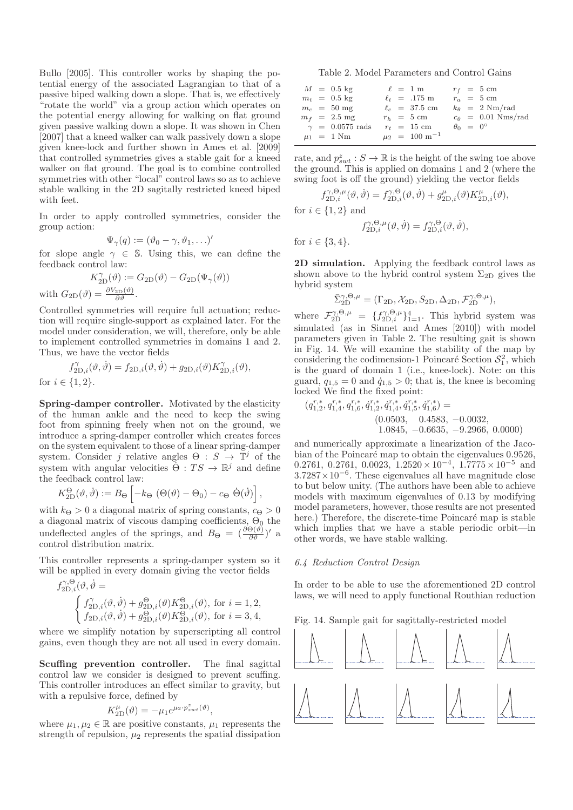Bullo [2005]. This controller works by shaping the potential energy of the associated Lagrangian to that of a passive biped walking down a slope. That is, we effectively "rotate the world" via a group action which operates on the potential energy allowing for walking on flat ground given passive walking down a slope. It was shown in Chen [2007] that a kneed walker can walk passively down a slope given knee-lock and further shown in Ames et al. [2009] that controlled symmetries gives a stable gait for a kneed walker on flat ground. The goal is to combine controlled symmetries with other "local" control laws so as to achieve stable walking in the 2D sagitally restricted kneed biped with feet.

In order to apply controlled symmetries, consider the group action:

$$
\Psi_{\gamma}(q):=(\vartheta_0-\gamma,\vartheta_1,\ldots)'
$$

for slope angle  $\gamma \in \mathbb{S}$ . Using this, we can define the feedback control law:

$$
K_{\rm 2D}^{\gamma}(\vartheta) := G_{\rm 2D}(\vartheta) - G_{\rm 2D}(\Psi_{\gamma}(\vartheta))
$$
 with  $G_{\rm 2D}(\vartheta) = \frac{\partial V_{\rm 2D}(\vartheta)}{\partial \vartheta}$ .

Controlled symmetries will require full actuation; reduction will require single-support as explained later. For the model under consideration, we will, therefore, only be able to implement controlled symmetries in domains 1 and 2. Thus, we have the vector fields

$$
f_{\text{2D},i}^{\gamma}(\vartheta,\dot{\vartheta})=f_{\text{2D},i}(\vartheta,\dot{\vartheta})+g_{\text{2D},i}(\vartheta)K_{\text{2D},i}^{\gamma}(\vartheta),
$$
 for  $i\in\{1,2\}.$ 

**Spring-damper controller.** Motivated by the elasticity of the human ankle and the need to keep the swing foot from spinning freely when not on the ground, we introduce a spring-damper controller which creates forces on the system equivalent to those of a linear spring-damper system. Consider j relative angles  $\Theta : S \to \mathbb{T}^j$  of the system with angular velocities  $\dot{\Theta} : TS \to \mathbb{R}^j$  and define the feedback control law:

$$
K_{2D}^{\Theta}(\vartheta,\dot{\vartheta}):=B_{\Theta}\left[-k_{\Theta}\left(\Theta(\vartheta)-\Theta_{0}\right)-c_{\Theta}\dot{\Theta}(\dot{\vartheta})\right],
$$

with  $k_{\Theta} > 0$  a diagonal matrix of spring constants,  $c_{\Theta} > 0$ a diagonal matrix of viscous damping coefficients,  $\Theta_0$  the undeflected angles of the springs, and  $B_{\Theta} = \left(\frac{\partial \Theta(\vartheta)}{\partial \vartheta}\right)'$  a control distribution matrix.

This controller represents a spring-damper system so it will be applied in every domain giving the vector fields

$$
\begin{aligned} f_{\textrm{2D},i}^{\gamma,\Theta}(\vartheta,\dot{\vartheta}=&\\ \begin{cases} f_{\textrm{2D},i}^{\gamma}(\vartheta,\dot{\vartheta})+g_{\textrm{2D},i}^{\Theta}(\vartheta)K_{\textrm{2D},i}^{\Theta}(\vartheta), \textrm{ for } i=1,2,\\ f_{\textrm{2D},i}(\vartheta,\dot{\vartheta})+g_{\textrm{2D},i}^{\Theta}(\vartheta)K_{\textrm{2D},i}^{\Theta}(\vartheta), \textrm{ for } i=3,4, \end{cases} \end{aligned}
$$

where we simplify notation by superscripting all control gains, even though they are not all used in every domain.

**Scuffing prevention controller.** The final sagittal control law we consider is designed to prevent scuffing. This controller introduces an effect similar to gravity, but with a repulsive force, defined by

$$
K_{2D}^{\mu}(\vartheta) = -\mu_1 e^{\mu_2 \cdot p_{swt}^z(\vartheta)},
$$

where  $\mu_1, \mu_2 \in \mathbb{R}$  are positive constants,  $\mu_1$  represents the strength of repulsion,  $\mu_2$  represents the spatial dissipation

Table 2. Model Parameters and Control Gains

|  | $M = 0.5$ kg           |  | $\ell = 1$ m                 |                      | $r_f = 5$ cm                |
|--|------------------------|--|------------------------------|----------------------|-----------------------------|
|  | $m_t = 0.5$ kg         |  | $\ell_t = .175 \text{ m}$    |                      | $r_a = 5$ cm                |
|  | $m_c$ = 50 mg          |  | $\ell_c$ = 37.5 cm           |                      | $k_{\theta}$ = 2 Nm/rad     |
|  | $m_f$ = 2.5 mg         |  | $r_h = 5 \text{ cm}$         |                      | $c_{\theta} = 0.01$ Nms/rad |
|  | $\gamma = 0.0575$ rads |  | $r_t = 15$ cm                | $\theta_0 = 0^\circ$ |                             |
|  | $\mu_1 = 1 \text{ Nm}$ |  | $\mu_2 = 100 \text{ m}^{-1}$ |                      |                             |

rate, and  $p_{swt}^z : S \to \mathbb{R}$  is the height of the swing toe above the ground. This is applied on domains 1 and 2 (where the swing foot is off the ground) yielding the vector fields

$$
f_{\text{2D},i}^{\gamma,\Theta,\mu}(\vartheta,\dot{\vartheta}) = f_{\text{2D},i}^{\gamma,\Theta}(\vartheta,\dot{\vartheta}) + g_{\text{2D},i}^{\mu}(\vartheta)K_{\text{2D},i}^{\mu}(\vartheta),
$$
 for  $i \in \{1,2\}$  and

$$
f^{\gamma,\Theta,\mu}_{\text{2D},i}(\vartheta,\dot{\vartheta}) = f^{\gamma,\Theta}_{\text{2D},i}(\vartheta,\dot{\vartheta}),
$$

for  $i \in \{3, 4\}$ .

**2D simulation.** Applying the feedback control laws as shown above to the hybrid control system  $\Sigma_{\rm 2D}$  gives the hybrid system

$$
\bar{\Sigma}_{2D}^{\gamma,\Theta,\mu} = (\Gamma_{2D}, \mathcal{X}_{2D}, S_{2D}, \Delta_{2D}, \mathcal{F}_{2D}^{\gamma,\Theta,\mu}),
$$

where  $\mathcal{F}_{2D}^{\gamma,\Theta,\mu} = \{f_{2D,i}^{\gamma,\Theta,\mu}\}_{1=1}^4$ . This hybrid system was simulated (as in Sinnet and Ames [2010]) with model parameters given in Table 2. The resulting gait is shown in Fig. 14. We will examine the stability of the map by considering the codimension-1 Poincaré Section  $S_1^2$ , which is the guard of domain 1 (i.e., knee-lock). Note: on this guard,  $q_{1,5} = 0$  and  $\dot{q}_{1,5} > 0$ ; that is, the knee is becoming locked We find the fixed point:

$$
(q_{1,2}^{r,*}, q_{1,4}^{r,*}, q_{1,6}^{r,*}, \dot{q}_{1,2}^{r,*}, \dot{q}_{1,4}^{r,*}, \dot{q}_{1,5}^{r,*}, \dot{q}_{1,6}^{r,*}) =
$$
  
(0.0503, 0.4583, -0.0032,  
1.0845, -0.6635, -9.2966, 0.0000)

and numerically approximate a linearization of the Jacobian of the Poincaré map to obtain the eigenvalues 0.9526, 0.2761, 0.2761, 0.0023,  $1.2520 \times 10^{-4}$ ,  $1.7775 \times 10^{-5}$  and  $3.7287\times10^{-6}$ . These eigenvalues all have magnitude close to but below unity. (The authors have been able to achieve models with maximum eigenvalues of 0.13 by modifying model parameters, however, those results are not presented here.) Therefore, the discrete-time Poincaré map is stable which implies that we have a stable periodic orbit—in other words, we have stable walking.

# 6.4 Reduction Control Design

In order to be able to use the aforementioned 2D control laws, we will need to apply functional Routhian reduction

Fig. 14. Sample gait for sagittally-restricted model

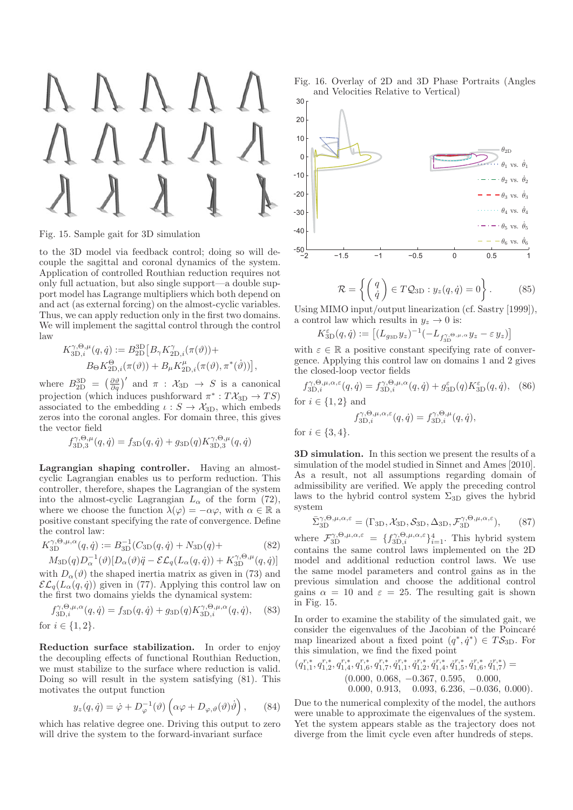Fig. 15. Sample gait for 3D simulation

to the 3D model via feedback control; doing so will decouple the sagittal and coronal dynamics of the system. Application of controlled Routhian reduction requires not only full actuation, but also single support—a double support model has Lagrange multipliers which both depend on and act (as external forcing) on the almost-cyclic variables. Thus, we can apply reduction only in the first two domains. We will implement the sagittal control through the control law

$$
K_{3D,i}^{\gamma,\Theta,\mu}(q,\dot{q}) := B_{2D}^{3D} \left[ B_{\gamma} K_{2D,i}^{\gamma}(\pi(\vartheta)) + B_{\Theta} K_{2D,i}^{\Theta}(\pi(\vartheta)) + B_{\mu} K_{2D,i}^{\mu}(\pi(\vartheta), \pi^{*}(\dot{\vartheta})) \right],
$$

where  $B_{2D}^{3D} = \left(\frac{\partial \vartheta}{\partial q}\right)'$  and  $\pi : \mathcal{X}_{3D} \to S$  is a canonical projection (which induces pushforward  $\pi^*:T\mathcal{X}_{\mathrm{3D}}\to TS)$ associated to the embedding  $\iota : S \to \mathcal{X}_{3D}$ , which embeds zeros into the coronal angles. For domain three, this gives the vector field

$$
f_{3D,3}^{\gamma,\Theta,\mu}(q,\dot{q}) = f_{3D}(q,\dot{q}) + g_{3D}(q)K_{3D,3}^{\gamma,\Theta,\mu}(q,\dot{q})
$$

**Lagrangian shaping controller.** Having an almostcyclic Lagrangian enables us to perform reduction. This controller, therefore, shapes the Lagrangian of the system into the almost-cyclic Lagrangian  $L_{\alpha}$  of the form (72), where we choose the function  $\lambda(\varphi) = -\alpha\varphi$ , with  $\alpha \in \mathbb{R}$  a positive constant specifying the rate of convergence. Define the control law:

$$
K_{3D}^{\gamma,\Theta,\mu,\alpha}(q,\dot{q}) := B_{3D}^{-1}(C_{3D}(q,\dot{q}) + N_{3D}(q) +
$$
\n
$$
K_{3D}^{\gamma,\Theta,\mu,\alpha}(q,\dot{q}) = 1 \text{ (81.5)} \text{ (82)}
$$

$$
M_{3D}(q)D_{\alpha}^{-1}(\vartheta)[D_{\alpha}(\vartheta)\ddot{q}-\mathcal{EL}_q(L_{\alpha}(q,\dot{q}))+K_{3D}^{\gamma,\Theta,\mu}(q,\dot{q})]
$$
  
with  $D_{\alpha}(\vartheta)$  the shaped inertia matrix as given in (73) and  

$$
\mathcal{EL}_q(L_{\alpha}(q,\dot{q}))
$$
 given in (77). Applying this control law on

the first two domains yields the dynamical system: 
$$
\mathbb{R}^D \times \mathbb{R}^D
$$

$$
f_{3D,i}^{\gamma,\Theta,\mu,\alpha}(q,\dot{q}) = f_{3D}(q,\dot{q}) + g_{3D}(q)K_{3D,i}^{\gamma,\Theta,\mu,\alpha}(q,\dot{q}), \quad (83)
$$
  
for  $i \in \{1,2\}.$ 

**Reduction surface stabilization.** In order to enjoy the decoupling effects of functional Routhian Reduction, we must stabilize to the surface where reduction is valid. Doing so will result in the system satisfying (81). This motivates the output function

$$
y_z(q, \dot{q}) = \dot{\varphi} + D_{\varphi}^{-1}(\vartheta) \left( \alpha \varphi + D_{\varphi, \vartheta}(\vartheta) \dot{\vartheta} \right), \qquad (84)
$$

which has relative degree one. Driving this output to zero will drive the system to the forward-invariant surface

Fig. 16. Overlay of 2D and 3D Phase Portraits (Angles and Velocities Relative to Vertical) 30



Using MIMO input/output linearization (cf. Sastry [1999]), a control law which results in  $y_z \to 0$  is:

 $K_{\text{3D}}^{\varepsilon}(q, \dot{q}) := \left[ (L_{g_{\text{3D}}} y_z)^{-1} (- L_{f^{\gamma,\Theta,\mu,\alpha}_{\text{3D}}} y_z - \varepsilon \, y_z) \right]$ 

with  $\varepsilon \in \mathbb{R}$  a positive constant specifying rate of convergence. Applying this control law on domains 1 and 2 gives the closed-loop vector fields

 $f_{3D,i}^{\gamma,\Theta,\mu,\alpha,\varepsilon}(q,\dot{q}) = f_{3D,i}^{\gamma,\Theta,\mu,\alpha}(q,\dot{q}) + g_{3D}^{\varepsilon}(q)K_{3D}^{\varepsilon}(q,\dot{q}),$  (86) for  $i \in \{1, 2\}$  and

$$
f_{3D,i}^{\gamma,\Theta,\mu,\alpha,\varepsilon}(q,\dot{q}) = f_{3D,i}^{\gamma,\Theta,\mu}(q,\dot{q}),
$$

for  $i \in \{3, 4\}$ .

**3D simulation.** In this section we present the results of a simulation of the model studied in Sinnet and Ames [2010]. As a result, not all assumptions regarding domain of admissibility are verified. We apply the preceding control laws to the hybrid control system  $\Sigma_{3D}$  gives the hybrid system

$$
\bar{\Sigma}_{3D}^{\gamma,\Theta,\mu,\alpha,\varepsilon} = (\Gamma_{3D}, \mathcal{X}_{3D}, \mathcal{S}_{3D}, \Delta_{3D}, \mathcal{F}_{3D}^{\gamma,\Theta,\mu,\alpha,\varepsilon}),
$$
 (87)

where  $\mathcal{F}_{3D}^{\gamma,\Theta,\mu,\alpha,\varepsilon} = \{f_{3D,i}^{\gamma,\Theta,\mu,\alpha,\varepsilon}\}_{i=1}^4$ . This hybrid system contains the same control laws implemented on the 2D model and additional reduction control laws. We use the same model parameters and control gains as in the previous simulation and choose the additional control gains  $\alpha = 10$  and  $\varepsilon = 25$ . The resulting gait is shown in Fig. 15.

In order to examine the stability of the simulated gait, we consider the eigenvalues of the Jacobian of the Poincaré map linearized about a fixed point  $(q^*, \dot{q}^*) \in T\mathcal{S}_{3D}$ . For this simulation, we find the fixed point

$$
\begin{array}{llll} (q^{r,*}_{1,1},q^{r,*}_{1,2},q^{r,*}_{1,4},q^{r,*}_{1,6},q^{r,*}_{1,7},\dot{q}^{r,*}_{1,1},\dot{q}^{r,*}_{1,2},\dot{q}^{r,*}_{1,4},\dot{q}^{r,*}_{1,5},\dot{q}^{r,*}_{1,6},\dot{q}^{r,*}_{1,7})= \\ & & (0.000,\ 0.068,\ -0.367,\ 0.595,\quad 0.000, \\ & 0.000,\ 0.913,\quad 0.093,\ 6.236,\ -0.036,\ 0.000). \end{array}
$$

Due to the numerical complexity of the model, the authors were unable to approximate the eigenvalues of the system. Yet the system appears stable as the trajectory does not diverge from the limit cycle even after hundreds of steps.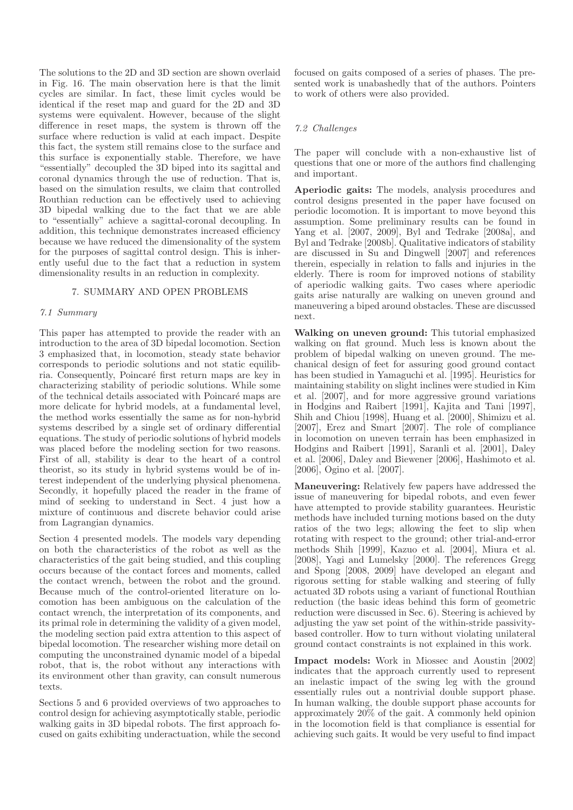The solutions to the 2D and 3D section are shown overlaid in Fig. 16. The main observation here is that the limit cycles are similar. In fact, these limit cycles would be identical if the reset map and guard for the 2D and 3D systems were equivalent. However, because of the slight difference in reset maps, the system is thrown off the surface where reduction is valid at each impact. Despite this fact, the system still remains close to the surface and this surface is exponentially stable. Therefore, we have "essentially" decoupled the 3D biped into its sagittal and coronal dynamics through the use of reduction. That is, based on the simulation results, we claim that controlled Routhian reduction can be effectively used to achieving 3D bipedal walking due to the fact that we are able to "essentially" achieve a sagittal-coronal decoupling. In addition, this technique demonstrates increased efficiency because we have reduced the dimensionality of the system for the purposes of sagittal control design. This is inherently useful due to the fact that a reduction in system dimensionality results in an reduction in complexity.

#### 7. SUMMARY AND OPEN PROBLEMS

#### 7.1 Summary

This paper has attempted to provide the reader with an introduction to the area of 3D bipedal locomotion. Section 3 emphasized that, in locomotion, steady state behavior corresponds to periodic solutions and not static equilibria. Consequently, Poincaré first return maps are key in characterizing stability of periodic solutions. While some of the technical details associated with Poincaré maps are more delicate for hybrid models, at a fundamental level, the method works essentially the same as for non-hybrid systems described by a single set of ordinary differential equations. The study of periodic solutions of hybrid models was placed before the modeling section for two reasons. First of all, stability is dear to the heart of a control theorist, so its study in hybrid systems would be of interest independent of the underlying physical phenomena. Secondly, it hopefully placed the reader in the frame of mind of seeking to understand in Sect. 4 just how a mixture of continuous and discrete behavior could arise from Lagrangian dynamics.

Section 4 presented models. The models vary depending on both the characteristics of the robot as well as the characteristics of the gait being studied, and this coupling occurs because of the contact forces and moments, called the contact wrench, between the robot and the ground. Because much of the control-oriented literature on locomotion has been ambiguous on the calculation of the contact wrench, the interpretation of its components, and its primal role in determining the validity of a given model, the modeling section paid extra attention to this aspect of bipedal locomotion. The researcher wishing more detail on computing the unconstrained dynamic model of a bipedal robot, that is, the robot without any interactions with its environment other than gravity, can consult numerous texts.

Sections 5 and 6 provided overviews of two approaches to control design for achieving asymptotically stable, periodic walking gaits in 3D bipedal robots. The first approach focused on gaits exhibiting underactuation, while the second

focused on gaits composed of a series of phases. The presented work is unabashedly that of the authors. Pointers to work of others were also provided.

#### 7.2 Challenges

The paper will conclude with a non-exhaustive list of questions that one or more of the authors find challenging and important.

**Aperiodic gaits:** The models, analysis procedures and control designs presented in the paper have focused on periodic locomotion. It is important to move beyond this assumption. Some preliminary results can be found in Yang et al. [2007, 2009], Byl and Tedrake [2008a], and Byl and Tedrake [2008b]. Qualitative indicators of stability are discussed in Su and Dingwell [2007] and references therein, especially in relation to falls and injuries in the elderly. There is room for improved notions of stability of aperiodic walking gaits. Two cases where aperiodic gaits arise naturally are walking on uneven ground and maneuvering a biped around obstacles. These are discussed next.

**Walking on uneven ground:** This tutorial emphasized walking on flat ground. Much less is known about the problem of bipedal walking on uneven ground. The mechanical design of feet for assuring good ground contact has been studied in Yamaguchi et al. [1995]. Heuristics for maintaining stability on slight inclines were studied in Kim et al. [2007], and for more aggressive ground variations in Hodgins and Raibert [1991], Kajita and Tani [1997], Shih and Chiou [1998], Huang et al. [2000], Shimizu et al. [2007], Erez and Smart [2007]. The role of compliance in locomotion on uneven terrain has been emphasized in Hodgins and Raibert [1991], Saranli et al. [2001], Daley et al. [2006], Daley and Biewener [2006], Hashimoto et al. [2006], Ogino et al. [2007].

**Maneuvering:** Relatively few papers have addressed the issue of maneuvering for bipedal robots, and even fewer have attempted to provide stability guarantees. Heuristic methods have included turning motions based on the duty ratios of the two legs; allowing the feet to slip when rotating with respect to the ground; other trial-and-error methods Shih [1999], Kazuo et al. [2004], Miura et al. [2008], Yagi and Lumelsky [2000]. The references Gregg and Spong [2008, 2009] have developed an elegant and rigorous setting for stable walking and steering of fully actuated 3D robots using a variant of functional Routhian reduction (the basic ideas behind this form of geometric reduction were discussed in Sec. 6). Steering is achieved by adjusting the yaw set point of the within-stride passivitybased controller. How to turn without violating unilateral ground contact constraints is not explained in this work.

**Impact models:** Work in Miossec and Aoustin [2002] indicates that the approach currently used to represent an inelastic impact of the swing leg with the ground essentially rules out a nontrivial double support phase. In human walking, the double support phase accounts for approximately 20% of the gait. A commonly held opinion in the locomotion field is that compliance is essential for achieving such gaits. It would be very useful to find impact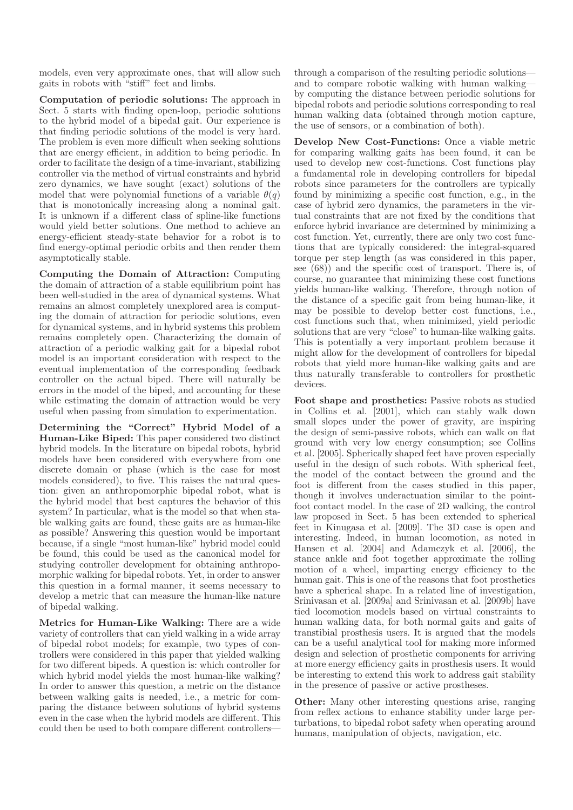models, even very approximate ones, that will allow such gaits in robots with "stiff" feet and limbs.

**Computation of periodic solutions:** The approach in Sect. 5 starts with finding open-loop, periodic solutions to the hybrid model of a bipedal gait. Our experience is that finding periodic solutions of the model is very hard. The problem is even more difficult when seeking solutions that are energy efficient, in addition to being periodic. In order to facilitate the design of a time-invariant, stabilizing controller via the method of virtual constraints and hybrid zero dynamics, we have sought (exact) solutions of the model that were polynomial functions of a variable  $\theta(q)$ that is monotonically increasing along a nominal gait. It is unknown if a different class of spline-like functions would yield better solutions. One method to achieve an energy-efficient steady-state behavior for a robot is to find energy-optimal periodic orbits and then render them asymptotically stable.

**Computing the Domain of Attraction:** Computing the domain of attraction of a stable equilibrium point has been well-studied in the area of dynamical systems. What remains an almost completely unexplored area is computing the domain of attraction for periodic solutions, even for dynamical systems, and in hybrid systems this problem remains completely open. Characterizing the domain of attraction of a periodic walking gait for a bipedal robot model is an important consideration with respect to the eventual implementation of the corresponding feedback controller on the actual biped. There will naturally be errors in the model of the biped, and accounting for these while estimating the domain of attraction would be very useful when passing from simulation to experimentation.

**Determining the "Correct" Hybrid Model of a Human-Like Biped:** This paper considered two distinct hybrid models. In the literature on bipedal robots, hybrid models have been considered with everywhere from one discrete domain or phase (which is the case for most models considered), to five. This raises the natural question: given an anthropomorphic bipedal robot, what is the hybrid model that best captures the behavior of this system? In particular, what is the model so that when stable walking gaits are found, these gaits are as human-like as possible? Answering this question would be important because, if a single "most human-like" hybrid model could be found, this could be used as the canonical model for studying controller development for obtaining anthropomorphic walking for bipedal robots. Yet, in order to answer this question in a formal manner, it seems necessary to develop a metric that can measure the human-like nature of bipedal walking.

**Metrics for Human-Like Walking:** There are a wide variety of controllers that can yield walking in a wide array of bipedal robot models; for example, two types of controllers were considered in this paper that yielded walking for two different bipeds. A question is: which controller for which hybrid model yields the most human-like walking? In order to answer this question, a metric on the distance between walking gaits is needed, i.e., a metric for comparing the distance between solutions of hybrid systems even in the case when the hybrid models are different. This could then be used to both compare different controllersthrough a comparison of the resulting periodic solutions and to compare robotic walking with human walking by computing the distance between periodic solutions for bipedal robots and periodic solutions corresponding to real human walking data (obtained through motion capture, the use of sensors, or a combination of both).

**Develop New Cost-Functions:** Once a viable metric for comparing walking gaits has been found, it can be used to develop new cost-functions. Cost functions play a fundamental role in developing controllers for bipedal robots since parameters for the controllers are typically found by minimizing a specific cost function, e.g., in the case of hybrid zero dynamics, the parameters in the virtual constraints that are not fixed by the conditions that enforce hybrid invariance are determined by minimizing a cost function. Yet, currently, there are only two cost functions that are typically considered: the integral-squared torque per step length (as was considered in this paper, see (68)) and the specific cost of transport. There is, of course, no guarantee that minimizing these cost functions yields human-like walking. Therefore, through notion of the distance of a specific gait from being human-like, it may be possible to develop better cost functions, i.e., cost functions such that, when minimized, yield periodic solutions that are very "close" to human-like walking gaits. This is potentially a very important problem because it might allow for the development of controllers for bipedal robots that yield more human-like walking gaits and are thus naturally transferable to controllers for prosthetic devices.

**Foot shape and prosthetics:** Passive robots as studied in Collins et al. [2001], which can stably walk down small slopes under the power of gravity, are inspiring the design of semi-passive robots, which can walk on flat ground with very low energy consumption; see Collins et al. [2005]. Spherically shaped feet have proven especially useful in the design of such robots. With spherical feet, the model of the contact between the ground and the foot is different from the cases studied in this paper, though it involves underactuation similar to the pointfoot contact model. In the case of 2D walking, the control law proposed in Sect. 5 has been extended to spherical feet in Kinugasa et al. [2009]. The 3D case is open and interesting. Indeed, in human locomotion, as noted in Hansen et al. [2004] and Adamczyk et al. [2006], the stance ankle and foot together approximate the rolling motion of a wheel, imparting energy efficiency to the human gait. This is one of the reasons that foot prosthetics have a spherical shape. In a related line of investigation, Srinivasan et al. [2009a] and Srinivasan et al. [2009b] have tied locomotion models based on virtual constraints to human walking data, for both normal gaits and gaits of transtibial prosthesis users. It is argued that the models can be a useful analytical tool for making more informed design and selection of prosthetic components for arriving at more energy efficiency gaits in prosthesis users. It would be interesting to extend this work to address gait stability in the presence of passive or active prostheses.

**Other:** Many other interesting questions arise, ranging from reflex actions to enhance stability under large perturbations, to bipedal robot safety when operating around humans, manipulation of objects, navigation, etc.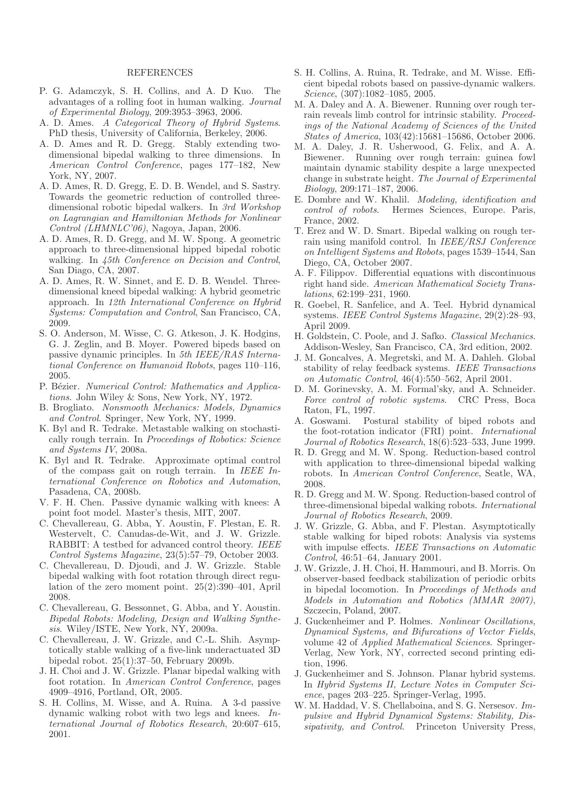#### REFERENCES

- P. G. Adamczyk, S. H. Collins, and A. D Kuo. The advantages of a rolling foot in human walking. Journal of Experimental Biology, 209:3953–3963, 2006.
- A. D. Ames. A Categorical Theory of Hybrid Systems. PhD thesis, University of California, Berkeley, 2006.
- A. D. Ames and R. D. Gregg. Stably extending twodimensional bipedal walking to three dimensions. In American Control Conference, pages 177–182, New York, NY, 2007.
- A. D. Ames, R. D. Gregg, E. D. B. Wendel, and S. Sastry. Towards the geometric reduction of controlled threedimensional robotic bipedal walkers. In 3rd Workshop on Lagrangian and Hamiltonian Methods for Nonlinear Control (LHMNLC'06), Nagoya, Japan, 2006.
- A. D. Ames, R. D. Gregg, and M. W. Spong. A geometric approach to three-dimensional hipped bipedal robotic walking. In 45th Conference on Decision and Control, San Diago, CA, 2007.
- A. D. Ames, R. W. Sinnet, and E. D. B. Wendel. Threedimensional kneed bipedal walking: A hybrid geometric approach. In 12th International Conference on Hybrid Systems: Computation and Control, San Francisco, CA, 2009.
- S. O. Anderson, M. Wisse, C. G. Atkeson, J. K. Hodgins, G. J. Zeglin, and B. Moyer. Powered bipeds based on passive dynamic principles. In 5th IEEE/RAS International Conference on Humanoid Robots, pages 110–116, 2005.
- P. Bézier. Numerical Control: Mathematics and Applications. John Wiley & Sons, New York, NY, 1972.
- B. Brogliato. Nonsmooth Mechanics: Models, Dynamics and Control. Springer, New York, NY, 1999.
- K. Byl and R. Tedrake. Metastable walking on stochastically rough terrain. In Proceedings of Robotics: Science and Systems IV, 2008a.
- K. Byl and R. Tedrake. Approximate optimal control of the compass gait on rough terrain. In IEEE International Conference on Robotics and Automation, Pasadena, CA, 2008b.
- V. F. H. Chen. Passive dynamic walking with knees: A point foot model. Master's thesis, MIT, 2007.
- C. Chevallereau, G. Abba, Y. Aoustin, F. Plestan, E. R. Westervelt, C. Canudas-de-Wit, and J. W. Grizzle. RABBIT: A testbed for advanced control theory. IEEE Control Systems Magazine, 23(5):57–79, October 2003.
- C. Chevallereau, D. Djoudi, and J. W. Grizzle. Stable bipedal walking with foot rotation through direct regulation of the zero moment point. 25(2):390–401, April 2008.
- C. Chevallereau, G. Bessonnet, G. Abba, and Y. Aoustin. Bipedal Robots: Modeling, Design and Walking Synthesis. Wiley/ISTE, New York, NY, 2009a.
- C. Chevallereau, J. W. Grizzle, and C.-L. Shih. Asymptotically stable walking of a five-link underactuated 3D bipedal robot. 25(1):37–50, February 2009b.
- J. H. Choi and J. W. Grizzle. Planar bipedal walking with foot rotation. In American Control Conference, pages 4909–4916, Portland, OR, 2005.
- S. H. Collins, M. Wisse, and A. Ruina. A 3-d passive dynamic walking robot with two legs and knees. International Journal of Robotics Research, 20:607–615, 2001.
- S. H. Collins, A. Ruina, R. Tedrake, and M. Wisse. Efficient bipedal robots based on passive-dynamic walkers. Science, (307):1082–1085, 2005.
- M. A. Daley and A. A. Biewener. Running over rough terrain reveals limb control for intrinsic stability. Proceedings of the National Academy of Sciences of the United States of America, 103(42):15681–15686, October 2006.
- M. A. Daley, J. R. Usherwood, G. Felix, and A. A. Biewener. Running over rough terrain: guinea fowl maintain dynamic stability despite a large unexpected change in substrate height. The Journal of Experimental Biology, 209:171–187, 2006.
- E. Dombre and W. Khalil. Modeling, identification and control of robots. Hermes Sciences, Europe. Paris, France, 2002.
- T. Erez and W. D. Smart. Bipedal walking on rough terrain using manifold control. In IEEE/RSJ Conference on Intelligent Systems and Robots, pages 1539–1544, San Diego, CA, October 2007.
- A. F. Filippov. Differential equations with discontinuous right hand side. American Mathematical Society Translations, 62:199–231, 1960.
- R. Goebel, R. Sanfelice, and A. Teel. Hybrid dynamical systems. IEEE Control Systems Magazine, 29(2):28–93, April 2009.
- H. Goldstein, C. Poole, and J. Safko. Classical Mechanics. Addison-Wesley, San Francisco, CA, 3rd edition, 2002.
- J. M. Goncalves, A. Megretski, and M. A. Dahleh. Global stability of relay feedback systems. IEEE Transactions on Automatic Control, 46(4):550–562, April 2001.
- D. M. Gorinevsky, A. M. Formal'sky, and A. Schneider. Force control of robotic systems. CRC Press, Boca Raton, FL, 1997.
- A. Goswami. Postural stability of biped robots and the foot-rotation indicator (FRI) point. International Journal of Robotics Research, 18(6):523–533, June 1999.
- R. D. Gregg and M. W. Spong. Reduction-based control with application to three-dimensional bipedal walking robots. In American Control Conference, Seatle, WA, 2008.
- R. D. Gregg and M. W. Spong. Reduction-based control of three-dimensional bipedal walking robots. International Journal of Robotics Research, 2009.
- J. W. Grizzle, G. Abba, and F. Plestan. Asymptotically stable walking for biped robots: Analysis via systems with impulse effects. IEEE Transactions on Automatic Control, 46:51–64, January 2001.
- J. W. Grizzle, J. H. Choi, H. Hammouri, and B. Morris. On observer-based feedback stabilization of periodic orbits in bipedal locomotion. In Proceedings of Methods and Models in Automation and Robotics (MMAR 2007), Szczecin, Poland, 2007.
- J. Guckenheimer and P. Holmes. Nonlinear Oscillations, Dynamical Systems, and Bifurcations of Vector Fields, volume 42 of Applied Mathematical Sciences. Springer-Verlag, New York, NY, corrected second printing edition, 1996.
- J. Guckenheimer and S. Johnson. Planar hybrid systems. In Hybrid Systems II, Lecture Notes in Computer Science, pages 203–225. Springer-Verlag, 1995.
- W. M. Haddad, V. S. Chellaboina, and S. G. Nersesov. Impulsive and Hybrid Dynamical Systems: Stability, Dissipativity, and Control. Princeton University Press,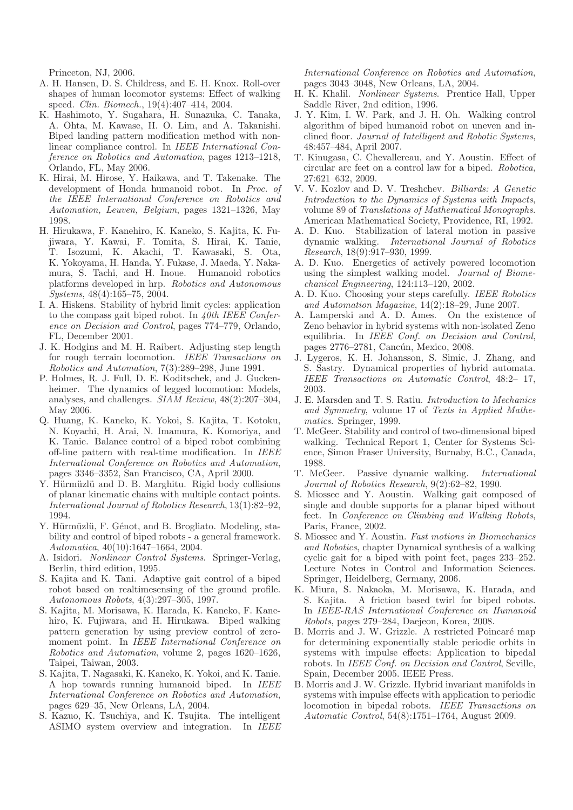Princeton, NJ, 2006.

- A. H. Hansen, D. S. Childress, and E. H. Knox. Roll-over shapes of human locomotor systems: Effect of walking speed. Clin. Biomech., 19(4):407–414, 2004.
- K. Hashimoto, Y. Sugahara, H. Sunazuka, C. Tanaka, A. Ohta, M. Kawase, H. O. Lim, and A. Takanishi. Biped landing pattern modification method with nonlinear compliance control. In IEEE International Conference on Robotics and Automation, pages 1213–1218, Orlando, FL, May 2006.
- K. Hirai, M. Hirose, Y. Haikawa, and T. Takenake. The development of Honda humanoid robot. In Proc. of the IEEE International Conference on Robotics and Automation, Leuven, Belgium, pages 1321–1326, May 1998.
- H. Hirukawa, F. Kanehiro, K. Kaneko, S. Kajita, K. Fujiwara, Y. Kawai, F. Tomita, S. Hirai, K. Tanie, T. Isozumi, K. Akachi, T. Kawasaki, S. Ota, K. Yokoyama, H. Handa, Y. Fukase, J. Maeda, Y. Nakamura, S. Tachi, and H. Inoue. Humanoid robotics platforms developed in hrp. Robotics and Autonomous Systems, 48(4):165–75, 2004.
- I. A. Hiskens. Stability of hybrid limit cycles: application to the compass gait biped robot. In  $\angle 0th$  IEEE Conference on Decision and Control, pages 774–779, Orlando, FL, December 2001.
- J. K. Hodgins and M. H. Raibert. Adjusting step length for rough terrain locomotion. IEEE Transactions on Robotics and Automation, 7(3):289–298, June 1991.
- P. Holmes, R. J. Full, D. E. Koditschek, and J. Guckenheimer. The dynamics of legged locomotion: Models, analyses, and challenges. SIAM Review, 48(2):207–304, May 2006.
- Q. Huang, K. Kaneko, K. Yokoi, S. Kajita, T. Kotoku, N. Koyachi, H. Arai, N. Imamura, K. Komoriya, and K. Tanie. Balance control of a biped robot combining off-line pattern with real-time modification. In IEEE International Conference on Robotics and Automation, pages 3346–3352, San Francisco, CA, April 2000.
- Y. Hürmüzlü and D. B. Marghitu. Rigid body collisions of planar kinematic chains with multiple contact points. International Journal of Robotics Research, 13(1):82–92, 1994.
- Y. Hürmüzlü, F. Génot, and B. Brogliato. Modeling, stability and control of biped robots - a general framework. Automatica, 40(10):1647–1664, 2004.
- A. Isidori. Nonlinear Control Systems. Springer-Verlag, Berlin, third edition, 1995.
- S. Kajita and K. Tani. Adaptive gait control of a biped robot based on realtimesensing of the ground profile. Autonomous Robots, 4(3):297–305, 1997.
- S. Kajita, M. Morisawa, K. Harada, K. Kaneko, F. Kanehiro, K. Fujiwara, and H. Hirukawa. Biped walking pattern generation by using preview control of zeromoment point. In IEEE International Conference on Robotics and Automation, volume 2, pages 1620–1626, Taipei, Taiwan, 2003.
- S. Kajita, T. Nagasaki, K. Kaneko, K. Yokoi, and K. Tanie. A hop towards running humanoid biped. In IEEE International Conference on Robotics and Automation, pages 629–35, New Orleans, LA, 2004.
- S. Kazuo, K. Tsuchiya, and K. Tsujita. The intelligent ASIMO system overview and integration. In IEEE

International Conference on Robotics and Automation, pages 3043–3048, New Orleans, LA, 2004.

- H. K. Khalil. Nonlinear Systems. Prentice Hall, Upper Saddle River, 2nd edition, 1996.
- J. Y. Kim, I. W. Park, and J. H. Oh. Walking control algorithm of biped humanoid robot on uneven and inclined floor. Journal of Intelligent and Robotic Systems, 48:457–484, April 2007.
- T. Kinugasa, C. Chevallereau, and Y. Aoustin. Effect of circular arc feet on a control law for a biped. Robotica, 27:621–632, 2009.
- V. V. Kozlov and D. V. Treshchev. Billiards: A Genetic Introduction to the Dynamics of Systems with Impacts, volume 89 of Translations of Mathematical Monographs. American Mathematical Society, Providence, RI, 1992.
- A. D. Kuo. Stabilization of lateral motion in passive dynamic walking. International Journal of Robotics Research, 18(9):917–930, 1999.
- A. D. Kuo. Energetics of actively powered locomotion using the simplest walking model. Journal of Biomechanical Engineering, 124:113–120, 2002.
- A. D. Kuo. Choosing your steps carefully. IEEE Robotics and Automation Magazine, 14(2):18–29, June 2007.
- A. Lamperski and A. D. Ames. On the existence of Zeno behavior in hybrid systems with non-isolated Zeno equilibria. In IEEE Conf. on Decision and Control, pages 2776–2781, Cancún, Mexico, 2008.
- J. Lygeros, K. H. Johansson, S. Simic, J. Zhang, and S. Sastry. Dynamical properties of hybrid automata. IEEE Transactions on Automatic Control, 48:2– 17, 2003.
- J. E. Marsden and T. S. Ratiu. Introduction to Mechanics and Symmetry, volume 17 of Texts in Applied Mathematics. Springer, 1999.
- T. McGeer. Stability and control of two-dimensional biped walking. Technical Report 1, Center for Systems Science, Simon Fraser University, Burnaby, B.C., Canada, 1988.
- T. McGeer. Passive dynamic walking. International Journal of Robotics Research, 9(2):62–82, 1990.
- S. Miossec and Y. Aoustin. Walking gait composed of single and double supports for a planar biped without feet. In Conference on Climbing and Walking Robots, Paris, France, 2002.
- S. Miossec and Y. Aoustin. Fast motions in Biomechanics and Robotics, chapter Dynamical synthesis of a walking cyclic gait for a biped with point feet, pages 233–252. Lecture Notes in Control and Information Sciences. Springer, Heidelberg, Germany, 2006.
- K. Miura, S. Nakaoka, M. Morisawa, K. Harada, and S. Kajita. A friction based twirl for biped robots. In IEEE-RAS International Conference on Humanoid Robots, pages 279–284, Daejeon, Korea, 2008.
- B. Morris and J. W. Grizzle. A restricted Poincaré map for determining exponentially stable periodic orbits in systems with impulse effects: Application to bipedal robots. In IEEE Conf. on Decision and Control, Seville, Spain, December 2005. IEEE Press.
- B. Morris and J. W. Grizzle. Hybrid invariant manifolds in systems with impulse effects with application to periodic locomotion in bipedal robots. IEEE Transactions on Automatic Control, 54(8):1751–1764, August 2009.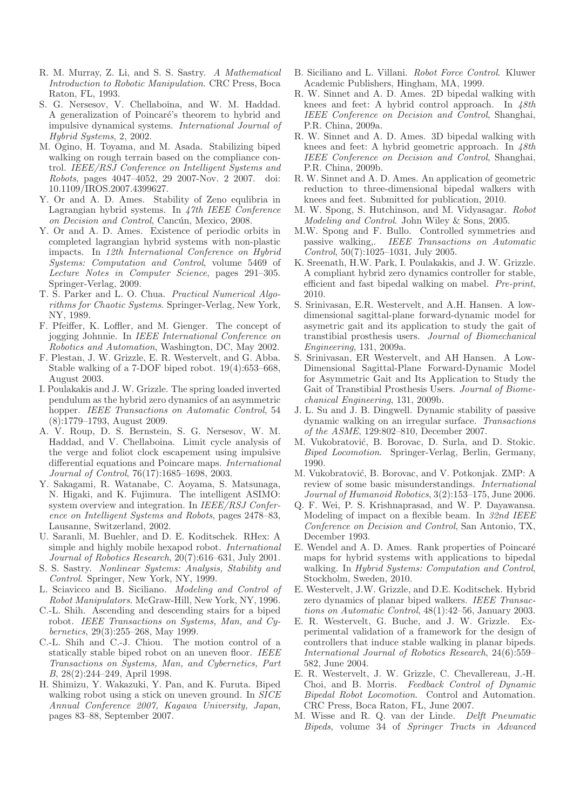- R. M. Murray, Z. Li, and S. S. Sastry. A Mathematical Introduction to Robotic Manipulation. CRC Press, Boca Raton, FL, 1993.
- S. G. Nersesov, V. Chellaboina, and W. M. Haddad. A generalization of Poincaré's theorem to hybrid and impulsive dynamical systems. International Journal of Hybrid Systems, 2, 2002.
- M. Ogino, H. Toyama, and M. Asada. Stabilizing biped walking on rough terrain based on the compliance control. IEEE/RSJ Conference on Intelligent Systems and Robots, pages 4047–4052, 29 2007-Nov. 2 2007. doi: 10.1109/IROS.2007.4399627.
- Y. Or and A. D. Ames. Stability of Zeno equlibria in Lagrangian hybrid systems. In 47th IEEE Conference on Decision and Control, Cancún, Mexico, 2008.
- Y. Or and A. D. Ames. Existence of periodic orbits in completed lagrangian hybrid systems with non-plastic impacts. In 12th International Conference on Hybrid Systems: Computation and Control, volume 5469 of Lecture Notes in Computer Science, pages 291–305. Springer-Verlag, 2009.
- T. S. Parker and L. O. Chua. Practical Numerical Algorithms for Chaotic Systems. Springer-Verlag, New York, NY, 1989.
- F. Pfeiffer, K. Loffler, and M. Gienger. The concept of jogging Johnnie. In IEEE International Conference on Robotics and Automation, Washington, DC, May 2002.
- F. Plestan, J. W. Grizzle, E. R. Westervelt, and G. Abba. Stable walking of a 7-DOF biped robot. 19(4):653–668, August 2003.
- I. Poulakakis and J. W. Grizzle. The spring loaded inverted pendulum as the hybrid zero dynamics of an asymmetric hopper. IEEE Transactions on Automatic Control, 54 (8):1779–1793, August 2009.
- A. V. Roup, D. S. Bernstein, S. G. Nersesov, W. M. Haddad, and V. Chellaboina. Limit cycle analysis of the verge and foliot clock escapement using impulsive differential equations and Poincare maps. International Journal of Control, 76(17):1685–1698, 2003.
- Y. Sakagami, R. Watanabe, C. Aoyama, S. Matsunaga, N. Higaki, and K. Fujimura. The intelligent ASIMO: system overview and integration. In IEEE/RSJ Conference on Intelligent Systems and Robots, pages 2478–83, Lausanne, Switzerland, 2002.
- U. Saranli, M. Buehler, and D. E. Koditschek. RHex: A simple and highly mobile hexapod robot. International Journal of Robotics Research, 20(7):616–631, July 2001.
- S. S. Sastry. Nonlinear Systems: Analysis, Stability and Control. Springer, New York, NY, 1999.
- L. Sciavicco and B. Siciliano. Modeling and Control of Robot Manipulators. McGraw-Hill, New York, NY, 1996.
- C.-L. Shih. Ascending and descending stairs for a biped robot. IEEE Transactions on Systems, Man, and Cybernetics, 29(3):255–268, May 1999.
- C.-L. Shih and C.-J. Chiou. The motion control of a statically stable biped robot on an uneven floor. IEEE Transactions on Systems, Man, and Cybernetics, Part B, 28(2):244–249, April 1998.
- H. Shimizu, Y. Wakazuki, Y. Pan, and K. Furuta. Biped walking robot using a stick on uneven ground. In SICE Annual Conference 2007, Kagawa University, Japan, pages 83–88, September 2007.
- B. Siciliano and L. Villani. Robot Force Control. Kluwer Academic Publishers, Hingham, MA, 1999.
- R. W. Sinnet and A. D. Ames. 2D bipedal walking with knees and feet: A hybrid control approach. In 48th IEEE Conference on Decision and Control, Shanghai, P.R. China, 2009a.
- R. W. Sinnet and A. D. Ames. 3D bipedal walking with knees and feet: A hybrid geometric approach. In 48th IEEE Conference on Decision and Control, Shanghai, P.R. China, 2009b.
- R. W. Sinnet and A. D. Ames. An application of geometric reduction to three-dimensional bipedal walkers with knees and feet. Submitted for publication, 2010.
- M. W. Spong, S. Hutchinson, and M. Vidyasagar. Robot Modeling and Control. John Wiley & Sons, 2005.
- M.W. Spong and F. Bullo. Controlled symmetries and passive walking,. IEEE Transactions on Automatic Control, 50(7):1025–1031, July 2005.
- K. Sreenath, H.W. Park, I. Poulakakis, and J. W. Grizzle. A compliant hybrid zero dynamics controller for stable, efficient and fast bipedal walking on mabel. Pre-print, 2010.
- S. Srinivasan, E.R. Westervelt, and A.H. Hansen. A lowdimensional sagittal-plane forward-dynamic model for asymetric gait and its application to study the gait of transtibial prosthesis users. Journal of Biomechanical Engineering, 131, 2009a.
- S. Srinivasan, ER Westervelt, and AH Hansen. A Low-Dimensional Sagittal-Plane Forward-Dynamic Model for Asymmetric Gait and Its Application to Study the Gait of Transtibial Prosthesis Users. Journal of Biomechanical Engineering, 131, 2009b.
- J. L. Su and J. B. Dingwell. Dynamic stability of passive dynamic walking on an irregular surface. Transactions of the ASME, 129:802–810, December 2007.
- M. Vukobratović, B. Borovac, D. Surla, and D. Stokic. Biped Locomotion. Springer-Verlag, Berlin, Germany, 1990.
- M. Vukobratović, B. Borovac, and V. Potkonjak. ZMP: A review of some basic misunderstandings. International Journal of Humanoid Robotics, 3(2):153–175, June 2006.
- Q. F. Wei, P. S. Krishnaprasad, and W. P. Dayawansa. Modeling of impact on a flexible beam. In 32nd IEEE Conference on Decision and Control, San Antonio, TX, December 1993.
- E. Wendel and A. D. Ames. Rank properties of Poincaré maps for hybrid systems with applications to bipedal walking. In Hybrid Systems: Computation and Control, Stockholm, Sweden, 2010.
- E. Westervelt, J.W. Grizzle, and D.E. Koditschek. Hybrid zero dynamics of planar biped walkers. IEEE Transactions on Automatic Control, 48(1):42–56, January 2003.
- E. R. Westervelt, G. Buche, and J. W. Grizzle. Experimental validation of a framework for the design of controllers that induce stable walking in planar bipeds. International Journal of Robotics Research, 24(6):559– 582, June 2004.
- E. R. Westervelt, J. W. Grizzle, C. Chevallereau, J.-H. Choi, and B. Morris. Feedback Control of Dynamic Bipedal Robot Locomotion. Control and Automation. CRC Press, Boca Raton, FL, June 2007.
- M. Wisse and R. Q. van der Linde. Delft Pneumatic Bipeds, volume 34 of Springer Tracts in Advanced